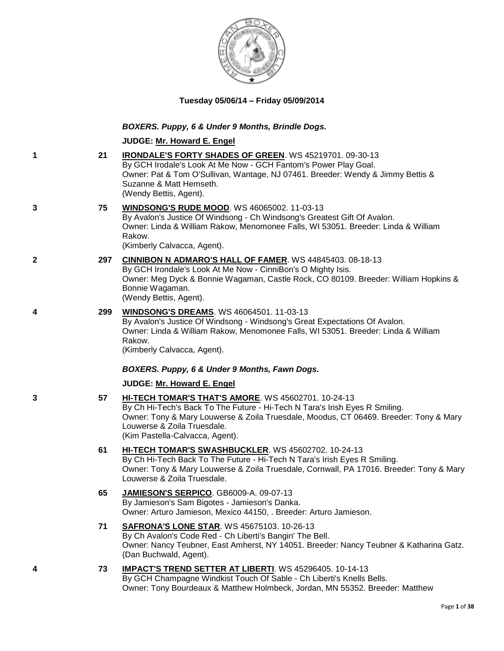

# **Tuesday 05/06/14 – Friday 05/09/2014**

# *BOXERS. Puppy, 6 & Under 9 Months, Brindle Dogs.*

# **JUDGE: [Mr. Howard E. Engel](http://www.infodog.com/judges/44716/juddat.htm)**

| 1            | 21  | <b>IRONDALE'S FORTY SHADES OF GREEN. WS 45219701. 09-30-13</b><br>By GCH Irodale's Look At Me Now - GCH Fantom's Power Play Goal.<br>Owner: Pat & Tom O'Sullivan, Wantage, NJ 07461. Breeder: Wendy & Jimmy Bettis &<br>Suzanne & Matt Hemseth.<br>(Wendy Bettis, Agent).                     |
|--------------|-----|-----------------------------------------------------------------------------------------------------------------------------------------------------------------------------------------------------------------------------------------------------------------------------------------------|
| 3            | 75  | <b>WINDSONG'S RUDE MOOD.</b> WS 46065002. 11-03-13<br>By Avalon's Justice Of Windsong - Ch Windsong's Greatest Gift Of Avalon.<br>Owner: Linda & William Rakow, Menomonee Falls, WI 53051. Breeder: Linda & William<br>Rakow.<br>(Kimberly Calvacca, Agent).                                  |
| $\mathbf{2}$ | 297 | <b>CINNIBON N ADMARO'S HALL OF FAMER. WS 44845403. 08-18-13</b><br>By GCH Irondale's Look At Me Now - CinniBon's O Mighty Isis.<br>Owner: Meg Dyck & Bonnie Wagaman, Castle Rock, CO 80109. Breeder: William Hopkins &<br>Bonnie Wagaman.<br>(Wendy Bettis, Agent).                           |
| 4            | 299 | <b>WINDSONG'S DREAMS.</b> WS 46064501. 11-03-13<br>By Avalon's Justice Of Windsong - Windsong's Great Expectations Of Avalon.<br>Owner: Linda & William Rakow, Menomonee Falls, WI 53051. Breeder: Linda & William<br>Rakow.<br>(Kimberly Calvacca, Agent).                                   |
|              |     | BOXERS. Puppy, 6 & Under 9 Months, Fawn Dogs.                                                                                                                                                                                                                                                 |
|              |     | JUDGE: Mr. Howard E. Engel                                                                                                                                                                                                                                                                    |
| 3            | 57  | HI-TECH TOMAR'S THAT'S AMORE. WS 45602701. 10-24-13<br>By Ch Hi-Tech's Back To The Future - Hi-Tech N Tara's Irish Eyes R Smiling.<br>Owner: Tony & Mary Louwerse & Zoila Truesdale, Moodus, CT 06469. Breeder: Tony & Mary<br>Louwerse & Zoila Truesdale.<br>(Kim Pastella-Calvacca, Agent). |
|              | 61  | HI-TECH TOMAR'S SWASHBUCKLER. WS 45602702. 10-24-13<br>By Ch Hi-Tech Back To The Future - Hi-Tech N Tara's Irish Eyes R Smiling.<br>Owner: Tony & Mary Louwerse & Zoila Truesdale, Cornwall, PA 17016. Breeder: Tony & Mary<br>Louwerse & Zoila Truesdale.                                    |
|              | 65  | <b>JAMIESON'S SERPICO. GB6009-A. 09-07-13</b><br>By Jamieson's Sam Bigotes - Jamieson's Danka.<br>Owner: Arturo Jamieson, Mexico 44150, . Breeder: Arturo Jamieson.                                                                                                                           |
|              | 71  | <b>SAFRONA'S LONE STAR. WS 45675103. 10-26-13</b><br>By Ch Avalon's Code Red - Ch Liberti's Bangin' The Bell.<br>Owner: Nancy Teubner, East Amherst, NY 14051. Breeder: Nancy Teubner & Katharina Gatz.<br>(Dan Buchwald, Agent).                                                             |
| 4            | 73  | IMPACT'S TREND SETTER AT LIBERTI. WS 45296405. 10-14-13<br>By GCH Champagne Windkist Touch Of Sable - Ch Liberti's Knells Bells.<br>Owner: Tony Bourdeaux & Matthew Holmbeck, Jordan, MN 55352. Breeder: Matthew                                                                              |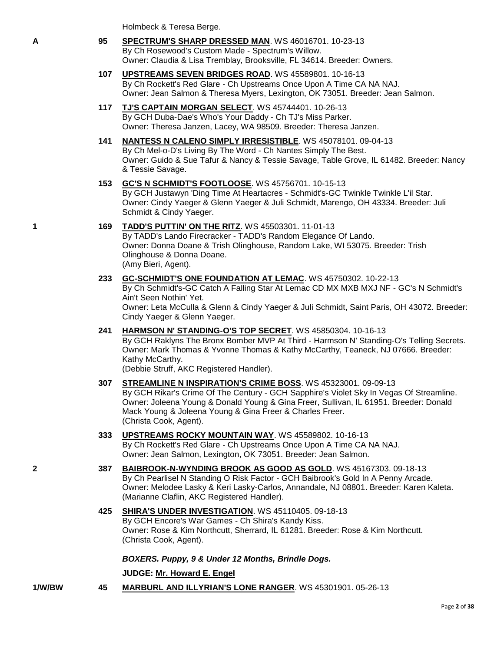Holmbeck & Teresa Berge.

- **A 95 [SPECTRUM'S SHARP DRESSED MAN](http://www.infodog.com/files/bdogrsl1.prg;makc=WS%2046016701;mdog=Spectrum_s_Sharp_Dressed_Man;wins=all)**. WS 46016701. 10-23-13 By Ch Rosewood's Custom Made - Spectrum's Willow. Owner: Claudia & Lisa Tremblay, Brooksville, FL 34614. Breeder: Owners.
	- **107 [UPSTREAMS SEVEN BRIDGES ROAD](http://www.infodog.com/files/bdogrsl1.prg;makc=WS%2045589801;mdog=Upstreams_Seven_Bridges_Road;wins=all)**. WS 45589801. 10-16-13 By Ch Rockett's Red Glare - Ch Upstreams Once Upon A Time CA NA NAJ. Owner: Jean Salmon & Theresa Myers, Lexington, OK 73051. Breeder: Jean Salmon.
	- **117 [TJ'S CAPTAIN MORGAN SELECT](http://www.infodog.com/files/bdogrsl1.prg;makc=WS%2045744401;mdog=TJ_s_Captain_Morgan_Select;wins=all)**. WS 45744401. 10-26-13 By GCH Duba-Dae's Who's Your Daddy - Ch TJ's Miss Parker. Owner: Theresa Janzen, Lacey, WA 98509. Breeder: Theresa Janzen.
	- **141 [NANTESS N CALENO SIMPLY IRRESISTIBLE](http://www.infodog.com/files/bdogrsl1.prg;makc=WS%2045078101;mdog=Nantess_N_Caleno_Simply_Irresistible;wins=all)**. WS 45078101. 09-04-13 By Ch Mel-o-D's Living By The Word - Ch Nantes Simply The Best. Owner: Guido & Sue Tafur & Nancy & Tessie Savage, Table Grove, IL 61482. Breeder: Nancy & Tessie Savage.
	- **153 [GC'S N SCHMIDT'S FOOTLOOSE](http://www.infodog.com/files/bdogrsl1.prg;makc=WS%2045756701;mdog=GC_s_N_Schmidt_s_Footloose;wins=all)**. WS 45756701. 10-15-13 By GCH Justawyn 'Ding Time At Heartacres - Schmidt's-GC Twinkle Twinkle L'il Star. Owner: Cindy Yaeger & Glenn Yaeger & Juli Schmidt, Marengo, OH 43334. Breeder: Juli Schmidt & Cindy Yaeger.
- **1 169 [TADD'S PUTTIN' ON THE RITZ](http://www.infodog.com/files/bdogrsl1.prg;makc=WS%2045503301;mdog=TADD_s_Puttin__On_The_Ritz;wins=all)**. WS 45503301. 11-01-13 By TADD's Lando Firecracker - TADD's Random Elegance Of Lando. Owner: Donna Doane & Trish Olinghouse, Random Lake, WI 53075. Breeder: Trish Olinghouse & Donna Doane.

(Amy Bieri, Agent).

**233 [GC-SCHMIDT'S ONE FOUNDATION AT LEMAC](http://www.infodog.com/files/bdogrsl1.prg;makc=WS%2045750302;mdog=GC-Schmidt_s_One_Foundation_At_Lemac;wins=all)**. WS 45750302. 10-22-13 By Ch Schmidt's-GC Catch A Falling Star At Lemac CD MX MXB MXJ NF - GC's N Schmidt's Ain't Seen Nothin' Yet.

Owner: Leta McCulla & Glenn & Cindy Yaeger & Juli Schmidt, Saint Paris, OH 43072. Breeder: Cindy Yaeger & Glenn Yaeger.

**241 [HARMSON N' STANDING-O'S TOP SECRET](http://www.infodog.com/files/bdogrsl1.prg;makc=WS%2045850304;mdog=Harmson_N__Standing-O_s_Top_Secret;wins=all)**. WS 45850304. 10-16-13 By GCH Raklyns The Bronx Bomber MVP At Third - Harmson N' Standing-O's Telling Secrets. Owner: Mark Thomas & Yvonne Thomas & Kathy McCarthy, Teaneck, NJ 07666. Breeder: Kathy McCarthy.

(Debbie Struff, AKC Registered Handler).

- **307 [STREAMLINE N INSPIRATION'S CRIME BOSS](http://www.infodog.com/files/bdogrsl1.prg;makc=WS%2045323001;mdog=Streamline_N_Inspiration_s_Crime_Boss;wins=all)**. WS 45323001. 09-09-13 By GCH Rikar's Crime Of The Century - GCH Sapphire's Violet Sky In Vegas Of Streamline. Owner: Joleena Young & Donald Young & Gina Freer, Sullivan, IL 61951. Breeder: Donald Mack Young & Joleena Young & Gina Freer & Charles Freer. (Christa Cook, Agent).
- **333 [UPSTREAMS ROCKY MOUNTAIN WAY](http://www.infodog.com/files/bdogrsl1.prg;makc=WS%2045589802;mdog=Upstreams_Rocky_Mountain_Way;wins=all)**. WS 45589802. 10-16-13 By Ch Rockett's Red Glare - Ch Upstreams Once Upon A Time CA NA NAJ. Owner: Jean Salmon, Lexington, OK 73051. Breeder: Jean Salmon.
- **2 387 [BAIBROOK-N-WYNDING BROOK AS GOOD AS GOLD](http://www.infodog.com/files/bdogrsl1.prg;makc=WS%2045167303;mdog=Baibrook-N-Wynding_Brook_As_Good_As_Gold;wins=all)**. WS 45167303. 09-18-13 By Ch Pearlisel N Standing O Risk Factor - GCH Baibrook's Gold In A Penny Arcade. Owner: Melodee Lasky & Keri Lasky-Carlos, Annandale, NJ 08801. Breeder: Karen Kaleta. (Marianne Claflin, AKC Registered Handler).
	- **425 [SHIRA'S UNDER INVESTIGATION](http://www.infodog.com/files/bdogrsl1.prg;makc=WS%2045110405;mdog=Shira_s_Under_Investigation;wins=all)**. WS 45110405. 09-18-13 By GCH Encore's War Games - Ch Shira's Kandy Kiss. Owner: Rose & Kim Northcutt, Sherrard, IL 61281. Breeder: Rose & Kim Northcutt. (Christa Cook, Agent).

*BOXERS. Puppy, 9 & Under 12 Months, Brindle Dogs.*

**JUDGE: [Mr. Howard E. Engel](http://www.infodog.com/judges/44716/juddat.htm)**

**1/W/BW 45 [MARBURL AND ILLYRIAN'S LONE RANGER](http://www.infodog.com/files/bdogrsl1.prg;makc=WS%2045301901;mdog=Marburl_And_Illyrian_s_Lone_Ranger;wins=all)**. WS 45301901. 05-26-13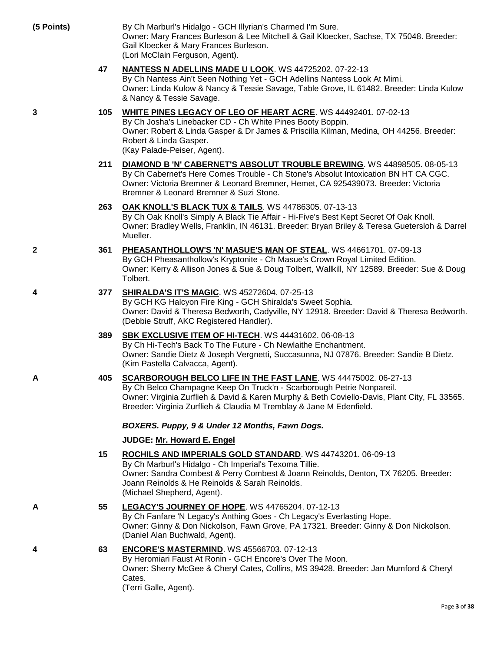| (5 Points)   |     | By Ch Marburl's Hidalgo - GCH Illyrian's Charmed I'm Sure.<br>Owner: Mary Frances Burleson & Lee Mitchell & Gail Kloecker, Sachse, TX 75048. Breeder:<br>Gail Kloecker & Mary Frances Burleson.<br>(Lori McClain Ferguson, Agent).                                                                             |
|--------------|-----|----------------------------------------------------------------------------------------------------------------------------------------------------------------------------------------------------------------------------------------------------------------------------------------------------------------|
|              | 47  | <b>NANTESS N ADELLINS MADE U LOOK.</b> WS 44725202. 07-22-13<br>By Ch Nantess Ain't Seen Nothing Yet - GCH Adellins Nantess Look At Mimi.<br>Owner: Linda Kulow & Nancy & Tessie Savage, Table Grove, IL 61482. Breeder: Linda Kulow<br>& Nancy & Tessie Savage.                                               |
| 3            | 105 | WHITE PINES LEGACY OF LEO OF HEART ACRE. WS 44492401. 07-02-13<br>By Ch Josha's Linebacker CD - Ch White Pines Booty Boppin.<br>Owner: Robert & Linda Gasper & Dr James & Priscilla Kilman, Medina, OH 44256. Breeder:<br>Robert & Linda Gasper.<br>(Kay Palade-Peiser, Agent).                                |
|              | 211 | <b>DIAMOND B 'N' CABERNET'S ABSOLUT TROUBLE BREWING. WS 44898505. 08-05-13</b><br>By Ch Cabernet's Here Comes Trouble - Ch Stone's Absolut Intoxication BN HT CA CGC.<br>Owner: Victoria Bremner & Leonard Bremner, Hemet, CA 925439073. Breeder: Victoria<br>Bremner & Leonard Bremner & Suzi Stone.          |
|              | 263 | OAK KNOLL'S BLACK TUX & TAILS. WS 44786305. 07-13-13<br>By Ch Oak Knoll's Simply A Black Tie Affair - Hi-Five's Best Kept Secret Of Oak Knoll.<br>Owner: Bradley Wells, Franklin, IN 46131. Breeder: Bryan Briley & Teresa Guetersloh & Darrel<br>Mueller.                                                     |
| $\mathbf{2}$ | 361 | PHEASANTHOLLOW'S 'N' MASUE'S MAN OF STEAL. WS 44661701. 07-09-13<br>By GCH Pheasanthollow's Kryptonite - Ch Masue's Crown Royal Limited Edition.<br>Owner: Kerry & Allison Jones & Sue & Doug Tolbert, Wallkill, NY 12589. Breeder: Sue & Doug<br>Tolbert.                                                     |
| 4            | 377 | <b>SHIRALDA'S IT'S MAGIC. WS 45272604. 07-25-13</b><br>By GCH KG Halcyon Fire King - GCH Shiralda's Sweet Sophia.<br>Owner: David & Theresa Bedworth, Cadyville, NY 12918. Breeder: David & Theresa Bedworth.<br>(Debbie Struff, AKC Registered Handler).                                                      |
|              | 389 | <b>SBK EXCLUSIVE ITEM OF HI-TECH. WS 44431602. 06-08-13</b><br>By Ch Hi-Tech's Back To The Future - Ch Newlaithe Enchantment.<br>Owner: Sandie Dietz & Joseph Vergnetti, Succasunna, NJ 07876. Breeder: Sandie B Dietz.<br>(Kim Pastella Calvacca, Agent).                                                     |
| A            | 405 | SCARBOROUGH BELCO LIFE IN THE FAST LANE. WS 44475002. 06-27-13<br>By Ch Belco Champagne Keep On Truck'n - Scarborough Petrie Nonpareil.<br>Owner: Virginia Zurflieh & David & Karen Murphy & Beth Coviello-Davis, Plant City, FL 33565.<br>Breeder: Virginia Zurflieh & Claudia M Tremblay & Jane M Edenfield. |
|              |     | BOXERS. Puppy, 9 & Under 12 Months, Fawn Dogs.                                                                                                                                                                                                                                                                 |
|              |     | <b>JUDGE: Mr. Howard E. Engel</b>                                                                                                                                                                                                                                                                              |
|              | 15  | ROCHILS AND IMPERIALS GOLD STANDARD. WS 44743201. 06-09-13<br>By Ch Marburl's Hidalgo - Ch Imperial's Texoma Tillie.<br>Owner: Sandra Combest & Perry Combest & Joann Reinolds, Denton, TX 76205. Breeder:<br>Joann Reinolds & He Reinolds & Sarah Reinolds.<br>(Michael Shepherd, Agent).                     |
| A            | 55  | LEGACY'S JOURNEY OF HOPE. WS 44765204. 07-12-13<br>By Ch Fanfare 'N Legacy's Anthing Goes - Ch Legacy's Everlasting Hope.<br>Owner: Ginny & Don Nickolson, Fawn Grove, PA 17321. Breeder: Ginny & Don Nickolson.<br>(Daniel Alan Buchwald, Agent).                                                             |
| 4            | 63  | <b>ENCORE'S MASTERMIND. WS 45566703. 07-12-13</b><br>By Heromiari Faust At Ronin - GCH Encore's Over The Moon.<br>Owner: Sherry McGee & Cheryl Cates, Collins, MS 39428. Breeder: Jan Mumford & Cheryl<br>Cates.<br>(Tarri Calla Agant)                                                                        |

(Terri Galle, Agent).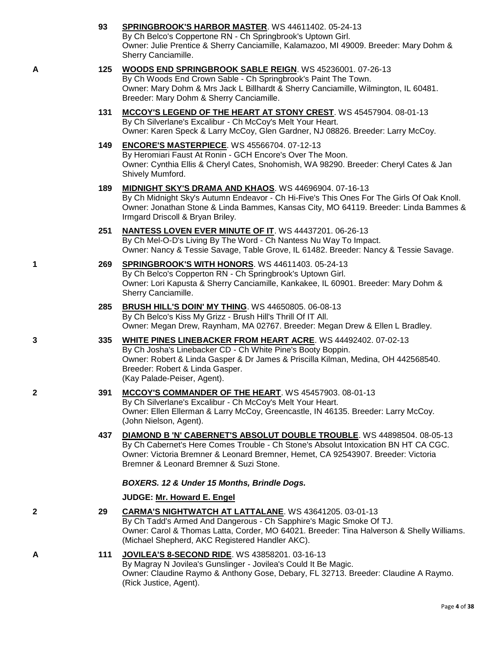|   | 93  | SPRINGBROOK'S HARBOR MASTER. WS 44611402. 05-24-13<br>By Ch Belco's Coppertone RN - Ch Springbrook's Uptown Girl.<br>Owner: Julie Prentice & Sherry Canciamille, Kalamazoo, MI 49009. Breeder: Mary Dohm &<br>Sherry Canciamille.                                                            |
|---|-----|----------------------------------------------------------------------------------------------------------------------------------------------------------------------------------------------------------------------------------------------------------------------------------------------|
| A | 125 | WOODS END SPRINGBROOK SABLE REIGN. WS 45236001. 07-26-13<br>By Ch Woods End Crown Sable - Ch Springbrook's Paint The Town.<br>Owner: Mary Dohm & Mrs Jack L Billhardt & Sherry Canciamille, Wilmington, IL 60481.<br>Breeder: Mary Dohm & Sherry Canciamille.                                |
|   | 131 | MCCOY'S LEGEND OF THE HEART AT STONY CREST. WS 45457904. 08-01-13<br>By Ch Silverlane's Excalibur - Ch McCoy's Melt Your Heart.<br>Owner: Karen Speck & Larry McCoy, Glen Gardner, NJ 08826. Breeder: Larry McCoy.                                                                           |
|   | 149 | <b>ENCORE'S MASTERPIECE.</b> WS 45566704. 07-12-13<br>By Heromiari Faust At Ronin - GCH Encore's Over The Moon.<br>Owner: Cynthia Ellis & Cheryl Cates, Snohomish, WA 98290. Breeder: Cheryl Cates & Jan<br>Shively Mumford.                                                                 |
|   | 189 | MIDNIGHT SKY'S DRAMA AND KHAOS. WS 44696904. 07-16-13<br>By Ch Midnight Sky's Autumn Endeavor - Ch Hi-Five's This Ones For The Girls Of Oak Knoll.<br>Owner: Jonathan Stone & Linda Bammes, Kansas City, MO 64119. Breeder: Linda Bammes &<br>Irmgard Driscoll & Bryan Briley.               |
|   | 251 | <b>NANTESS LOVEN EVER MINUTE OF IT. WS 44437201. 06-26-13</b><br>By Ch Mel-O-D's Living By The Word - Ch Nantess Nu Way To Impact.<br>Owner: Nancy & Tessie Savage, Table Grove, IL 61482. Breeder: Nancy & Tessie Savage.                                                                   |
| 1 | 269 | SPRINGBROOK'S WITH HONORS. WS 44611403. 05-24-13<br>By Ch Belco's Copperton RN - Ch Springbrook's Uptown Girl.<br>Owner: Lori Kapusta & Sherry Canciamille, Kankakee, IL 60901. Breeder: Mary Dohm &<br>Sherry Canciamille.                                                                  |
|   | 285 | BRUSH HILL'S DOIN' MY THING. WS 44650805. 06-08-13<br>By Ch Belco's Kiss My Grizz - Brush Hill's Thrill Of IT All.<br>Owner: Megan Drew, Raynham, MA 02767. Breeder: Megan Drew & Ellen L Bradley.                                                                                           |
| 3 | 335 | <b>WHITE PINES LINEBACKER FROM HEART ACRE. WS 44492402. 07-02-13</b><br>By Ch Josha's Linebacker CD - Ch White Pine's Booty Boppin.<br>Owner: Robert & Linda Gasper & Dr James & Priscilla Kilman, Medina, OH 442568540.<br>Breeder: Robert & Linda Gasper.<br>(Kay Palade-Peiser, Agent).   |
| 2 | 391 | MCCOY'S COMMANDER OF THE HEART. WS 45457903. 08-01-13<br>By Ch Silverlane's Excalibur - Ch McCoy's Melt Your Heart.<br>Owner: Ellen Ellerman & Larry McCoy, Greencastle, IN 46135. Breeder: Larry McCoy.<br>(John Nielson, Agent).                                                           |
|   | 437 | DIAMOND B 'N' CABERNET'S ABSOLUT DOUBLE TROUBLE. WS 44898504. 08-05-13<br>By Ch Cabernet's Here Comes Trouble - Ch Stone's Absolut Intoxication BN HT CA CGC.<br>Owner: Victoria Bremner & Leonard Bremner, Hemet, CA 92543907. Breeder: Victoria<br>Bremner & Leonard Bremner & Suzi Stone. |
|   |     | BOXERS. 12 & Under 15 Months, Brindle Dogs.                                                                                                                                                                                                                                                  |
|   |     | JUDGE: Mr. Howard E. Engel                                                                                                                                                                                                                                                                   |
| 2 | 29  | CARMA'S NIGHTWATCH AT LATTALANE. WS 43641205. 03-01-13<br>By Ch Tadd's Armed And Dangerous - Ch Sapphire's Magic Smoke Of TJ.<br>Owner: Carol & Thomas Latta, Corder, MO 64021. Breeder: Tina Halverson & Shelly Williams.<br>(Michael Shepherd, AKC Registered Handler AKC).                |
| Α | 111 | <b>JOVILEA'S 8-SECOND RIDE.</b> WS 43858201. 03-16-13<br>By Magray N Jovilea's Gunslinger - Jovilea's Could It Be Magic.<br>Owner: Claudine Raymo & Anthony Gose, Debary, FL 32713. Breeder: Claudine A Raymo.<br>(Rick Justice, Agent).                                                     |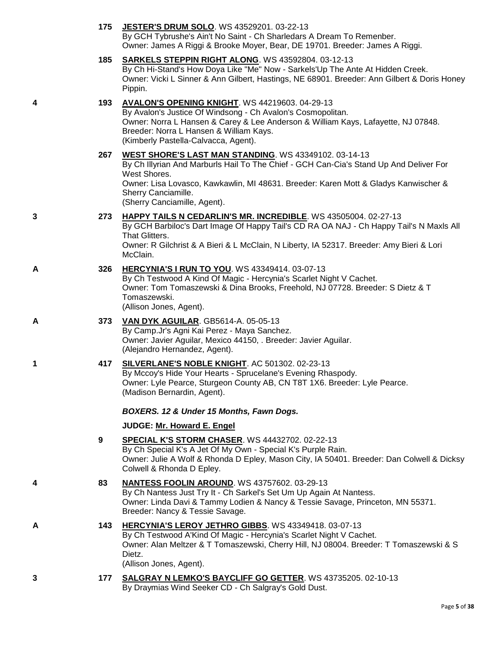|   | 175 | JESTER'S DRUM SOLO. WS 43529201. 03-22-13<br>By GCH Tybrushe's Ain't No Saint - Ch Sharledars A Dream To Remenber.<br>Owner: James A Riggi & Brooke Moyer, Bear, DE 19701. Breeder: James A Riggi.                                                                                                            |
|---|-----|---------------------------------------------------------------------------------------------------------------------------------------------------------------------------------------------------------------------------------------------------------------------------------------------------------------|
|   | 185 | <b>SARKELS STEPPIN RIGHT ALONG. WS 43592804. 03-12-13</b><br>By Ch Hi-Stand's How Doya Like "Me" Now - Sarkels'Up The Ante At Hidden Creek.<br>Owner: Vicki L Sinner & Ann Gilbert, Hastings, NE 68901. Breeder: Ann Gilbert & Doris Honey<br>Pippin.                                                         |
| 4 | 193 | <b>AVALON'S OPENING KNIGHT. WS 44219603. 04-29-13</b><br>By Avalon's Justice Of Windsong - Ch Avalon's Cosmopolitan.<br>Owner: Norra L Hansen & Carey & Lee Anderson & William Kays, Lafayette, NJ 07848.<br>Breeder: Norra L Hansen & William Kays.<br>(Kimberly Pastella-Calvacca, Agent).                  |
|   | 267 | WEST SHORE'S LAST MAN STANDING. WS 43349102. 03-14-13<br>By Ch Illyrian And Marburls Hail To The Chief - GCH Can-Cia's Stand Up And Deliver For<br>West Shores.<br>Owner: Lisa Lovasco, Kawkawlin, MI 48631. Breeder: Karen Mott & Gladys Kanwischer &<br>Sherry Canciamille.<br>(Sherry Canciamille, Agent). |
| 3 | 273 | HAPPY TAILS N CEDARLIN'S MR. INCREDIBLE. WS 43505004. 02-27-13<br>By GCH Barbiloc's Dart Image Of Happy Tail's CD RA OA NAJ - Ch Happy Tail's N Maxls All<br>That Glitters.<br>Owner: R Gilchrist & A Bieri & L McClain, N Liberty, IA 52317. Breeder: Amy Bieri & Lori<br>McClain.                           |
| A | 326 | <b>HERCYNIA'S I RUN TO YOU. WS 43349414. 03-07-13</b><br>By Ch Testwood A Kind Of Magic - Hercynia's Scarlet Night V Cachet.<br>Owner: Tom Tomaszewski & Dina Brooks, Freehold, NJ 07728. Breeder: S Dietz & T<br>Tomaszewski.<br>(Allison Jones, Agent).                                                     |
| A | 373 | VAN DYK AGUILAR. GB5614-A. 05-05-13<br>By Camp.Jr's Agni Kai Perez - Maya Sanchez.<br>Owner: Javier Aguilar, Mexico 44150, . Breeder: Javier Aguilar.<br>(Alejandro Hernandez, Agent).                                                                                                                        |
| 1 | 417 | SILVERLANE'S NOBLE KNIGHT. AC 501302. 02-23-13<br>By Mccoy's Hide Your Hearts - Sprucelane's Evening Rhaspody.<br>Owner: Lyle Pearce, Sturgeon County AB, CN T8T 1X6. Breeder: Lyle Pearce.<br>(Madison Bernardin, Agent).                                                                                    |
|   |     | BOXERS. 12 & Under 15 Months, Fawn Dogs.                                                                                                                                                                                                                                                                      |
|   |     | JUDGE: Mr. Howard E. Engel                                                                                                                                                                                                                                                                                    |
|   | 9   | SPECIAL K'S STORM CHASER. WS 44432702. 02-22-13<br>By Ch Special K's A Jet Of My Own - Special K's Purple Rain.<br>Owner: Julie A Wolf & Rhonda D Epley, Mason City, IA 50401. Breeder: Dan Colwell & Dicksy<br>Colwell & Rhonda D Epley.                                                                     |
| 4 | 83  | <b>NANTESS FOOLIN AROUND. WS 43757602. 03-29-13</b><br>By Ch Nantess Just Try It - Ch Sarkel's Set Um Up Again At Nantess.<br>Owner: Linda Davi & Tammy Lodien & Nancy & Tessie Savage, Princeton, MN 55371.<br>Breeder: Nancy & Tessie Savage.                                                               |
| А | 143 | HERCYNIA'S LEROY JETHRO GIBBS. WS 43349418. 03-07-13<br>By Ch Testwood A'Kind Of Magic - Hercynia's Scarlet Night V Cachet.<br>Owner: Alan Meltzer & T Tomaszewski, Cherry Hill, NJ 08004. Breeder: T Tomaszewski & S<br>Dietz.                                                                               |
| 3 | 177 | (Allison Jones, Agent).<br>SALGRAY N LEMKO'S BAYCLIFF GO GETTER. WS 43735205. 02-10-13                                                                                                                                                                                                                        |
|   |     | By Draymias Wind Seeker CD - Ch Salgray's Gold Dust.                                                                                                                                                                                                                                                          |

Page **5** of **38**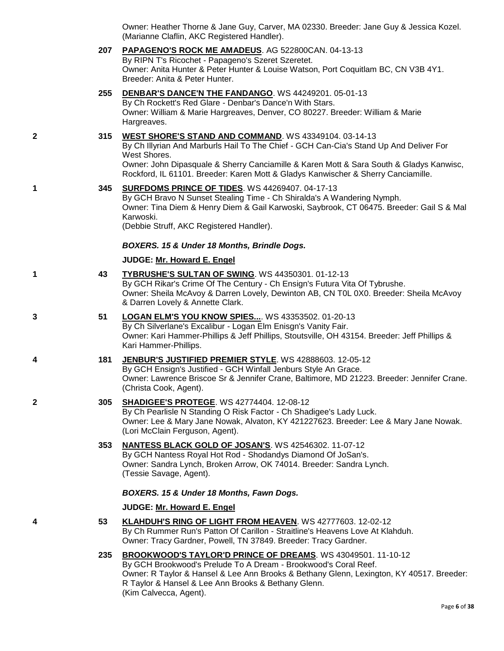Owner: Heather Thorne & Jane Guy, Carver, MA 02330. Breeder: Jane Guy & Jessica Kozel. (Marianne Claflin, AKC Registered Handler).

# **207 [PAPAGENO'S ROCK ME AMADEUS](http://www.infodog.com/files/bdogrsl1.prg;makc=AG%20522800CAN;mdog=Papageno_s_Rock_Me_Amadeus;wins=all)**. AG 522800CAN. 04-13-13

By RIPN T's Ricochet - Papageno's Szeret Szeretet. Owner: Anita Hunter & Peter Hunter & Louise Watson, Port Coquitlam BC, CN V3B 4Y1. Breeder: Anita & Peter Hunter.

# **255 [DENBAR'S DANCE'N THE FANDANGO](http://www.infodog.com/files/bdogrsl1.prg;makc=WS%2044249201;mdog=Denbar_s_Dance_N_The_Fandango;wins=all)**. WS 44249201. 05-01-13

By Ch Rockett's Red Glare - Denbar's Dance'n With Stars. Owner: William & Marie Hargreaves, Denver, CO 80227. Breeder: William & Marie Hargreaves.

### **2 315 [WEST SHORE'S STAND AND COMMAND](http://www.infodog.com/files/bdogrsl1.prg;makc=WS%2043349104;mdog=West_Shore_s_Stand_And_Command;wins=all)**. WS 43349104. 03-14-13

By Ch Illyrian And Marburls Hail To The Chief - GCH Can-Cia's Stand Up And Deliver For West Shores.

Owner: John Dipasquale & Sherry Canciamille & Karen Mott & Sara South & Gladys Kanwisc, Rockford, IL 61101. Breeder: Karen Mott & Gladys Kanwischer & Sherry Canciamille.

### **1 345 [SURFDOMS PRINCE OF TIDES](http://www.infodog.com/files/bdogrsl1.prg;makc=WS%2044269407;mdog=Surfdoms_Prince_Of_Tides;wins=all)**. WS 44269407. 04-17-13

By GCH Bravo N Sunset Stealing Time - Ch Shiralda's A Wandering Nymph. Owner: Tina Diem & Henry Diem & Gail Karwoski, Saybrook, CT 06475. Breeder: Gail S & Mal Karwoski. (Debbie Struff, AKC Registered Handler).

### *BOXERS. 15 & Under 18 Months, Brindle Dogs.*

### **JUDGE: [Mr. Howard E. Engel](http://www.infodog.com/judges/44716/juddat.htm)**

**1 43 [TYBRUSHE'S SULTAN OF SWING](http://www.infodog.com/files/bdogrsl1.prg;makc=WS%2044350301;mdog=Tybrushe_s_Sultan_Of_Swing;wins=all)**. WS 44350301. 01-12-13 By GCH Rikar's Crime Of The Century - Ch Ensign's Futura Vita Of Tybrushe.

Owner: Sheila McAvoy & Darren Lovely, Dewinton AB, CN T0L 0X0. Breeder: Sheila McAvoy & Darren Lovely & Annette Clark.

**3 51 [LOGAN ELM'S YOU KNOW SPIES...](http://www.infodog.com/files/bdogrsl1.prg;makc=WS%2043353502;mdog=Logan_Elm_s_You_Know_Spies...;wins=all)**. WS 43353502. 01-20-13

By Ch Silverlane's Excalibur - Logan Elm Enisgn's Vanity Fair. Owner: Kari Hammer-Phillips & Jeff Phillips, Stoutsville, OH 43154. Breeder: Jeff Phillips & Kari Hammer-Phillips.

#### **4 181 [JENBUR'S JUSTIFIED PREMIER STYLE](http://www.infodog.com/files/bdogrsl1.prg;makc=WS%2042888603;mdog=Jenbur_s_Justified_Premier_Style;wins=all)**. WS 42888603. 12-05-12 By GCH Ensign's Justified - GCH Winfall Jenburs Style An Grace. Owner: Lawrence Briscoe Sr & Jennifer Crane, Baltimore, MD 21223. Breeder: Jennifer Crane. (Christa Cook, Agent).

#### **2 305 [SHADIGEE'S PROTEGE](http://www.infodog.com/files/bdogrsl1.prg;makc=WS%2042774404;mdog=Shadigee_s_Protege;wins=all)**. WS 42774404. 12-08-12 By Ch Pearlisle N Standing O Risk Factor - Ch Shadigee's Lady Luck. Owner: Lee & Mary Jane Nowak, Alvaton, KY 421227623. Breeder: Lee & Mary Jane Nowak. (Lori McClain Ferguson, Agent).

**353 [NANTESS BLACK GOLD OF JOSAN'S](http://www.infodog.com/files/bdogrsl1.prg;makc=WS%2042546302;mdog=Nantess_Black_Gold_Of_JoSan_s;wins=all)**. WS 42546302. 11-07-12 By GCH Nantess Royal Hot Rod - Shodandys Diamond Of JoSan's. Owner: Sandra Lynch, Broken Arrow, OK 74014. Breeder: Sandra Lynch. (Tessie Savage, Agent).

# *BOXERS. 15 & Under 18 Months, Fawn Dogs.*

# **JUDGE: [Mr. Howard E. Engel](http://www.infodog.com/judges/44716/juddat.htm)**

**4 53 [KLAHDUH'S RING OF LIGHT FROM HEAVEN](http://www.infodog.com/files/bdogrsl1.prg;makc=WS%2042777603;mdog=Klahduh_s_Ring_Of_Light_From_Heaven;wins=all)**. WS 42777603. 12-02-12 By Ch Rummer Run's Patton Of Carillon - Straitline's Heavens Love At Klahduh. Owner: Tracy Gardner, Powell, TN 37849. Breeder: Tracy Gardner.

### **235 [BROOKWOOD'S TAYLOR'D PRINCE OF DREAMS](http://www.infodog.com/files/bdogrsl1.prg;makc=WS%2043049501;mdog=Brookwood_s_Taylor_d_Prince_Of_Dreams;wins=all)**. WS 43049501. 11-10-12 By GCH Brookwood's Prelude To A Dream - Brookwood's Coral Reef. Owner: R Taylor & Hansel & Lee Ann Brooks & Bethany Glenn, Lexington, KY 40517. Breeder: R Taylor & Hansel & Lee Ann Brooks & Bethany Glenn. (Kim Calvecca, Agent).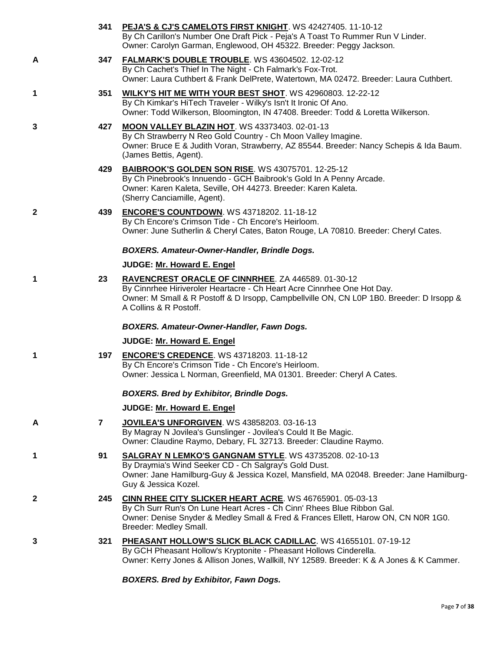|              |              | 341 PEJA'S & CJ'S CAMELOTS FIRST KNIGHT. WS 42427405. 11-10-12<br>By Ch Carillon's Number One Draft Pick - Peja's A Toast To Rummer Run V Linder.<br>Owner: Carolyn Garman, Englewood, OH 45322. Breeder: Peggy Jackson.                            |
|--------------|--------------|-----------------------------------------------------------------------------------------------------------------------------------------------------------------------------------------------------------------------------------------------------|
| A            | 347          | FALMARK'S DOUBLE TROUBLE. WS 43604502. 12-02-12<br>By Ch Cachet's Thief In The Night - Ch Falmark's Fox-Trot.<br>Owner: Laura Cuthbert & Frank DelPrete, Watertown, MA 02472. Breeder: Laura Cuthbert.                                              |
| 1            | 351          | <b>WILKY'S HIT ME WITH YOUR BEST SHOT. WS 42960803. 12-22-12</b><br>By Ch Kimkar's HiTech Traveler - Wilky's Isn't It Ironic Of Ano.<br>Owner: Todd Wilkerson, Bloomington, IN 47408. Breeder: Todd & Loretta Wilkerson.                            |
| 3            | 427          | MOON VALLEY BLAZIN HOT. WS 43373403. 02-01-13<br>By Ch Strawberry N Reo Gold Country - Ch Moon Valley Imagine.<br>Owner: Bruce E & Judith Voran, Strawberry, AZ 85544. Breeder: Nancy Schepis & Ida Baum.<br>(James Bettis, Agent).                 |
|              | 429          | BAIBROOK'S GOLDEN SON RISE. WS 43075701. 12-25-12<br>By Ch Pinebrook's Innuendo - GCH Baibrook's Gold In A Penny Arcade.<br>Owner: Karen Kaleta, Seville, OH 44273. Breeder: Karen Kaleta.<br>(Sherry Canciamille, Agent).                          |
| $\mathbf{2}$ | 439          | <b>ENCORE'S COUNTDOWN.</b> WS 43718202. 11-18-12<br>By Ch Encore's Crimson Tide - Ch Encore's Heirloom.<br>Owner: June Sutherlin & Cheryl Cates, Baton Rouge, LA 70810. Breeder: Cheryl Cates.                                                      |
|              |              | <b>BOXERS. Amateur-Owner-Handler, Brindle Dogs.</b>                                                                                                                                                                                                 |
|              |              | JUDGE: Mr. Howard E. Engel                                                                                                                                                                                                                          |
| 1            | 23           | RAVENCREST ORACLE OF CINNRHEE. ZA 446589. 01-30-12<br>By Cinnrhee Hiriveroler Heartacre - Ch Heart Acre Cinnrhee One Hot Day.<br>Owner: M Small & R Postoff & D Irsopp, Campbellville ON, CN L0P 1B0. Breeder: D Irsopp &<br>A Collins & R Postoff. |
|              |              | BOXERS. Amateur-Owner-Handler, Fawn Dogs.                                                                                                                                                                                                           |
|              |              | JUDGE: Mr. Howard E. Engel                                                                                                                                                                                                                          |
| 1            | 197          | <b>ENCORE'S CREDENCE.</b> WS 43718203. 11-18-12<br>By Ch Encore's Crimson Tide - Ch Encore's Heirloom.<br>Owner: Jessica L Norman, Greenfield, MA 01301. Breeder: Cheryl A Cates.                                                                   |
|              |              | <b>BOXERS. Bred by Exhibitor, Brindle Dogs.</b>                                                                                                                                                                                                     |
|              |              | JUDGE: Mr. Howard E. Engel                                                                                                                                                                                                                          |
| A            | $\mathbf{7}$ | JOVILEA'S UNFORGIVEN. WS 43858203. 03-16-13<br>By Magray N Jovilea's Gunslinger - Jovilea's Could It Be Magic.<br>Owner: Claudine Raymo, Debary, FL 32713. Breeder: Claudine Raymo.                                                                 |
| 1            | 91           | <b>SALGRAY N LEMKO'S GANGNAM STYLE. WS 43735208. 02-10-13</b><br>By Draymia's Wind Seeker CD - Ch Salgray's Gold Dust.<br>Owner: Jane Hamilburg-Guy & Jessica Kozel, Mansfield, MA 02048. Breeder: Jane Hamilburg-<br>Guy & Jessica Kozel.          |
| $\mathbf{2}$ | 245          | CINN RHEE CITY SLICKER HEART ACRE. WS 46765901. 05-03-13<br>By Ch Surr Run's On Lune Heart Acres - Ch Cinn' Rhees Blue Ribbon Gal.<br>Owner: Denise Snyder & Medley Small & Fred & Frances Ellett, Harow ON, CN N0R 1G0.<br>Breeder: Medley Small.  |
| 3            | 321          | PHEASANT HOLLOW'S SLICK BLACK CADILLAC. WS 41655101. 07-19-12<br>By GCH Pheasant Hollow's Kryptonite - Pheasant Hollows Cinderella.<br>Owner: Kerry Jones & Allison Jones, Wallkill, NY 12589. Breeder: K & A Jones & K Cammer.                     |

*BOXERS. Bred by Exhibitor, Fawn Dogs.*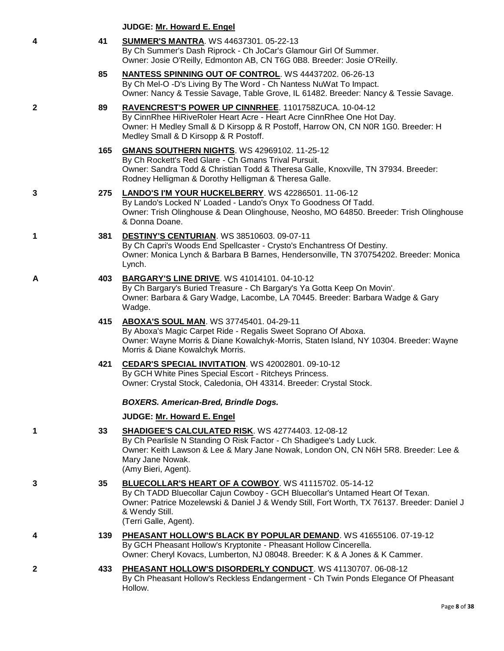|   |     | <b>JUDGE: Mr. Howard E. Engel</b>                                                                                                                                                                                                                                                |
|---|-----|----------------------------------------------------------------------------------------------------------------------------------------------------------------------------------------------------------------------------------------------------------------------------------|
| 4 | 41  | <b>SUMMER'S MANTRA. WS 44637301. 05-22-13</b><br>By Ch Summer's Dash Riprock - Ch JoCar's Glamour Girl Of Summer.<br>Owner: Josie O'Reilly, Edmonton AB, CN T6G 0B8. Breeder: Josie O'Reilly.                                                                                    |
|   | 85  | <b>NANTESS SPINNING OUT OF CONTROL. WS 44437202. 06-26-13</b><br>By Ch Mel-O -D's Living By The Word - Ch Nantess NuWat To Impact.<br>Owner: Nancy & Tessie Savage, Table Grove, IL 61482. Breeder: Nancy & Tessie Savage.                                                       |
| 2 | 89  | RAVENCREST'S POWER UP CINNRHEE. 1101758ZUCA. 10-04-12<br>By CinnRhee HiRiveRoler Heart Acre - Heart Acre CinnRhee One Hot Day.<br>Owner: H Medley Small & D Kirsopp & R Postoff, Harrow ON, CN N0R 1G0. Breeder: H<br>Medley Small & D Kirsopp & R Postoff.                      |
|   | 165 | <b>GMANS SOUTHERN NIGHTS. WS 42969102. 11-25-12</b><br>By Ch Rockett's Red Glare - Ch Gmans Trival Pursuit.<br>Owner: Sandra Todd & Christian Todd & Theresa Galle, Knoxville, TN 37934. Breeder:<br>Rodney Helligman & Dorothy Helligman & Theresa Galle.                       |
| 3 | 275 | LANDO'S I'M YOUR HUCKELBERRY. WS 42286501. 11-06-12<br>By Lando's Locked N' Loaded - Lando's Onyx To Goodness Of Tadd.<br>Owner: Trish Olinghouse & Dean Olinghouse, Neosho, MO 64850. Breeder: Trish Olinghouse<br>& Donna Doane.                                               |
| 1 | 381 | DESTINY'S CENTURIAN. WS 38510603. 09-07-11<br>By Ch Capri's Woods End Spellcaster - Crysto's Enchantress Of Destiny.<br>Owner: Monica Lynch & Barbara B Barnes, Hendersonville, TN 370754202. Breeder: Monica<br>Lynch.                                                          |
| Α | 403 | BARGARY'S LINE DRIVE. WS 41014101. 04-10-12<br>By Ch Bargary's Buried Treasure - Ch Bargary's Ya Gotta Keep On Movin'.<br>Owner: Barbara & Gary Wadge, Lacombe, LA 70445. Breeder: Barbara Wadge & Gary<br>Wadge.                                                                |
|   | 415 | <b>ABOXA'S SOUL MAN. WS 37745401. 04-29-11</b><br>By Aboxa's Magic Carpet Ride - Regalis Sweet Soprano Of Aboxa.<br>Owner: Wayne Morris & Diane Kowalchyk-Morris, Staten Island, NY 10304. Breeder: Wayne<br>Morris & Diane Kowalchyk Morris.                                    |
|   | 421 | CEDAR'S SPECIAL INVITATION. WS 42002801. 09-10-12<br>By GCH White Pines Special Escort - Ritcheys Princess.<br>Owner: Crystal Stock, Caledonia, OH 43314. Breeder: Crystal Stock.                                                                                                |
|   |     | <b>BOXERS. American-Bred, Brindle Dogs.</b>                                                                                                                                                                                                                                      |
|   |     | JUDGE: Mr. Howard E. Engel                                                                                                                                                                                                                                                       |
| 1 | 33  | SHADIGEE'S CALCULATED RISK. WS 42774403. 12-08-12<br>By Ch Pearlisle N Standing O Risk Factor - Ch Shadigee's Lady Luck.<br>Owner: Keith Lawson & Lee & Mary Jane Nowak, London ON, CN N6H 5R8. Breeder: Lee &<br>Mary Jane Nowak.<br>(Amy Bieri, Agent).                        |
| 3 | 35  | BLUECOLLAR'S HEART OF A COWBOY. WS 41115702. 05-14-12<br>By Ch TADD Bluecollar Cajun Cowboy - GCH Bluecollar's Untamed Heart Of Texan.<br>Owner: Patrice Mozelewski & Daniel J & Wendy Still, Fort Worth, TX 76137. Breeder: Daniel J<br>& Wendy Still.<br>(Terri Galle, Agent). |
| 4 | 139 | PHEASANT HOLLOW'S BLACK BY POPULAR DEMAND. WS 41655106. 07-19-12<br>By GCH Pheasant Hollow's Kryptonite - Pheasant Hollow Cincerella.<br>Owner: Cheryl Kovacs, Lumberton, NJ 08048. Breeder: K & A Jones & K Cammer.                                                             |
| 2 | 433 | PHEASANT HOLLOW'S DISORDERLY CONDUCT. WS 41130707. 06-08-12<br>By Ch Pheasant Hollow's Reckless Endangerment - Ch Twin Ponds Elegance Of Pheasant<br>Hollow.                                                                                                                     |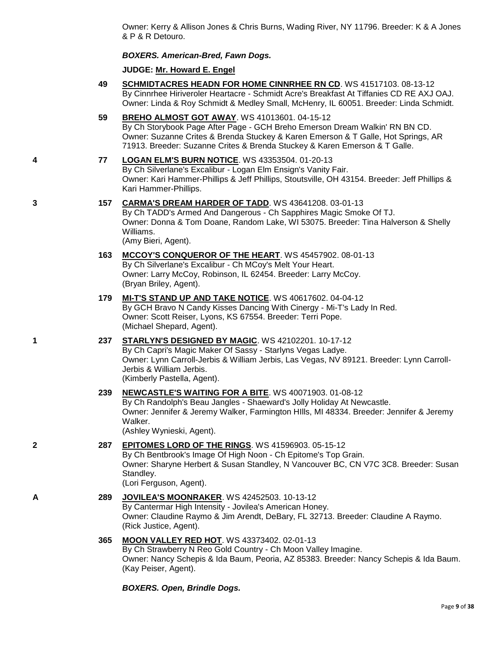Owner: Kerry & Allison Jones & Chris Burns, Wading River, NY 11796. Breeder: K & A Jones & P & R Detouro.

#### *BOXERS. American-Bred, Fawn Dogs.*

#### **JUDGE: [Mr. Howard E. Engel](http://www.infodog.com/judges/44716/juddat.htm)**

- **49 [SCHMIDTACRES HEADN FOR HOME CINNRHEE RN CD](http://www.infodog.com/files/bdogrsl1.prg;makc=WS%2041517103;mdog=Schmidtacres_Headn_For_Home_Cinnrhee_RN_CD;wins=all)**. WS 41517103. 08-13-12 By Cinnrhee Hiriveroler Heartacre - Schmidt Acre's Breakfast At Tiffanies CD RE AXJ OAJ. Owner: Linda & Roy Schmidt & Medley Small, McHenry, IL 60051. Breeder: Linda Schmidt.
- **59 [BREHO ALMOST GOT AWAY](http://www.infodog.com/files/bdogrsl1.prg;makc=WS%2041013601;mdog=Breho_Almost_Got_Away;wins=all)**. WS 41013601. 04-15-12 By Ch Storybook Page After Page - GCH Breho Emerson Dream Walkin' RN BN CD. Owner: Suzanne Crites & Brenda Stuckey & Karen Emerson & T Galle, Hot Springs, AR 71913. Breeder: Suzanne Crites & Brenda Stuckey & Karen Emerson & T Galle.

### **4 77 [LOGAN ELM'S BURN NOTICE](http://www.infodog.com/files/bdogrsl1.prg;makc=WS%2043353504;mdog=Logan_Elm_s_Burn_Notice;wins=all)**. WS 43353504. 01-20-13 By Ch Silverlane's Excalibur - Logan Elm Ensign's Vanity Fair.

Owner: Kari Hammer-Phillips & Jeff Phillips, Stoutsville, OH 43154. Breeder: Jeff Phillips & Kari Hammer-Phillips.

# **3 157 [CARMA'S DREAM HARDER OF TADD](http://www.infodog.com/files/bdogrsl1.prg;makc=WS%2043641208;mdog=CarMa_s_Dream_Harder_Of_TADD;wins=all)**. WS 43641208. 03-01-13

By Ch TADD's Armed And Dangerous - Ch Sapphires Magic Smoke Of TJ. Owner: Donna & Tom Doane, Random Lake, WI 53075. Breeder: Tina Halverson & Shelly Williams. (Amy Bieri, Agent).

#### **163 [MCCOY'S CONQUEROR OF THE HEART](http://www.infodog.com/files/bdogrsl1.prg;makc=WS%2045457902;mdog=McCoy_s_Conqueror_Of_The_Heart;wins=all)**. WS 45457902. 08-01-13 By Ch Silverlane's Excalibur - Ch MCoy's Melt Your Heart. Owner: Larry McCoy, Robinson, IL 62454. Breeder: Larry McCoy. (Bryan Briley, Agent).

#### **179 [MI-T'S STAND UP AND TAKE NOTICE](http://www.infodog.com/files/bdogrsl1.prg;makc=WS%2040617602;mdog=Mi-T_s_Stand_Up_And_Take_Notice;wins=all)**. WS 40617602. 04-04-12 By GCH Bravo N Candy Kisses Dancing With Cinergy - Mi-T's Lady In Red. Owner: Scott Reiser, Lyons, KS 67554. Breeder: Terri Pope. (Michael Shepard, Agent).

# **1 237 [STARLYN'S DESIGNED BY MAGIC](http://www.infodog.com/files/bdogrsl1.prg;makc=WS%2042102201;mdog=Starlyn_s_Designed_By_Magic;wins=all)**. WS 42102201. 10-17-12

By Ch Capri's Magic Maker Of Sassy - Starlyns Vegas Ladye. Owner: Lynn Carroll-Jerbis & William Jerbis, Las Vegas, NV 89121. Breeder: Lynn Carroll-Jerbis & William Jerbis. (Kimberly Pastella, Agent).

# **239 [NEWCASTLE'S WAITING FOR A BITE](http://www.infodog.com/files/bdogrsl1.prg;makc=WS%2040071903;mdog=Newcastle_s_Waiting_For_A_Bite;wins=all)**. WS 40071903. 01-08-12

By Ch Randolph's Beau Jangles - Shaeward's Jolly Holiday At Newcastle. Owner: Jennifer & Jeremy Walker, Farmington HIlls, MI 48334. Breeder: Jennifer & Jeremy Walker. (Ashley Wynieski, Agent).

# **2 287 [EPITOMES LORD OF THE RINGS](http://www.infodog.com/files/bdogrsl1.prg;makc=WS%2041596903;mdog=Epitomes_Lord_Of_The_Rings;wins=all)**. WS 41596903. 05-15-12

By Ch Bentbrook's Image Of High Noon - Ch Epitome's Top Grain. Owner: Sharyne Herbert & Susan Standley, N Vancouver BC, CN V7C 3C8. Breeder: Susan Standley. (Lori Ferguson, Agent).

**A 289 [JOVILEA'S MOONRAKER](http://www.infodog.com/files/bdogrsl1.prg;makc=WS%2042452503;mdog=Jovilea_s_Moonraker;wins=all)**. WS 42452503. 10-13-12 By Cantermar High Intensity - Jovilea's American Honey. Owner: Claudine Raymo & Jim Arendt, DeBary, FL 32713. Breeder: Claudine A Raymo. (Rick Justice, Agent).

#### **365 [MOON VALLEY RED HOT](http://www.infodog.com/files/bdogrsl1.prg;makc=WS%2043373402;mdog=Moon_Valley_Red_Hot;wins=all)**. WS 43373402. 02-01-13 By Ch Strawberry N Reo Gold Country - Ch Moon Valley Imagine.

Owner: Nancy Schepis & Ida Baum, Peoria, AZ 85383. Breeder: Nancy Schepis & Ida Baum. (Kay Peiser, Agent).

*BOXERS. Open, Brindle Dogs.*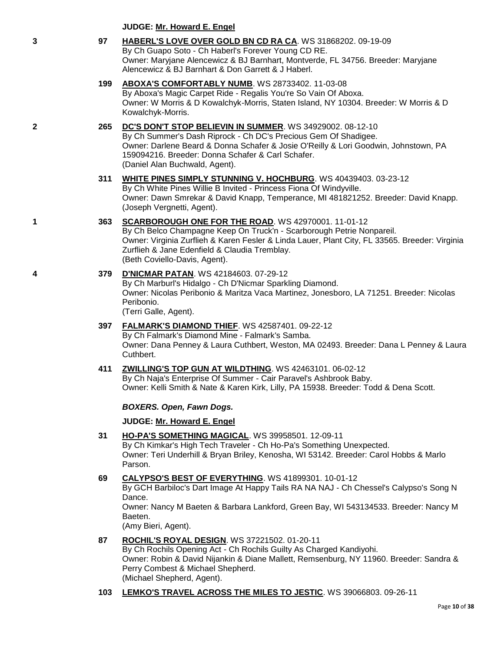| 3 | 97  | HABERL'S LOVE OVER GOLD BN CD RA CA. WS 31868202. 09-19-09<br>By Ch Guapo Soto - Ch Haberl's Forever Young CD RE.<br>Owner: Maryjane Alencewicz & BJ Barnhart, Montverde, FL 34756. Breeder: Maryjane<br>Alencewicz & BJ Barnhart & Don Garrett & J Haberl.                                                      |
|---|-----|------------------------------------------------------------------------------------------------------------------------------------------------------------------------------------------------------------------------------------------------------------------------------------------------------------------|
|   | 199 | ABOXA'S COMFORTABLY NUMB. WS 28733402. 11-03-08<br>By Aboxa's Magic Carpet Ride - Regalis You're So Vain Of Aboxa.<br>Owner: W Morris & D Kowalchyk-Morris, Staten Island, NY 10304. Breeder: W Morris & D<br>Kowalchyk-Morris.                                                                                  |
| 2 | 265 | DC'S DON'T STOP BELIEVIN IN SUMMER. WS 34929002. 08-12-10<br>By Ch Summer's Dash Riprock - Ch DC's Precious Gem Of Shadigee.<br>Owner: Darlene Beard & Donna Schafer & Josie O'Reilly & Lori Goodwin, Johnstown, PA<br>159094216. Breeder: Donna Schafer & Carl Schafer.<br>(Daniel Alan Buchwald, Agent).       |
|   | 311 | WHITE PINES SIMPLY STUNNING V. HOCHBURG. WS 40439403. 03-23-12<br>By Ch White Pines Willie B Invited - Princess Fiona Of Windyville.<br>Owner: Dawn Smrekar & David Knapp, Temperance, MI 481821252. Breeder: David Knapp.<br>(Joseph Vergnetti, Agent).                                                         |
| 1 | 363 | SCARBOROUGH ONE FOR THE ROAD. WS 42970001. 11-01-12<br>By Ch Belco Champagne Keep On Truck'n - Scarborough Petrie Nonpareil.<br>Owner: Virginia Zurflieh & Karen Fesler & Linda Lauer, Plant City, FL 33565. Breeder: Virginia<br>Zurflieh & Jane Edenfield & Claudia Tremblay.<br>(Beth Coviello-Davis, Agent). |
| 4 | 379 | <b>D'NICMAR PATAN.</b> WS 42184603. 07-29-12<br>By Ch Marburl's Hidalgo - Ch D'Nicmar Sparkling Diamond.<br>Owner: Nicolas Peribonio & Maritza Vaca Martinez, Jonesboro, LA 71251. Breeder: Nicolas<br>Peribonio.<br>(Terri Galle, Agent).                                                                       |
|   | 397 | FALMARK'S DIAMOND THIEF. WS 42587401. 09-22-12<br>By Ch Falmark's Diamond Mine - Falmark's Samba.<br>Owner: Dana Penney & Laura Cuthbert, Weston, MA 02493. Breeder: Dana L Penney & Laura<br>Cuthbert.                                                                                                          |
|   | 411 | ZWILLING'S TOP GUN AT WILDTHING. WS 42463101. 06-02-12<br>By Ch Naja's Enterprise Of Summer - Cair Paravel's Ashbrook Baby.<br>Owner: Kelli Smith & Nate & Karen Kirk, Lilly, PA 15938. Breeder: Todd & Dena Scott.                                                                                              |
|   |     | <b>BOXERS. Open, Fawn Dogs.</b>                                                                                                                                                                                                                                                                                  |
|   |     | JUDGE: Mr. Howard E. Engel                                                                                                                                                                                                                                                                                       |
|   | 31  | HO-PA'S SOMETHING MAGICAL. WS 39958501. 12-09-11<br>By Ch Kimkar's High Tech Traveler - Ch Ho-Pa's Something Unexpected.<br>Owner: Teri Underhill & Bryan Briley, Kenosha, WI 53142. Breeder: Carol Hobbs & Marlo<br>Parson.                                                                                     |
|   | 69  | CALYPSO'S BEST OF EVERYTHING. WS 41899301. 10-01-12<br>By GCH Barbiloc's Dart Image At Happy Tails RA NA NAJ - Ch Chessel's Calypso's Song N<br>Dance.<br>Owner: Nancy M Baeten & Barbara Lankford, Green Bay, WI 543134533. Breeder: Nancy M<br>Baeten.<br>(Amy Bieri, Agent).                                  |
|   | 87  | <b>ROCHIL'S ROYAL DESIGN. WS 37221502. 01-20-11</b><br>By Ch Rochils Opening Act - Ch Rochils Guilty As Charged Kandiyohi.<br>Owner: Robin & David Nijankin & Diane Mallett, Remsenburg, NY 11960. Breeder: Sandra &<br>Perry Combest & Michael Shepherd.                                                        |

(Michael Shepherd, Agent).

**JUDGE: [Mr. Howard E. Engel](http://www.infodog.com/judges/44716/juddat.htm)**

# **103 [LEMKO'S TRAVEL ACROSS THE MILES TO JESTIC](http://www.infodog.com/files/bdogrsl1.prg;makc=WS%2039066803;mdog=Lemko_s_Travel_Across_The_Miles_To_Jestic;wins=all)**. WS 39066803. 09-26-11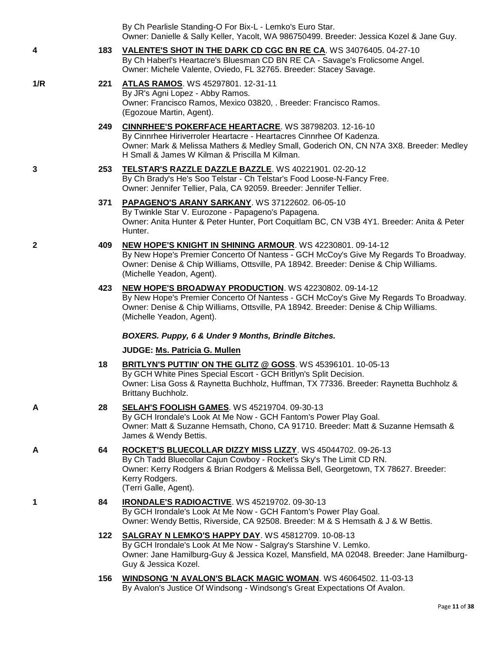|              |     | By Ch Pearlisle Standing-O For Bix-L - Lemko's Euro Star.<br>Owner: Danielle & Sally Keller, Yacolt, WA 986750499. Breeder: Jessica Kozel & Jane Guy.                                                                                                                          |
|--------------|-----|--------------------------------------------------------------------------------------------------------------------------------------------------------------------------------------------------------------------------------------------------------------------------------|
| 4            | 183 | VALENTE'S SHOT IN THE DARK CD CGC BN RE CA. WS 34076405. 04-27-10<br>By Ch Haberl's Heartacre's Bluesman CD BN RE CA - Savage's Frolicsome Angel.<br>Owner: Michele Valente, Oviedo, FL 32765. Breeder: Stacey Savage.                                                         |
| 1/R          | 221 | ATLAS RAMOS. WS 45297801. 12-31-11<br>By JR's Agni Lopez - Abby Ramos.<br>Owner: Francisco Ramos, Mexico 03820, . Breeder: Francisco Ramos.<br>(Egozoue Martin, Agent).                                                                                                        |
|              | 249 | CINNRHEE'S POKERFACE HEARTACRE. WS 38798203. 12-16-10<br>By Cinnrhee Hiriverroler Heartacre - Heartacres Cinnrhee Of Kadenza.<br>Owner: Mark & Melissa Mathers & Medley Small, Goderich ON, CN N7A 3X8. Breeder: Medley<br>H Small & James W Kilman & Priscilla M Kilman.      |
| 3            | 253 | TELSTAR'S RAZZLE DAZZLE BAZZLE. WS 40221901. 02-20-12<br>By Ch Brady's He's Soo Telstar - Ch Telstar's Food Loose-N-Fancy Free.<br>Owner: Jennifer Tellier, Pala, CA 92059. Breeder: Jennifer Tellier.                                                                         |
|              | 371 | PAPAGENO'S ARANY SARKANY. WS 37122602. 06-05-10<br>By Twinkle Star V. Eurozone - Papageno's Papagena.<br>Owner: Anita Hunter & Peter Hunter, Port Coquitlam BC, CN V3B 4Y1. Breeder: Anita & Peter<br>Hunter.                                                                  |
| $\mathbf{2}$ | 409 | <b>NEW HOPE'S KNIGHT IN SHINING ARMOUR.</b> WS 42230801. 09-14-12<br>By New Hope's Premier Concerto Of Nantess - GCH McCoy's Give My Regards To Broadway.<br>Owner: Denise & Chip Williams, Ottsville, PA 18942. Breeder: Denise & Chip Williams.<br>(Michelle Yeadon, Agent). |
|              | 423 | NEW HOPE'S BROADWAY PRODUCTION. WS 42230802. 09-14-12<br>By New Hope's Premier Concerto Of Nantess - GCH McCoy's Give My Regards To Broadway.<br>Owner: Denise & Chip Williams, Ottsville, PA 18942. Breeder: Denise & Chip Williams.<br>(Michelle Yeadon, Agent).             |
|              |     | BOXERS. Puppy, 6 & Under 9 Months, Brindle Bitches.                                                                                                                                                                                                                            |
|              |     | JUDGE: Ms. Patricia G. Mullen                                                                                                                                                                                                                                                  |
|              | 18  | BRITLYN'S PUTTIN' ON THE GLITZ @ GOSS. WS 45396101. 10-05-13<br>By GCH White Pines Special Escort - GCH Britlyn's Split Decision.<br>Owner: Lisa Goss & Raynetta Buchholz, Huffman, TX 77336. Breeder: Raynetta Buchholz &<br>Brittany Buchholz.                               |
| A            | 28  | <b>SELAH'S FOOLISH GAMES. WS 45219704. 09-30-13</b><br>By GCH Irondale's Look At Me Now - GCH Fantom's Power Play Goal.<br>Owner: Matt & Suzanne Hemsath, Chono, CA 91710. Breeder: Matt & Suzanne Hemsath &<br>James & Wendy Bettis.                                          |
| A            | 64  | ROCKET'S BLUECOLLAR DIZZY MISS LIZZY. WS 45044702. 09-26-13<br>By Ch Tadd Bluecollar Cajun Cowboy - Rocket's Sky's The Limit CD RN.<br>Owner: Kerry Rodgers & Brian Rodgers & Melissa Bell, Georgetown, TX 78627. Breeder:<br>Kerry Rodgers.<br>(Terri Galle, Agent).          |
|              | 84  | <b>IRONDALE'S RADIOACTIVE. WS 45219702. 09-30-13</b><br>By GCH Irondale's Look At Me Now - GCH Fantom's Power Play Goal.<br>Owner: Wendy Bettis, Riverside, CA 92508. Breeder: M & S Hemsath & J & W Bettis.                                                                   |
|              | 122 | SALGRAY N LEMKO'S HAPPY DAY. WS 45812709. 10-08-13<br>By GCH Irondale's Look At Me Now - Salgray's Starshine V. Lemko.<br>Owner: Jane Hamilburg-Guy & Jessica Kozel, Mansfield, MA 02048. Breeder: Jane Hamilburg-<br>Guy & Jessica Kozel.                                     |
|              | 156 | WINDSONG 'N AVALON'S BLACK MAGIC WOMAN. WS 46064502. 11-03-13<br>By Avalon's Justice Of Windsong - Windsong's Great Expectations Of Avalon.                                                                                                                                    |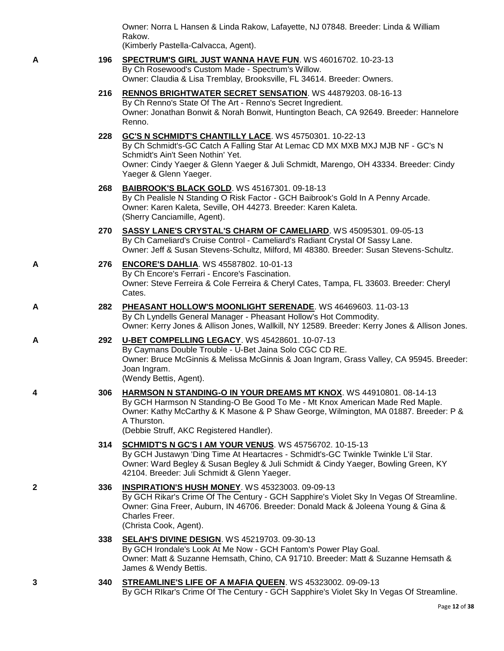Owner: Norra L Hansen & Linda Rakow, Lafayette, NJ 07848. Breeder: Linda & William Rakow.

(Kimberly Pastella-Calvacca, Agent).

#### **A 196 [SPECTRUM'S GIRL JUST WANNA HAVE FUN](http://www.infodog.com/files/bdogrsl1.prg;makc=WS%2046016702;mdog=Spectrum_s_Girl_Just_Wanna_Have_Fun;wins=all)**. WS 46016702. 10-23-13 By Ch Rosewood's Custom Made - Spectrum's Willow. Owner: Claudia & Lisa Tremblay, Brooksville, FL 34614. Breeder: Owners.

**216 [RENNOS BRIGHTWATER SECRET SENSATION](http://www.infodog.com/files/bdogrsl1.prg;makc=WS%2044879203;mdog=Rennos_Brightwater_Secret_Sensation;wins=all)**. WS 44879203. 08-16-13 By Ch Renno's State Of The Art - Renno's Secret Ingredient. Owner: Jonathan Bonwit & Norah Bonwit, Huntington Beach, CA 92649. Breeder: Hannelore Renno.

### **228 [GC'S N SCHMIDT'S CHANTILLY LACE](http://www.infodog.com/files/bdogrsl1.prg;makc=WS%2045750301;mdog=GC_s_N_Schmidt_s_Chantilly_Lace;wins=all)**. WS 45750301. 10-22-13

By Ch Schmidt's-GC Catch A Falling Star At Lemac CD MX MXB MXJ MJB NF - GC's N Schmidt's Ain't Seen Nothin' Yet. Owner: Cindy Yaeger & Glenn Yaeger & Juli Schmidt, Marengo, OH 43334. Breeder: Cindy Yaeger & Glenn Yaeger.

**268 [BAIBROOK'S BLACK GOLD](http://www.infodog.com/files/bdogrsl1.prg;makc=WS%2045167301;mdog=Baibrook_s_Black_Gold;wins=all)**. WS 45167301. 09-18-13

By Ch Pealisle N Standing O Risk Factor - GCH Baibrook's Gold In A Penny Arcade. Owner: Karen Kaleta, Seville, OH 44273. Breeder: Karen Kaleta. (Sherry Canciamille, Agent).

- **270 [SASSY LANE'S CRYSTAL'S CHARM OF CAMELIARD](http://www.infodog.com/files/bdogrsl1.prg;makc=WS%2045095301;mdog=Sassy_Lane_s_Crystal_s_Charm_Of_Cameliard;wins=all)**. WS 45095301. 09-05-13 By Ch Cameliard's Cruise Control - Cameliard's Radiant Crystal Of Sassy Lane. Owner: Jeff & Susan Stevens-Schultz, Milford, MI 48380. Breeder: Susan Stevens-Schultz.
- **A 276 [ENCORE'S DAHLIA](http://www.infodog.com/files/bdogrsl1.prg;makc=WS%2045587802;mdog=Encore_s_Dahlia;wins=all)**. WS 45587802. 10-01-13 By Ch Encore's Ferrari - Encore's Fascination. Owner: Steve Ferreira & Cole Ferreira & Cheryl Cates, Tampa, FL 33603. Breeder: Cheryl Cates.
- **A 282 [PHEASANT HOLLOW'S MOONLIGHT SERENADE](http://www.infodog.com/files/bdogrsl1.prg;makc=WS%2046469603;mdog=Pheasant_Hollow_s_Moonlight_Serenade;wins=all)**. WS 46469603. 11-03-13 By Ch Lyndells General Manager - Pheasant Hollow's Hot Commodity. Owner: Kerry Jones & Allison Jones, Wallkill, NY 12589. Breeder: Kerry Jones & Allison Jones.
- **A 292 [U-BET COMPELLING LEGACY](http://www.infodog.com/files/bdogrsl1.prg;makc=WS%2045428601;mdog=U-Bet_Compelling_Legacy;wins=all)**. WS 45428601. 10-07-13 By Caymans Double Trouble - U-Bet Jaina Solo CGC CD RE. Owner: Bruce McGinnis & Melissa McGinnis & Joan Ingram, Grass Valley, CA 95945. Breeder: Joan Ingram. (Wendy Bettis, Agent).
- **4 306 [HARMSON N STANDING-O IN YOUR DREAMS MT KNOX](http://www.infodog.com/files/bdogrsl1.prg;makc=WS%2044910801;mdog=Harmson_N_Standing-O_In_Your_Dreams_Mt_Knox;wins=all)**. WS 44910801. 08-14-13 By GCH Harmson N Standing-O Be Good To Me - Mt Knox American Made Red Maple. Owner: Kathy McCarthy & K Masone & P Shaw George, Wilmington, MA 01887. Breeder: P & A Thurston.

(Debbie Struff, AKC Registered Handler).

- **314 [SCHMIDT'S N GC'S I AM YOUR VENUS](http://www.infodog.com/files/bdogrsl1.prg;makc=WS%2045756702;mdog=Schmidt_s_N_GC_s_I_Am_Your_Venus;wins=all)**. WS 45756702. 10-15-13 By GCH Justawyn 'Ding Time At Heartacres - Schmidt's-GC Twinkle Twinkle L'il Star. Owner: Ward Begley & Susan Begley & Juli Schmidt & Cindy Yaeger, Bowling Green, KY 42104. Breeder: Juli Schmidt & Glenn Yaeger.
- **2 336 [INSPIRATION'S HUSH MONEY](http://www.infodog.com/files/bdogrsl1.prg;makc=WS%2045323003;mdog=Inspiration_s_Hush_Money;wins=all)**. WS 45323003. 09-09-13 By GCH Rikar's Crime Of The Century - GCH Sapphire's Violet Sky In Vegas Of Streamline. Owner: Gina Freer, Auburn, IN 46706. Breeder: Donald Mack & Joleena Young & Gina & Charles Freer. (Christa Cook, Agent).
	- **338 [SELAH'S DIVINE DESIGN](http://www.infodog.com/files/bdogrsl1.prg;makc=WS%2045219703;mdog=Selah_s_Divine_Design;wins=all)**. WS 45219703. 09-30-13 By GCH Irondale's Look At Me Now - GCH Fantom's Power Play Goal. Owner: Matt & Suzanne Hemsath, Chino, CA 91710. Breeder: Matt & Suzanne Hemsath & James & Wendy Bettis.
- **3 340 [STREAMLINE'S LIFE](http://www.infodog.com/files/bdogrsl1.prg;makc=WS%2045323002;mdog=Streamline_s_Life_Of_A_Mafia_Queen;wins=all) OF A MAFIA QUEEN**. WS 45323002. 09-09-13 By GCH RIkar's Crime Of The Century - GCH Sapphire's Violet Sky In Vegas Of Streamline.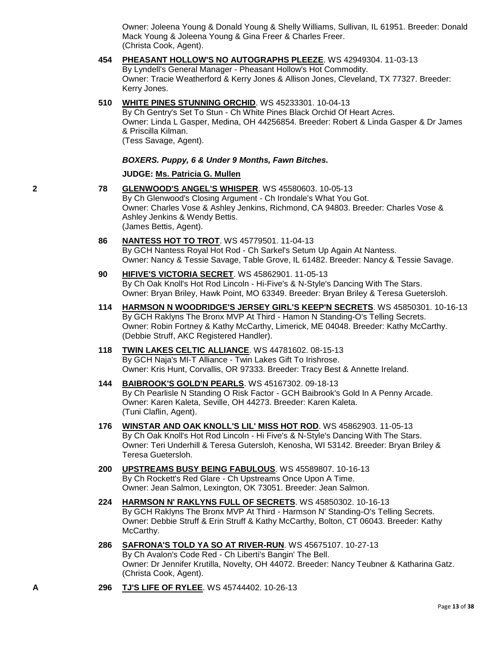Owner: Joleena Young & Donald Young & Shelly Williams, Sullivan, IL 61951. Breeder: Donald Mack Young & Joleena Young & Gina Freer & Charles Freer. (Christa Cook, Agent).

- **454 [PHEASANT HOLLOW'S NO AUTOGRAPHS PLEEZE](http://www.infodog.com/files/bdogrsl1.prg;makc=WS%2042949304;mdog=Pheasant_Hollow_s_No_Autographs_Pleeze;wins=all)**. WS 42949304. 11-03-13 By Lyndell's General Manager - Pheasant Hollow's Hot Commodity. Owner: Tracie Weatherford & Kerry Jones & Allison Jones, Cleveland, TX 77327. Breeder: Kerry Jones.
- **510 [WHITE PINES STUNNING ORCHID](http://www.infodog.com/files/bdogrsl1.prg;makc=WS%2045233301;mdog=White_Pines_Stunning_Orchid;wins=all)**. WS 45233301. 10-04-13

By Ch Gentry's Set To Stun - Ch White Pines Black Orchid Of Heart Acres. Owner: Linda L Gasper, Medina, OH 44256854. Breeder: Robert & Linda Gasper & Dr James & Priscilla Kilman. (Tess Savage, Agent).

*BOXERS. Puppy, 6 & Under 9 Months, Fawn Bitches.*

#### **JUDGE: [Ms. Patricia G. Mullen](http://www.infodog.com/judges/32334/juddat.htm)**

- **2 78 [GLENWOOD'S ANGEL'S WHISPER](http://www.infodog.com/files/bdogrsl1.prg;makc=WS%2045580603;mdog=Glenwood_s_Angel_s_Whisper;wins=all)**. WS 45580603. 10-05-13 By Ch Glenwood's Closing Argument - Ch Irondale's What You Got. Owner: Charles Vose & Ashley Jenkins, Richmond, CA 94803. Breeder: Charles Vose & Ashley Jenkins & Wendy Bettis. (James Bettis, Agent).
	- **86 [NANTESS HOT TO TROT](http://www.infodog.com/files/bdogrsl1.prg;makc=WS%2045779501;mdog=Nantess_Hot_To_Trot;wins=all)**. WS 45779501. 11-04-13 By GCH Nantess Royal Hot Rod - Ch Sarkel's Setum Up Again At Nantess. Owner: Nancy & Tessie Savage, Table Grove, IL 61482. Breeder: Nancy & Tessie Savage.
	- **90 [HIFIVE'S VICTORIA SECRET](http://www.infodog.com/files/bdogrsl1.prg;makc=WS%2045862901;mdog=HiFive_s_Victoria_Secret;wins=all)**. WS 45862901. 11-05-13 By Ch Oak Knoll's Hot Rod Lincoln - Hi-Five's & N-Style's Dancing With The Stars. Owner: Bryan Briley, Hawk Point, MO 63349. Breeder: Bryan Briley & Teresa Guetersloh.
	- **114 [HARMSON N WOODRIDGE'S JERSEY GIRL'S KEEP'N SECRETS](http://www.infodog.com/files/bdogrsl1.prg;makc=WS%2045850301;mdog=Harmson_N_Woodridge_s_Jersey_Girl_s_Keep_n_Secrets;wins=all)**. WS 45850301. 10-16-13 By GCH Raklyns The Bronx MVP At Third - Hamon N Standing-O's Telling Secrets. Owner: Robin Fortney & Kathy McCarthy, Limerick, ME 04048. Breeder: Kathy McCarthy. (Debbie Struff, AKC Registered Handler).
	- **118 [TWIN LAKES CELTIC ALLIANCE](http://www.infodog.com/files/bdogrsl1.prg;makc=WS%2044781602;mdog=Twin_Lakes_Celtic_Alliance;wins=all)**. WS 44781602. 08-15-13 By GCH Naja's MI-T Alliance - Twin Lakes Gift To Irishrose. Owner: Kris Hunt, Corvallis, OR 97333. Breeder: Tracy Best & Annette Ireland.
	- **144 [BAIBROOK'S GOLD'N PEARLS](http://www.infodog.com/files/bdogrsl1.prg;makc=WS%2045167302;mdog=Baibrook_s_Gold_N_Pearls;wins=all)**. WS 45167302. 09-18-13 By Ch Pearlisle N Standing O Risk Factor - GCH Baibrook's Gold In A Penny Arcade. Owner: Karen Kaleta, Seville, OH 44273. Breeder: Karen Kaleta. (Tuni Claflin, Agent).
	- **176 [WINSTAR AND OAK KNOLL'S LIL' MISS HOT ROD](http://www.infodog.com/files/bdogrsl1.prg;makc=WS%2045862903;mdog=Winstar_And_Oak_Knoll_s_Lil__Miss_Hot_Rod;wins=all)**. WS 45862903. 11-05-13 By Ch Oak Knoll's Hot Rod Lincoln - Hi Five's & N-Style's Dancing With The Stars. Owner: Teri Underhill & Teresa Gutersloh, Kenosha, WI 53142. Breeder: Bryan Briley & Teresa Guetersloh.
	- **200 [UPSTREAMS BUSY BEING FABULOUS](http://www.infodog.com/files/bdogrsl1.prg;makc=WS%2045589807;mdog=Upstreams_Busy_Being_Fabulous;wins=all)**. WS 45589807. 10-16-13 By Ch Rockett's Red Glare - Ch Upstreams Once Upon A Time. Owner: Jean Salmon, Lexington, OK 73051. Breeder: Jean Salmon.
	- **224 [HARMSON N' RAKLYNS FULL OF SECRETS](http://www.infodog.com/files/bdogrsl1.prg;makc=WS%2045850302;mdog=Harmson_N__Raklyns_Full_Of_Secrets;wins=all)**. WS 45850302. 10-16-13 By GCH Raklyns The Bronx MVP At Third - Harmson N' Standing-O's Telling Secrets. Owner: Debbie Struff & Erin Struff & Kathy McCarthy, Bolton, CT 06043. Breeder: Kathy McCarthy.
	- **286 [SAFRONA'S TOLD YA SO AT RIVER-RUN](http://www.infodog.com/files/bdogrsl1.prg;makc=WS%2045675107;mdog=Safrona_s_Told_Ya_So_At_River-Run;wins=all)**. WS 45675107. 10-27-13 By Ch Avalon's Code Red - Ch Liberti's Bangin' The Bell. Owner: Dr Jennifer Krutilla, Novelty, OH 44072. Breeder: Nancy Teubner & Katharina Gatz. (Christa Cook, Agent).
- **A 296 [TJ'S LIFE OF RYLEE](http://www.infodog.com/files/bdogrsl1.prg;makc=WS%2045744402;mdog=TJ_s_Life_Of_Rylee;wins=all)**. WS 45744402. 10-26-13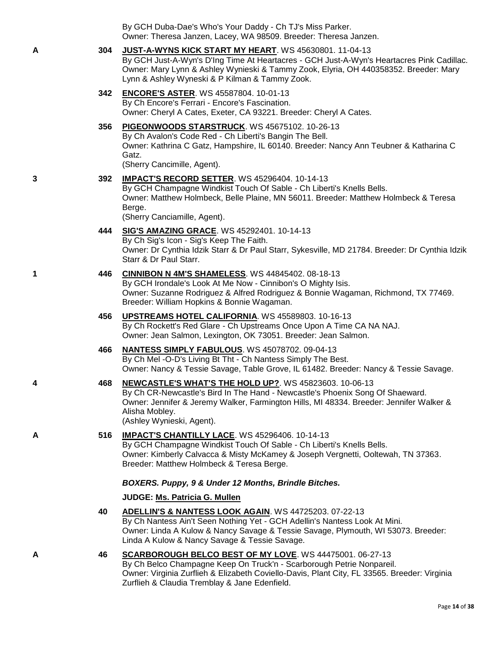|   |     | By GCH Duba-Dae's Who's Your Daddy - Ch TJ's Miss Parker.<br>Owner: Theresa Janzen, Lacey, WA 98509. Breeder: Theresa Janzen.                                                                                                                                                                 |
|---|-----|-----------------------------------------------------------------------------------------------------------------------------------------------------------------------------------------------------------------------------------------------------------------------------------------------|
| А | 304 | JUST-A-WYNS KICK START MY HEART. WS 45630801. 11-04-13<br>By GCH Just-A-Wyn's D'Ing Time At Heartacres - GCH Just-A-Wyn's Heartacres Pink Cadillac.<br>Owner: Mary Lynn & Ashley Wynieski & Tammy Zook, Elyria, OH 440358352. Breeder: Mary<br>Lynn & Ashley Wyneski & P Kilman & Tammy Zook. |
|   | 342 | <b>ENCORE'S ASTER. WS 45587804. 10-01-13</b><br>By Ch Encore's Ferrari - Encore's Fascination.<br>Owner: Cheryl A Cates, Exeter, CA 93221. Breeder: Cheryl A Cates.                                                                                                                           |
|   | 356 | PIGEONWOODS STARSTRUCK. WS 45675102. 10-26-13<br>By Ch Avalon's Code Red - Ch Liberti's Bangin The Bell.<br>Owner: Kathrina C Gatz, Hampshire, IL 60140. Breeder: Nancy Ann Teubner & Katharina C<br>Gatz.<br>(Sherry Cancimille, Agent).                                                     |
| 3 | 392 | <b>IMPACT'S RECORD SETTER.</b> WS 45296404. 10-14-13<br>By GCH Champagne Windkist Touch Of Sable - Ch Liberti's Knells Bells.<br>Owner: Matthew Holmbeck, Belle Plaine, MN 56011. Breeder: Matthew Holmbeck & Teresa<br>Berge.<br>(Sherry Canciamille, Agent).                                |
|   | 444 | <b>SIG'S AMAZING GRACE. WS 45292401. 10-14-13</b><br>By Ch Sig's Icon - Sig's Keep The Faith.<br>Owner: Dr Cynthia Idzik Starr & Dr Paul Starr, Sykesville, MD 21784. Breeder: Dr Cynthia Idzik<br>Starr & Dr Paul Starr.                                                                     |
| 1 | 446 | <b>CINNIBON N 4M'S SHAMELESS. WS 44845402. 08-18-13</b><br>By GCH Irondale's Look At Me Now - Cinnibon's O Mighty Isis.<br>Owner: Suzanne Rodriguez & Alfred Rodriguez & Bonnie Wagaman, Richmond, TX 77469.<br>Breeder: William Hopkins & Bonnie Wagaman.                                    |
|   | 456 | UPSTREAMS HOTEL CALIFORNIA. WS 45589803. 10-16-13<br>By Ch Rockett's Red Glare - Ch Upstreams Once Upon A Time CA NA NAJ.<br>Owner: Jean Salmon, Lexington, OK 73051. Breeder: Jean Salmon.                                                                                                   |
|   | 466 | NANTESS SIMPLY FABULOUS. WS 45078702. 09-04-13<br>By Ch Mel -O-D's Living Bt Tht - Ch Nantess Simply The Best.<br>Owner: Nancy & Tessie Savage, Table Grove, IL 61482. Breeder: Nancy & Tessie Savage.                                                                                        |
| 4 | 468 | NEWCASTLE'S WHAT'S THE HOLD UP?. WS 45823603. 10-06-13<br>By Ch CR-Newcastle's Bird In The Hand - Newcastle's Phoenix Song Of Shaeward.<br>Owner: Jennifer & Jeremy Walker, Farmington Hills, MI 48334. Breeder: Jennifer Walker &<br>Alisha Mobley.<br>(Ashley Wynieski, Agent).             |
| А | 516 | IMPACT'S CHANTILLY LACE. WS 45296406. 10-14-13<br>By GCH Champagne Windkist Touch Of Sable - Ch Liberti's Knells Bells.                                                                                                                                                                       |

By GCH Champagne Windkist Touch Of Sable - Ch Liberti's Knells Bells. Owner: Kimberly Calvacca & Misty McKamey & Joseph Vergnetti, Ooltewah, TN 37363. Breeder: Matthew Holmbeck & Teresa Berge.

#### *BOXERS. Puppy, 9 & Under 12 Months, Brindle Bitches.*

### **JUDGE: [Ms. Patricia G. Mullen](http://www.infodog.com/judges/32334/juddat.htm)**

- **40 [ADELLIN'S & NANTESS LOOK AGAIN](http://www.infodog.com/files/bdogrsl1.prg;makc=WS%2044725203;mdog=Adellin_s_&_Nantess_Look_Again;wins=all)**. WS 44725203. 07-22-13 By Ch Nantess Ain't Seen Nothing Yet - GCH Adellin's Nantess Look At Mini. Owner: Linda A Kulow & Nancy Savage & Tessie Savage, Plymouth, WI 53073. Breeder: Linda A Kulow & Nancy Savage & Tessie Savage.
- **A 46 [SCARBOROUGH BELCO BEST OF MY LOVE](http://www.infodog.com/files/bdogrsl1.prg;makc=WS%2044475001;mdog=Scarborough_Belco_Best_Of_My_Love;wins=all)**. WS 44475001. 06-27-13 By Ch Belco Champagne Keep On Truck'n - Scarborough Petrie Nonpareil. Owner: Virginia Zurflieh & Elizabeth Coviello-Davis, Plant City, FL 33565. Breeder: Virginia Zurflieh & Claudia Tremblay & Jane Edenfield.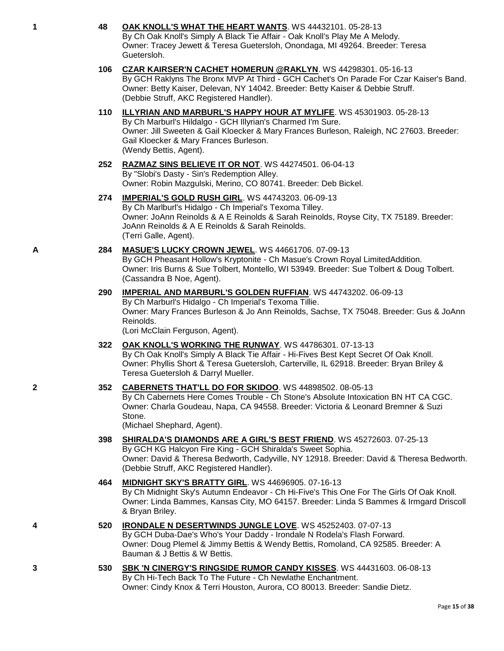Guetersloh. **106 [CZAR KAIRSER'N CACHET HOMERUN @RAKLYN](http://www.infodog.com/files/bdogrsl1.prg;makc=WS%2044298301;mdog=Czar_Kairser_n_Cachet_Homerun_@Raklyn;wins=all)**. WS 44298301. 05-16-13 By GCH Raklyns The Bronx MVP At Third - GCH Cachet's On Parade For Czar Kaiser's Band. Owner: Betty Kaiser, Delevan, NY 14042. Breeder: Betty Kaiser & Debbie Struff. (Debbie Struff, AKC Registered Handler). **110 [ILLYRIAN AND MARBURL'S HAPPY HOUR AT MYLIFE](http://www.infodog.com/files/bdogrsl1.prg;makc=WS%2045301903;mdog=Illyrian_And_Marburl_s_Happy_Hour_At_MyLife;wins=all)**. WS 45301903. 05-28-13 By Ch Marburl's Hildalgo - GCH Illyrian's Charmed I'm Sure. Gail Kloecker & Mary Frances Burleson. (Wendy Bettis, Agent). By "Slobi's Dasty - Sin's Redemption Alley. **274 [IMPERIAL'S GOLD RUSH GIRL](http://www.infodog.com/files/bdogrsl1.prg;makc=WS%2044743203;mdog=Imperial_s_Gold_Rush_Girl;wins=all)**. WS 44743203. 06-09-13 By Ch Marlburl's Hidalgo - Ch Imperial's Texoma Tilley. JoAnn Reinolds & A E Reinolds & Sarah Reinolds. (Terri Galle, Agent). **A 284 [MASUE'S LUCKY CROWN JEWEL](http://www.infodog.com/files/bdogrsl1.prg;makc=WS%2044661706;mdog=Masue_s_Lucky_Crown_Jewel;wins=all)**. WS 44661706. 07-09-13 (Cassandra B Noe, Agent). By Ch Marburl's Hidalgo - Ch Imperial's Texoma Tillie. Reinolds. (Lori McClain Ferguson, Agent). Teresa Guetersloh & Darryl Mueller. Stone. (Michael Shephard, Agent). **398 [SHIRALDA'S DIAMONDS ARE A GIRL'S BEST FRIEND](http://www.infodog.com/files/bdogrsl1.prg;makc=WS%2045272603;mdog=Shiralda_s_Diamonds_Are_A_Girl_s_Best_Friend;wins=all)**. WS 45272603. 07-25-13 (Debbie Struff, AKC Registered Handler). **464 [MIDNIGHT SKY'S BRATTY GIRL](http://www.infodog.com/files/bdogrsl1.prg;makc=WS%2044696905;mdog=Midnight_Sky_s_Bratty_Girl;wins=all)**. WS 44696905. 07-16-13 & Bryan Briley. Bauman & J Bettis & W Bettis.

- Page **15** of **38**
- 
- 
- 
- By GCH Pheasant Hollow's Kryptonite Ch Masue's Crown Royal LimitedAddition. Owner: Iris Burns & Sue Tolbert, Montello, WI 53949. Breeder: Sue Tolbert & Doug Tolbert.

Owner: Jill Sweeten & Gail Kloecker & Mary Frances Burleson, Raleigh, NC 27603. Breeder:

By Ch Oak Knoll's Simply A Black Tie Affair - Oak Knoll's Play Me A Melody. Owner: Tracey Jewett & Teresa Guetersloh, Onondaga, MI 49264. Breeder: Teresa

**252 [RAZMAZ SINS BELIEVE IT OR NOT](http://www.infodog.com/files/bdogrsl1.prg;makc=WS%2044274501;mdog=Razmaz_Sins_Believe_It_Or_Not;wins=all)**. WS 44274501. 06-04-13 Owner: Robin Mazgulski, Merino, CO 80741. Breeder: Deb Bickel.

**1 48 [OAK KNOLL'S WHAT THE HEART WANTS](http://www.infodog.com/files/bdogrsl1.prg;makc=WS%2044432101;mdog=Oak_Knoll_s_What_The_Heart_Wants;wins=all)**. WS 44432101. 05-28-13

Owner: JoAnn Reinolds & A E Reinolds & Sarah Reinolds, Royse City, TX 75189. Breeder:

- **290 [IMPERIAL AND MARBURL'S GOLDEN RUFFIAN](http://www.infodog.com/files/bdogrsl1.prg;makc=WS%2044743202;mdog=Imperial_And_Marburl_s_Golden_Ruffian;wins=all)**. WS 44743202. 06-09-13 Owner: Mary Frances Burleson & Jo Ann Reinolds, Sachse, TX 75048. Breeder: Gus & JoAnn
- **322 [OAK KNOLL'S WORKING THE RUNWAY](http://www.infodog.com/files/bdogrsl1.prg;makc=WS%2044786301;mdog=Oak_Knoll_s_Working_The_Runway;wins=all)**. WS 44786301. 07-13-13 By Ch Oak Knoll's Simply A Black Tie Affair - Hi-Fives Best Kept Secret Of Oak Knoll. Owner: Phyllis Short & Teresa Guetersloh, Carterville, IL 62918. Breeder: Bryan Briley &
- **2 352 [CABERNETS THAT'LL DO FOR SKIDOO](http://www.infodog.com/files/bdogrsl1.prg;makc=WS%2044898502;mdog=Cabernets_That_ll_Do_For_Skidoo;wins=all)**. WS 44898502. 08-05-13

By Ch Cabernets Here Comes Trouble - Ch Stone's Absolute Intoxication BN HT CA CGC. Owner: Charla Goudeau, Napa, CA 94558. Breeder: Victoria & Leonard Bremner & Suzi

By GCH KG Halcyon Fire King - GCH Shiralda's Sweet Sophia. Owner: David & Theresa Bedworth, Cadyville, NY 12918. Breeder: David & Theresa Bedworth.

By Ch Midnight Sky's Autumn Endeavor - Ch Hi-Five's This One For The Girls Of Oak Knoll. Owner: Linda Bammes, Kansas City, MO 64157. Breeder: Linda S Bammes & Irmgard Driscoll

- **4 520 [IRONDALE N DESERTWINDS JUNGLE LOVE](http://www.infodog.com/files/bdogrsl1.prg;makc=WS%2045252403;mdog=Irondale_N_Desertwinds_Jungle_Love;wins=all)**. WS 45252403. 07-07-13 By GCH Duba-Dae's Who's Your Daddy - Irondale N Rodela's Flash Forward. Owner: Doug Plemel & Jimmy Bettis & Wendy Bettis, Romoland, CA 92585. Breeder: A
- **3 530 [SBK 'N CINERGY'S RINGSIDE RUMOR CANDY KISSES](http://www.infodog.com/files/bdogrsl1.prg;makc=WS%2044431603;mdog=SBK__N_Cinergy_s_Ringside_Rumor_Candy_Kisses;wins=all)**. WS 44431603. 06-08-13 By Ch Hi-Tech Back To The Future - Ch Newlathe Enchantment. Owner: Cindy Knox & Terri Houston, Aurora, CO 80013. Breeder: Sandie Dietz.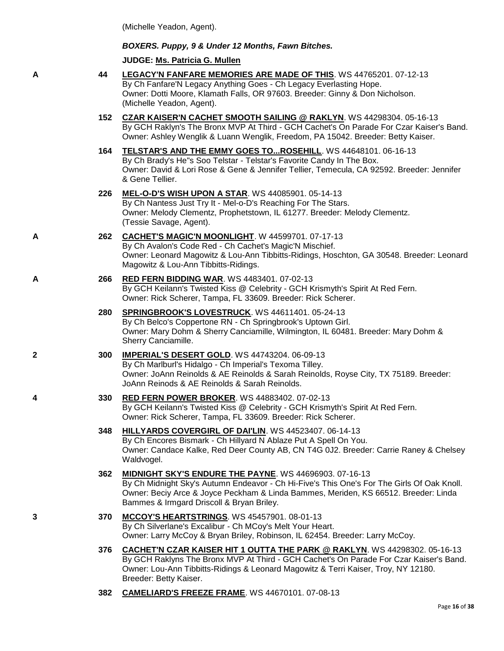(Michelle Yeadon, Agent).

#### *BOXERS. Puppy, 9 & Under 12 Months, Fawn Bitches.*

**JUDGE: [Ms. Patricia G. Mullen](http://www.infodog.com/judges/32334/juddat.htm)**

- **A 44 [LEGACY'N FANFARE MEMORIES ARE MADE OF THIS](http://www.infodog.com/files/bdogrsl1.prg;makc=WS%2044765201;mdog=Legacy_N_Fanfare_Memories_Are_Made_Of_This;wins=all)**. WS 44765201. 07-12-13 By Ch Fanfare'N Legacy Anything Goes - Ch Legacy Everlasting Hope. Owner: Dotti Moore, Klamath Falls, OR 97603. Breeder: Ginny & Don Nicholson. (Michelle Yeadon, Agent).
	- **152 [CZAR KAISER'N CACHET SMOOTH SAILING @ RAKLYN](http://www.infodog.com/files/bdogrsl1.prg;makc=WS%2044298304;mdog=Czar_Kaiser_N_Cachet_Smooth_Sailing_@_Raklyn;wins=all)**. WS 44298304. 05-16-13 By GCH Raklyn's The Bronx MVP At Third - GCH Cachet's On Parade For Czar Kaiser's Band. Owner: Ashley Wenglik & Luann Wenglik, Freedom, PA 15042. Breeder: Betty Kaiser.
	- **164 [TELSTAR'S AND THE EMMY GOES TO...ROSEHILL](http://www.infodog.com/files/bdogrsl1.prg;makc=WS%2044648101;mdog=Telstar_s_And_The_Emmy_Goes_To...Rosehill;wins=all)**. WS 44648101. 06-16-13 By Ch Brady's He"s Soo Telstar - Telstar's Favorite Candy In The Box. Owner: David & Lori Rose & Gene & Jennifer Tellier, Temecula, CA 92592. Breeder: Jennifer & Gene Tellier.
	- **226 [MEL-O-D'S WISH UPON A STAR](http://www.infodog.com/files/bdogrsl1.prg;makc=WS%2044085901;mdog=Mel-o-D_s_Wish_Upon_A_Star;wins=all)**. WS 44085901. 05-14-13 By Ch Nantess Just Try It - Mel-o-D's Reaching For The Stars. Owner: Melody Clementz, Prophetstown, IL 61277. Breeder: Melody Clementz. (Tessie Savage, Agent).
- **A 262 [CACHET'S MAGIC'N MOONLIGHT](http://www.infodog.com/files/bdogrsl1.prg;makc=W%2044599701;mdog=Cachet_s_Magic_N_Moonlight;wins=all)**. W 44599701. 07-17-13 By Ch Avalon's Code Red - Ch Cachet's Magic'N Mischief. Owner: Leonard Magowitz & Lou-Ann Tibbitts-Ridings, Hoschton, GA 30548. Breeder: Leonard Magowitz & Lou-Ann Tibbitts-Ridings.
- **A 266 [RED FERN BIDDING WAR](http://www.infodog.com/files/bdogrsl1.prg;makc=WS%204483401;mdog=Red_Fern_Bidding_War;wins=all)**. WS 4483401. 07-02-13 By GCH Keilann's Twisted Kiss @ Celebrity - GCH Krismyth's Spirit At Red Fern. Owner: Rick Scherer, Tampa, FL 33609. Breeder: Rick Scherer.
	- **280 [SPRINGBROOK'S LOVESTRUCK](http://www.infodog.com/files/bdogrsl1.prg;makc=WS%2044611401;mdog=Springbrook_s_Lovestruck;wins=all)**. WS 44611401. 05-24-13 By Ch Belco's Coppertone RN - Ch Springbrook's Uptown Girl. Owner: Mary Dohm & Sherry Canciamille, Wilmington, IL 60481. Breeder: Mary Dohm & Sherry Canciamille.
- **2 300 [IMPERIAL'S DESERT GOLD](http://www.infodog.com/files/bdogrsl1.prg;makc=WS%2044743204;mdog=Imperial_s_Desert_Gold;wins=all)**. WS 44743204. 06-09-13 By Ch Marlburl's Hidalgo - Ch Imperial's Texoma Tilley. Owner: JoAnn Reinolds & AE Reinolds & Sarah Reinolds, Royse City, TX 75189. Breeder: JoAnn Reinods & AE Reinolds & Sarah Reinolds.
- **4 330 [RED FERN POWER BROKER](http://www.infodog.com/files/bdogrsl1.prg;makc=WS%2044883402;mdog=Red_Fern_Power_Broker;wins=all)**. WS 44883402. 07-02-13 By GCH Keilann's Twisted Kiss @ Celebrity - GCH Krismyth's Spirit At Red Fern. Owner: Rick Scherer, Tampa, FL 33609. Breeder: Rick Scherer.
	- **348 [HILLYARDS COVERGIRL OF DAI'LIN](http://www.infodog.com/files/bdogrsl1.prg;makc=WS%2044523407;mdog=Hillyards_Covergirl_Of_Dai_lin;wins=all)**. WS 44523407. 06-14-13 By Ch Encores Bismark - Ch Hillyard N Ablaze Put A Spell On You. Owner: Candace Kalke, Red Deer County AB, CN T4G 0J2. Breeder: Carrie Raney & Chelsey Waldvogel.
	- **362 [MIDNIGHT SKY'S ENDURE THE PAYNE](http://www.infodog.com/files/bdogrsl1.prg;makc=WS%2044696903;mdog=Midnight_Sky_s_Endure_The_Payne;wins=all)**. WS 44696903. 07-16-13 By Ch Midnight Sky's Autumn Endeavor - Ch Hi-Five's This One's For The Girls Of Oak Knoll. Owner: Beciy Arce & Joyce Peckham & Linda Bammes, Meriden, KS 66512. Breeder: Linda Bammes & Irmgard Driscoll & Bryan Briley.
- **3 370 [MCCOY'S HEARTSTRINGS](http://www.infodog.com/files/bdogrsl1.prg;makc=WS%2045457901;mdog=McCoy_s_Heartstrings;wins=all)**. WS 45457901. 08-01-13 By Ch Silverlane's Excalibur - Ch MCoy's Melt Your Heart. Owner: Larry McCoy & Bryan Briley, Robinson, IL 62454. Breeder: Larry McCoy.
	- **376 [CACHET'N CZAR KAISER HIT 1 OUTTA THE PARK @ RAKLYN](http://www.infodog.com/files/bdogrsl1.prg;makc=WS%2044298302;mdog=Cachet_N_Czar_Kaiser_Hit_1_Outta_The_Park_@_Raklyn;wins=all)**. WS 44298302. 05-16-13 By GCH Raklyns The Bronx MVP At Third - GCH Cachet's On Parade For Czar Kaiser's Band. Owner: Lou-Ann Tibbitts-Ridings & Leonard Magowitz & Terri Kaiser, Troy, NY 12180. Breeder: Betty Kaiser.
	- **382 [CAMELIARD'S FREEZE FRAME](http://www.infodog.com/files/bdogrsl1.prg;makc=WS%2044670101;mdog=Cameliard_s_Freeze_Frame;wins=all)**. WS 44670101. 07-08-13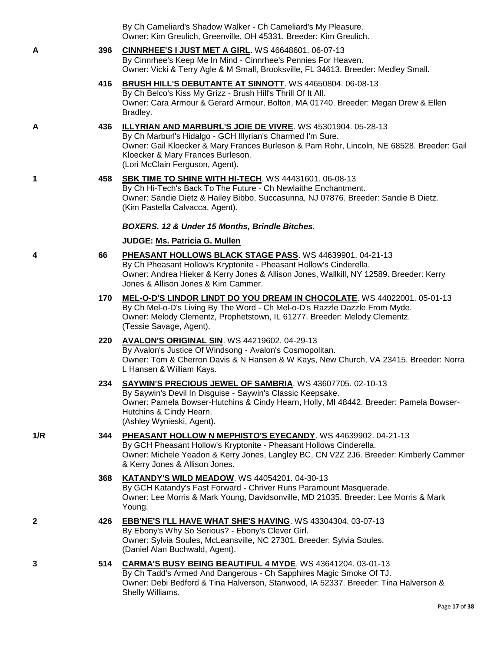| By Ch Cameliard's Shadow Walker - Ch Cameliard's My Pleasure.     |
|-------------------------------------------------------------------|
| Owner: Kim Greulich, Greenville, OH 45331. Breeder: Kim Greulich. |
|                                                                   |

**A 396 [CINNRHEE'S I JUST MET A GIRL](http://www.infodog.com/files/bdogrsl1.prg;makc=WS%2046648601;mdog=Cinnrhee_s_I_Just_Met_A_Girl;wins=all)**. WS 46648601. 06-07-13 By Cinnrhee's Keep Me In Mind - Cinnrhee's Pennies For Heaven. Owner: Vicki & Terry Agle & M Small, Brooksville, FL 34613. Breeder: Medley Small.

- **416 [BRUSH HILL'S DEBUTANTE AT SINNOTT](http://www.infodog.com/files/bdogrsl1.prg;makc=WS%2044650804;mdog=Brush_Hill_s_Debutante_At_Sinnott;wins=all)**. WS 44650804. 06-08-13 By Ch Belco's Kiss My Grizz - Brush Hill's Thrill Of It All. Owner: Cara Armour & Gerard Armour, Bolton, MA 01740. Breeder: Megan Drew & Ellen Bradley.
- **A 436 [ILLYRIAN AND MARBURL'S JOIE DE VIVRE](http://www.infodog.com/files/bdogrsl1.prg;makc=WS%2045301904;mdog=Illyrian_And_Marburl_s_Joie_De_Vivre;wins=all)**. WS 45301904. 05-28-13 By Ch Marburl's Hidalgo - GCH Illyrian's Charmed I'm Sure. Owner: Gail Kloecker & Mary Frances Burleson & Pam Rohr, Lincoln, NE 68528. Breeder: Gail Kloecker & Mary Frances Burleson. (Lori McClain Ferguson, Agent).
- **1 458 [SBK TIME TO SHINE WITH HI-TECH](http://www.infodog.com/files/bdogrsl1.prg;makc=WS%2044431601;mdog=SBK_Time_To_Shine_With_Hi-Tech;wins=all)**. WS 44431601. 06-08-13 By Ch Hi-Tech's Back To The Future - Ch Newlaithe Enchantment. Owner: Sandie Dietz & Hailey Bibbo, Succasunna, NJ 07876. Breeder: Sandie B Dietz. (Kim Pastella Calvacca, Agent).

# *BOXERS. 12 & Under 15 Months, Brindle Bitches.*

# **JUDGE: [Ms. Patricia G. Mullen](http://www.infodog.com/judges/32334/juddat.htm)**

- **4 66 [PHEASANT HOLLOWS BLACK STAGE PASS](http://www.infodog.com/files/bdogrsl1.prg;makc=WS%2044639901;mdog=Pheasant_Hollows_Black_Stage_Pass;wins=all)**. WS 44639901. 04-21-13 By Ch Pheasant Hollow's Kryptonite - Pheasant Hollow's Cinderella. Owner: Andrea Hieker & Kerry Jones & Allison Jones, Wallkill, NY 12589. Breeder: Kerry Jones & Allison Jones & Kim Cammer.
	- **170 [MEL-O-D'S LINDOR LINDT DO YOU DREAM IN CHOCOLATE](http://www.infodog.com/files/bdogrsl1.prg;makc=WS%2044022001;mdog=Mel-o-D_s_Lindor_Lindt_Do_You_Dream_In_Chocolate;wins=all)**. WS 44022001. 05-01-13 By Ch Mel-o-D's Living By The Word - Ch Mel-o-D's Razzle Dazzle From Myde. Owner: Melody Clementz, Prophetstown, IL 61277. Breeder: Melody Clementz. (Tessie Savage, Agent).

#### **220 [AVALON'S ORIGINAL SIN](http://www.infodog.com/files/bdogrsl1.prg;makc=WS%2044219602;mdog=Avalon_s_Original_Sin;wins=all)**. WS 44219602. 04-29-13 By Avalon's Justice Of Windsong - Avalon's Cosmopolitan. Owner: Tom & Cherron Davis & N Hansen & W Kays, New Church, VA 23415. Breeder: Norra L Hansen & William Kays.

#### **234 [SAYWIN'S PRECIOUS JEWEL OF SAMBRIA](http://www.infodog.com/files/bdogrsl1.prg;makc=WS%2043607705;mdog=Saywin_s_Precious_Jewel_Of_Sambria;wins=all)**. WS 43607705. 02-10-13 By Saywin's Devil In Disguise - Saywin's Classic Keepsake. Owner: Pamela Bowser-Hutchins & Cindy Hearn, Holly, MI 48442. Breeder: Pamela Bowser-Hutchins & Cindy Hearn. (Ashley Wynieski, Agent).

#### **1/R 344 [PHEASANT HOLLOW N MEPHISTO'S EYECANDY](http://www.infodog.com/files/bdogrsl1.prg;makc=WS%2044639902;mdog=Pheasant_Hollow_N_Mephisto_s_Eyecandy;wins=all)**. WS 44639902. 04-21-13 By GCH Pheasant Hollow's Kryptonite - Pheasant Hollows Cinderella. Owner: Michele Yeadon & Kerry Jones, Langley BC, CN V2Z 2J6. Breeder: Kimberly Cammer & Kerry Jones & Allison Jones.

- **368 [KATANDY'S WILD MEADOW](http://www.infodog.com/files/bdogrsl1.prg;makc=WS%2044054201;mdog=Katandy_s_Wild_Meadow;wins=all)**. WS 44054201. 04-30-13 By GCH Katandy's Fast Forward - Chriver Runs Paramount Masquerade. Owner: Lee Morris & Mark Young, Davidsonville, MD 21035. Breeder: Lee Morris & Mark Young.
- **2 426 [EBB'NE'S I'LL HAVE WHAT SHE'S HAVING](http://www.infodog.com/files/bdogrsl1.prg;makc=WS%2043304304;mdog=EBB_nE_s_I_ll_Have_What_She_s_Having;wins=all)**. WS 43304304. 03-07-13 By Ebony's Why So Serious? - Ebony's Clever Girl. Owner: Sylvia Soules, McLeansville, NC 27301. Breeder: Sylvia Soules. (Daniel Alan Buchwald, Agent).
- **3 514 [CARMA'S BUSY BEING BEAUTIFUL 4 MYDE](http://www.infodog.com/files/bdogrsl1.prg;makc=WS%2043641204;mdog=Carma_s_Busy_Being_Beautiful_4_MYDE;wins=all)**. WS 43641204. 03-01-13 By Ch Tadd's Armed And Dangerous - Ch Sapphires Magic Smoke Of TJ. Owner: Debi Bedford & Tina Halverson, Stanwood, IA 52337. Breeder: Tina Halverson & Shelly Williams.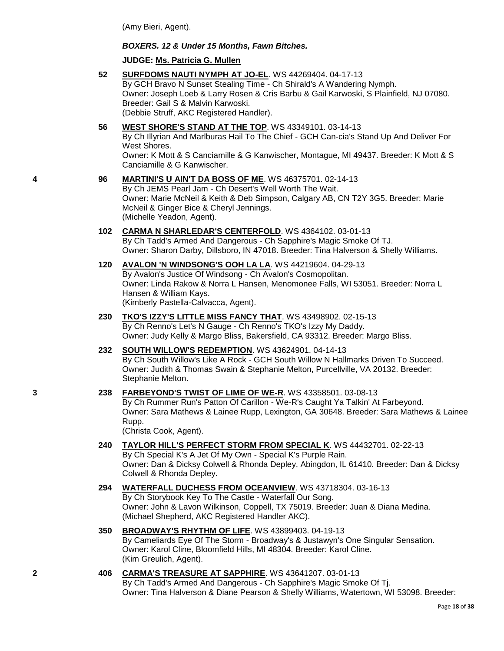(Amy Bieri, Agent).

#### *BOXERS. 12 & Under 15 Months, Fawn Bitches.*

#### **JUDGE: [Ms. Patricia G. Mullen](http://www.infodog.com/judges/32334/juddat.htm)**

**52 [SURFDOMS NAUTI NYMPH AT JO-EL](http://www.infodog.com/files/bdogrsl1.prg;makc=WS%2044269404;mdog=Surfdoms_Nauti_Nymph_At_Jo-El;wins=all)**. WS 44269404. 04-17-13 By GCH Bravo N Sunset Stealing Time - Ch Shirald's A Wandering Nymph. Owner: Joseph Loeb & Larry Rosen & Cris Barbu & Gail Karwoski, S Plainfield, NJ 07080. Breeder: Gail S & Malvin Karwoski. (Debbie Struff, AKC Registered Handler).

### **56 [WEST SHORE'S STAND AT THE TOP](http://www.infodog.com/files/bdogrsl1.prg;makc=WS%2043349101;mdog=West_Shore_s_Stand_At_The_Top;wins=all)**. WS 43349101. 03-14-13

By Ch Illyrian And Marlburas Hail To The Chief - GCH Can-cia's Stand Up And Deliver For West Shores.

Owner: K Mott & S Canciamille & G Kanwischer, Montague, MI 49437. Breeder: K Mott & S Canciamille & G Kanwischer.

# **4 96 [MARTINI'S U AIN'T DA BOSS OF ME](http://www.infodog.com/files/bdogrsl1.prg;makc=WS%2046375701;mdog=Martini_s_U_Ain_t_Da_Boss_Of_Me;wins=all)**. WS 46375701. 02-14-13

By Ch JEMS Pearl Jam - Ch Desert's Well Worth The Wait. Owner: Marie McNeil & Keith & Deb Simpson, Calgary AB, CN T2Y 3G5. Breeder: Marie McNeil & Ginger Bice & Cheryl Jennings. (Michelle Yeadon, Agent).

#### **102 [CARMA N SHARLEDAR'S CENTERFOLD](http://www.infodog.com/files/bdogrsl1.prg;makc=WS%204364102;mdog=Carma_N_Sharledar_s_Centerfold;wins=all)**. WS 4364102. 03-01-13 By Ch Tadd's Armed And Dangerous - Ch Sapphire's Magic Smoke Of TJ. Owner: Sharon Darby, Dillsboro, IN 47018. Breeder: Tina Halverson & Shelly Williams.

#### **120 [AVALON 'N WINDSONG'S OOH LA LA](http://www.infodog.com/files/bdogrsl1.prg;makc=WS%2044219604;mdog=Avalon__N_Windsong_s_Ooh_La_La;wins=all)**. WS 44219604. 04-29-13 By Avalon's Justice Of Windsong - Ch Avalon's Cosmopolitan. Owner: Linda Rakow & Norra L Hansen, Menomonee Falls, WI 53051. Breeder: Norra L Hansen & William Kays. (Kimberly Pastella-Calvacca, Agent).

#### **230 [TKO'S IZZY'S LITTLE MISS FANCY THAT](http://www.infodog.com/files/bdogrsl1.prg;makc=WS%2043498902;mdog=TKO_s_Izzy_s_Little_Miss_Fancy_That;wins=all)**. WS 43498902. 02-15-13 By Ch Renno's Let's N Gauge - Ch Renno's TKO's Izzy My Daddy. Owner: Judy Kelly & Margo Bliss, Bakersfield, CA 93312. Breeder: Margo Bliss.

#### **232 [SOUTH WILLOW'S REDEMPTION](http://www.infodog.com/files/bdogrsl1.prg;makc=WS%2043624901;mdog=South_Willow_s_Redemption;wins=all)**. WS 43624901. 04-14-13 By Ch South Willow's Like A Rock - GCH South Willow N Hallmarks Driven To Succeed. Owner: Judith & Thomas Swain & Stephanie Melton, Purcellville, VA 20132. Breeder: Stephanie Melton.

#### **3 238 [FARBEYOND'S TWIST OF LIME OF WE-R](http://www.infodog.com/files/bdogrsl1.prg;makc=WS%2043358501;mdog=Farbeyond_s_Twist_Of_Lime_Of_We-R;wins=all)**. WS 43358501. 03-08-13 By Ch Rummer Run's Patton Of Carillon - We-R's Caught Ya Talkin' At Farbeyond.

Owner: Sara Mathews & Lainee Rupp, Lexington, GA 30648. Breeder: Sara Mathews & Lainee Rupp. (Christa Cook, Agent).

#### **240 [TAYLOR HILL'S PERFECT STORM FROM SPECIAL K](http://www.infodog.com/files/bdogrsl1.prg;makc=WS%2044432701;mdog=Taylor_Hill_s_Perfect_Storm_From_Special_K;wins=all)**. WS 44432701. 02-22-13 By Ch Special K's A Jet Of My Own - Special K's Purple Rain. Owner: Dan & Dicksy Colwell & Rhonda Depley, Abingdon, IL 61410. Breeder: Dan & Dicksy Colwell & Rhonda Depley.

#### **294 [WATERFALL DUCHESS FROM OCEANVIEW](http://www.infodog.com/files/bdogrsl1.prg;makc=WS%2043718304;mdog=Waterfall_Duchess_From_Oceanview;wins=all)**. WS 43718304. 03-16-13 By Ch Storybook Key To The Castle - Waterfall Our Song. Owner: John & Lavon Wilkinson, Coppell, TX 75019. Breeder: Juan & Diana Medina. (Michael Shepherd, AKC Registered Handler AKC).

#### **350 [BROADWAY'S RHYTHM OF LIFE](http://www.infodog.com/files/bdogrsl1.prg;makc=WS%2043899403;mdog=Broadway_s_Rhythm_Of_Life;wins=all)**. WS 43899403. 04-19-13

By Cameliards Eye Of The Storm - Broadway's & Justawyn's One Singular Sensation. Owner: Karol Cline, Bloomfield Hills, MI 48304. Breeder: Karol Cline. (Kim Greulich, Agent).

#### **2 406 [CARMA'S TREASURE AT SAPPHIRE](http://www.infodog.com/files/bdogrsl1.prg;makc=WS%2043641207;mdog=Carma_s_Treasure_At_Sapphire;wins=all)**. WS 43641207. 03-01-13

By Ch Tadd's Armed And Dangerous - Ch Sapphire's Magic Smoke Of Tj. Owner: Tina Halverson & Diane Pearson & Shelly Williams, Watertown, WI 53098. Breeder: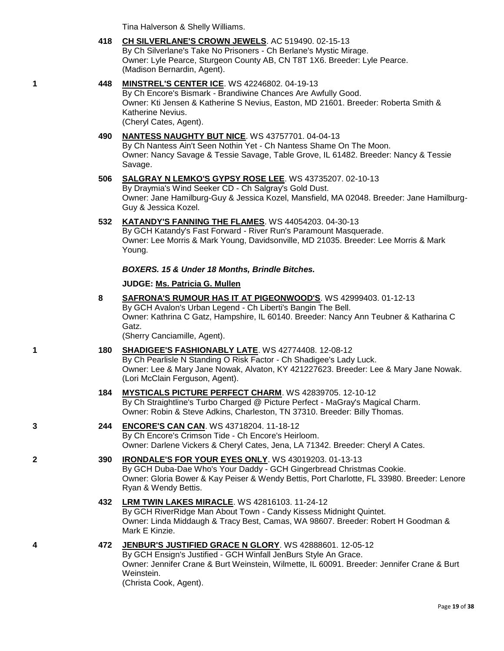Tina Halverson & Shelly Williams.

- **418 [CH SILVERLANE'S CROWN JEWELS](http://www.infodog.com/files/bdogrsl1.prg;makc=AC%20519490;mdog=Ch_Silverlane_s_Crown_Jewels;wins=all)**. AC 519490. 02-15-13 By Ch Silverlane's Take No Prisoners - Ch Berlane's Mystic Mirage. Owner: Lyle Pearce, Sturgeon County AB, CN T8T 1X6. Breeder: Lyle Pearce. (Madison Bernardin, Agent).
- **1 448 [MINSTREL'S CENTER ICE](http://www.infodog.com/files/bdogrsl1.prg;makc=WS%2042246802;mdog=Minstrel_s_Center_Ice;wins=all)**. WS 42246802. 04-19-13 By Ch Encore's Bismark - Brandiwine Chances Are Awfully Good. Owner: Kti Jensen & Katherine S Nevius, Easton, MD 21601. Breeder: Roberta Smith & Katherine Nevius. (Cheryl Cates, Agent).

#### **490 [NANTESS NAUGHTY BUT NICE](http://www.infodog.com/files/bdogrsl1.prg;makc=WS%2043757701;mdog=Nantess_Naughty_But_Nice;wins=all)**. WS 43757701. 04-04-13 By Ch Nantess Ain't Seen Nothin Yet - Ch Nantess Shame On The Moon. Owner: Nancy Savage & Tessie Savage, Table Grove, IL 61482. Breeder: Nancy & Tessie Savage.

- **506 [SALGRAY N LEMKO'S GYPSY ROSE LEE](http://www.infodog.com/files/bdogrsl1.prg;makc=WS%2043735207;mdog=Salgray_N_Lemko_s_Gypsy_Rose_Lee;wins=all)**. WS 43735207. 02-10-13 By Draymia's Wind Seeker CD - Ch Salgray's Gold Dust. Owner: Jane Hamilburg-Guy & Jessica Kozel, Mansfield, MA 02048. Breeder: Jane Hamilburg-Guy & Jessica Kozel.
- **532 [KATANDY'S FANNING THE FLAMES](http://www.infodog.com/files/bdogrsl1.prg;makc=WS%2044054203;mdog=Katandy_s_Fanning_The_Flames;wins=all)**. WS 44054203. 04-30-13

By GCH Katandy's Fast Forward - River Run's Paramount Masquerade. Owner: Lee Morris & Mark Young, Davidsonville, MD 21035. Breeder: Lee Morris & Mark Young.

### *BOXERS. 15 & Under 18 Months, Brindle Bitches.*

### **JUDGE: [Ms. Patricia G. Mullen](http://www.infodog.com/judges/32334/juddat.htm)**

- **8 [SAFRONA'S RUMOUR HAS IT AT PIGEONWOOD'S](http://www.infodog.com/files/bdogrsl1.prg;makc=WS%2042999403;mdog=Safrona_s_Rumour_Has_It_At_Pigeonwood_s;wins=all)**. WS 42999403. 01-12-13 By GCH Avalon's Urban Legend - Ch Liberti's Bangin The Bell. Owner: Kathrina C Gatz, Hampshire, IL 60140. Breeder: Nancy Ann Teubner & Katharina C Gatz. (Sherry Canciamille, Agent). **1 180 [SHADIGEE'S FASHIONABLY LATE](http://www.infodog.com/files/bdogrsl1.prg;makc=WS%2042774408;mdog=Shadigee_s_Fashionably_Late;wins=all)**. WS 42774408. 12-08-12 By Ch Pearlisle N Standing O Risk Factor - Ch Shadigee's Lady Luck. Owner: Lee & Mary Jane Nowak, Alvaton, KY 421227623. Breeder: Lee & Mary Jane Nowak. (Lori McClain Ferguson, Agent). **184 [MYSTICALS PICTURE PERFECT CHARM](http://www.infodog.com/files/bdogrsl1.prg;makc=WS%2042839705;mdog=Mysticals_Picture_Perfect_Charm;wins=all)**. WS 42839705. 12-10-12 By Ch Straightline's Turbo Charged @ Picture Perfect - MaGray's Magical Charm. Owner: Robin & Steve Adkins, Charleston, TN 37310. Breeder: Billy Thomas. **3 244 [ENCORE'S CAN CAN](http://www.infodog.com/files/bdogrsl1.prg;makc=WS%2043718204;mdog=Encore_s_Can_Can;wins=all)**. WS 43718204. 11-18-12 By Ch Encore's Crimson Tide - Ch Encore's Heirloom. Owner: Darlene Vickers & Cheryl Cates, Jena, LA 71342. Breeder: Cheryl A Cates. **2 390 [IRONDALE'S FOR YOUR EYES ONLY](http://www.infodog.com/files/bdogrsl1.prg;makc=WS%2043019203;mdog=Irondale_s_For_Your_Eyes_Only;wins=all)**. WS 43019203. 01-13-13 By GCH Duba-Dae Who's Your Daddy - GCH Gingerbread Christmas Cookie. Owner: Gloria Bower & Kay Peiser & Wendy Bettis, Port Charlotte, FL 33980. Breeder: Lenore Ryan & Wendy Bettis.
	- **432 [LRM TWIN LAKES MIRACLE](http://www.infodog.com/files/bdogrsl1.prg;makc=WS%2042816103;mdog=Lrm_Twin_Lakes_Miracle;wins=all)**. WS 42816103. 11-24-12 By GCH RiverRidge Man About Town - Candy Kissess Midnight Quintet. Owner: Linda Middaugh & Tracy Best, Camas, WA 98607. Breeder: Robert H Goodman & Mark E Kinzie.
- **4 472 [JENBUR'S JUSTIFIED GRACE N GLORY](http://www.infodog.com/files/bdogrsl1.prg;makc=WS%2042888601;mdog=JenBur_s_Justified_Grace_N_Glory;wins=all)**. WS 42888601. 12-05-12 By GCH Ensign's Justified - GCH Winfall JenBurs Style An Grace. Owner: Jennifer Crane & Burt Weinstein, Wilmette, IL 60091. Breeder: Jennifer Crane & Burt Weinstein. (Christa Cook, Agent).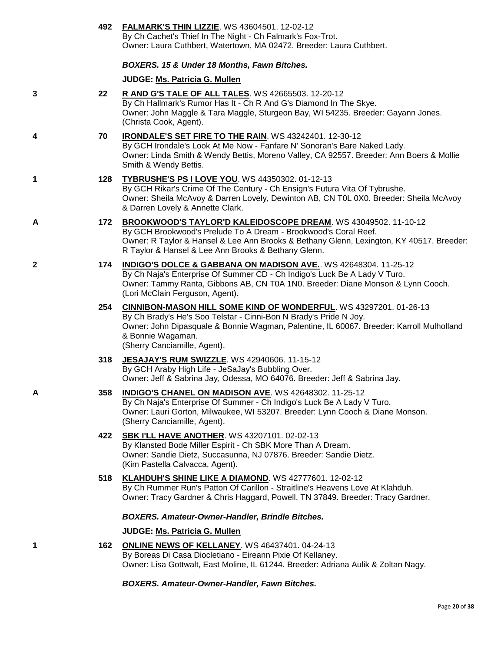|   |     | 492 FALMARK'S THIN LIZZIE. WS 43604501. 12-02-12<br>By Ch Cachet's Thief In The Night - Ch Falmark's Fox-Trot.<br>Owner: Laura Cuthbert, Watertown, MA 02472. Breeder: Laura Cuthbert.                                                                                                         |
|---|-----|------------------------------------------------------------------------------------------------------------------------------------------------------------------------------------------------------------------------------------------------------------------------------------------------|
|   |     | BOXERS. 15 & Under 18 Months, Fawn Bitches.                                                                                                                                                                                                                                                    |
|   |     | JUDGE: Ms. Patricia G. Mullen                                                                                                                                                                                                                                                                  |
| 3 | 22  | R AND G'S TALE OF ALL TALES. WS 42665503. 12-20-12<br>By Ch Hallmark's Rumor Has It - Ch R And G's Diamond In The Skye.<br>Owner: John Maggle & Tara Maggle, Sturgeon Bay, WI 54235. Breeder: Gayann Jones.<br>(Christa Cook, Agent).                                                          |
| 4 | 70  | <b>IRONDALE'S SET FIRE TO THE RAIN. WS 43242401. 12-30-12</b><br>By GCH Irondale's Look At Me Now - Fanfare N' Sonoran's Bare Naked Lady.<br>Owner: Linda Smith & Wendy Bettis, Moreno Valley, CA 92557. Breeder: Ann Boers & Mollie<br>Smith & Wendy Bettis.                                  |
| 1 | 128 | <b>TYBRUSHE'S PS I LOVE YOU. WS 44350302. 01-12-13</b><br>By GCH Rikar's Crime Of The Century - Ch Ensign's Futura Vita Of Tybrushe.<br>Owner: Sheila McAvoy & Darren Lovely, Dewinton AB, CN T0L 0X0. Breeder: Sheila McAvoy<br>& Darren Lovely & Annette Clark.                              |
| A | 172 | BROOKWOOD'S TAYLOR'D KALEIDOSCOPE DREAM. WS 43049502. 11-10-12<br>By GCH Brookwood's Prelude To A Dream - Brookwood's Coral Reef.<br>Owner: R Taylor & Hansel & Lee Ann Brooks & Bethany Glenn, Lexington, KY 40517. Breeder:<br>R Taylor & Hansel & Lee Ann Brooks & Bethany Glenn.           |
| 2 | 174 | <b>INDIGO'S DOLCE &amp; GABBANA ON MADISON AVE.</b> WS 42648304. 11-25-12<br>By Ch Naja's Enterprise Of Summer CD - Ch Indigo's Luck Be A Lady V Turo.<br>Owner: Tammy Ranta, Gibbons AB, CN T0A 1N0. Breeder: Diane Monson & Lynn Cooch.<br>(Lori McClain Ferguson, Agent).                   |
|   | 254 | <b>CINNIBON-MASON HILL SOME KIND OF WONDERFUL. WS 43297201. 01-26-13</b><br>By Ch Brady's He's Soo Telstar - Cinni-Bon N Brady's Pride N Joy.<br>Owner: John Dipasquale & Bonnie Wagman, Palentine, IL 60067. Breeder: Karroll Mulholland<br>& Bonnie Wagaman.<br>(Sherry Canciamille, Agent). |
|   | 318 | JESAJAY'S RUM SWIZZLE. WS 42940606. 11-15-12<br>By GCH Araby High Life - JeSaJay's Bubbling Over.<br>Owner: Jeff & Sabrina Jay, Odessa, MO 64076. Breeder: Jeff & Sabrina Jay.                                                                                                                 |
| Α | 358 | <b>INDIGO'S CHANEL ON MADISON AVE. WS 42648302. 11-25-12</b><br>By Ch Naja's Enterprise Of Summer - Ch Indigo's Luck Be A Lady V Turo.<br>Owner: Lauri Gorton, Milwaukee, WI 53207. Breeder: Lynn Cooch & Diane Monson.<br>(Sherry Canciamille, Agent).                                        |
|   | 422 | <b>SBK I'LL HAVE ANOTHER. WS 43207101. 02-02-13</b><br>By Klansted Bode Miller Espirit - Ch SBK More Than A Dream.<br>Owner: Sandie Dietz, Succasunna, NJ 07876. Breeder: Sandie Dietz.<br>(Kim Pastella Calvacca, Agent).                                                                     |
|   | 518 | KLAHDUH'S SHINE LIKE A DIAMOND. WS 42777601. 12-02-12<br>By Ch Rummer Run's Patton Of Carillon - Straitline's Heavens Love At Klahduh.<br>Owner: Tracy Gardner & Chris Haggard, Powell, TN 37849. Breeder: Tracy Gardner.                                                                      |
|   |     | <b>BOXERS. Amateur-Owner-Handler, Brindle Bitches.</b>                                                                                                                                                                                                                                         |
|   |     | JUDGE: Ms. Patricia G. Mullen                                                                                                                                                                                                                                                                  |
| 1 | 162 | ONLINE NEWS OF KELLANEY. WS 46437401. 04-24-13<br>By Boreas Di Casa Diocletiano - Eireann Pixie Of Kellaney.<br>Owner: Lisa Gottwalt, East Moline, IL 61244. Breeder: Adriana Aulik & Zoltan Nagy.                                                                                             |
|   |     | <b>BOXERS. Amateur-Owner-Handler, Fawn Bitches.</b>                                                                                                                                                                                                                                            |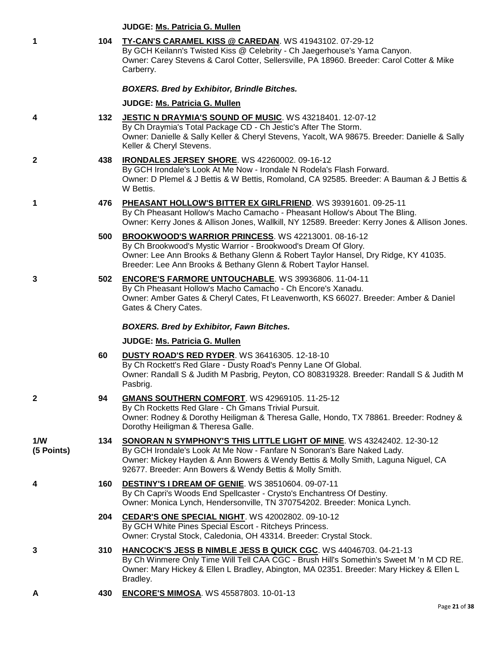|                   |     | JUDGE: Ms. Patricia G. Mullen                                                                                                                                                                                                                                                                            |
|-------------------|-----|----------------------------------------------------------------------------------------------------------------------------------------------------------------------------------------------------------------------------------------------------------------------------------------------------------|
| 1                 | 104 | TY-CAN'S CARAMEL KISS @ CAREDAN. WS 41943102. 07-29-12<br>By GCH Keilann's Twisted Kiss @ Celebrity - Ch Jaegerhouse's Yama Canyon.<br>Owner: Carey Stevens & Carol Cotter, Sellersville, PA 18960. Breeder: Carol Cotter & Mike<br>Carberry.                                                            |
|                   |     | <b>BOXERS. Bred by Exhibitor, Brindle Bitches.</b>                                                                                                                                                                                                                                                       |
|                   |     | JUDGE: Ms. Patricia G. Mullen                                                                                                                                                                                                                                                                            |
| 4                 | 132 | JESTIC N DRAYMIA'S SOUND OF MUSIC. WS 43218401. 12-07-12<br>By Ch Draymia's Total Package CD - Ch Jestic's After The Storm.<br>Owner: Danielle & Sally Keller & Cheryl Stevens, Yacolt, WA 98675. Breeder: Danielle & Sally<br>Keller & Cheryl Stevens.                                                  |
| $\mathbf{2}$      | 438 | IRONDALES JERSEY SHORE. WS 42260002. 09-16-12<br>By GCH Irondale's Look At Me Now - Irondale N Rodela's Flash Forward.<br>Owner: D Plemel & J Bettis & W Bettis, Romoland, CA 92585. Breeder: A Bauman & J Bettis &<br>W Bettis.                                                                         |
| 1                 | 476 | PHEASANT HOLLOW'S BITTER EX GIRLFRIEND. WS 39391601. 09-25-11<br>By Ch Pheasant Hollow's Macho Camacho - Pheasant Hollow's About The Bling.<br>Owner: Kerry Jones & Allison Jones, Wallkill, NY 12589. Breeder: Kerry Jones & Allison Jones.                                                             |
|                   | 500 | BROOKWOOD'S WARRIOR PRINCESS. WS 42213001. 08-16-12<br>By Ch Brookwood's Mystic Warrior - Brookwood's Dream Of Glory.<br>Owner: Lee Ann Brooks & Bethany Glenn & Robert Taylor Hansel, Dry Ridge, KY 41035.<br>Breeder: Lee Ann Brooks & Bethany Glenn & Robert Taylor Hansel.                           |
| 3                 | 502 | <b>ENCORE'S FARMORE UNTOUCHABLE.</b> WS 39936806. 11-04-11<br>By Ch Pheasant Hollow's Macho Camacho - Ch Encore's Xanadu.<br>Owner: Amber Gates & Cheryl Cates, Ft Leavenworth, KS 66027. Breeder: Amber & Daniel<br>Gates & Chery Cates.                                                                |
|                   |     | <b>BOXERS. Bred by Exhibitor, Fawn Bitches.</b>                                                                                                                                                                                                                                                          |
|                   |     | JUDGE: Ms. Patricia G. Mullen                                                                                                                                                                                                                                                                            |
|                   | 60  | <b>DUSTY ROAD'S RED RYDER. WS 36416305. 12-18-10</b><br>By Ch Rockett's Red Glare - Dusty Road's Penny Lane Of Global.<br>Owner: Randall S & Judith M Pasbrig, Peyton, CO 808319328. Breeder: Randall S & Judith M<br>Pasbrig.                                                                           |
| $\mathbf{2}$      | 94  | <b>GMANS SOUTHERN COMFORT. WS 42969105. 11-25-12</b><br>By Ch Rocketts Red Glare - Ch Gmans Trivial Pursuit.<br>Owner: Rodney & Dorothy Heiligman & Theresa Galle, Hondo, TX 78861. Breeder: Rodney &<br>Dorothy Heiligman & Theresa Galle.                                                              |
| 1/W<br>(5 Points) | 134 | <b>SONORAN N SYMPHONY'S THIS LITTLE LIGHT OF MINE. WS 43242402. 12-30-12</b><br>By GCH Irondale's Look At Me Now - Fanfare N Sonoran's Bare Naked Lady.<br>Owner: Mickey Hayden & Ann Bowers & Wendy Bettis & Molly Smith, Laguna Niguel, CA<br>92677. Breeder: Ann Bowers & Wendy Bettis & Molly Smith. |
| 4                 | 160 | DESTINY'S I DREAM OF GENIE. WS 38510604. 09-07-11<br>By Ch Capri's Woods End Spellcaster - Crysto's Enchantress Of Destiny.<br>Owner: Monica Lynch, Hendersonville, TN 370754202. Breeder: Monica Lynch.                                                                                                 |
|                   | 204 | CEDAR'S ONE SPECIAL NIGHT. WS 42002802. 09-10-12<br>By GCH White Pines Special Escort - Ritcheys Princess.<br>Owner: Crystal Stock, Caledonia, OH 43314. Breeder: Crystal Stock.                                                                                                                         |
| 3                 | 310 | HANCOCK'S JESS B NIMBLE JESS B QUICK CGC. WS 44046703. 04-21-13<br>By Ch Winmere Only Time Will Tell CAA CGC - Brush Hill's Somethin's Sweet M 'n M CD RE.<br>Owner: Mary Hickey & Ellen L Bradley, Abington, MA 02351. Breeder: Mary Hickey & Ellen L<br>Bradley.                                       |
|                   | 430 | <b>ENCORE'S MIMOSA.</b> WS 45587803. 10-01-13                                                                                                                                                                                                                                                            |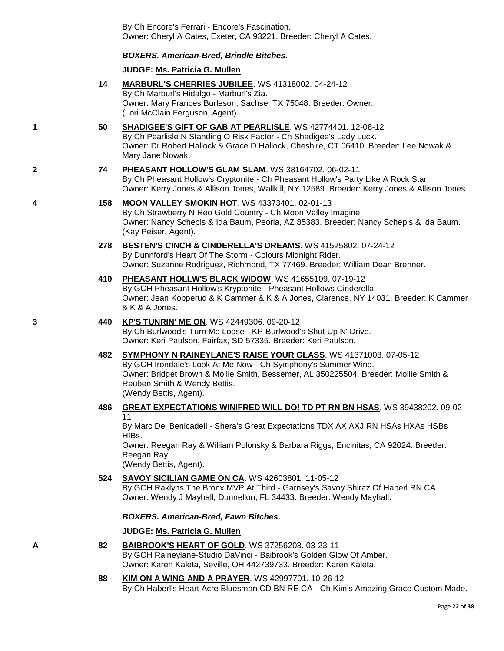By Ch Encore's Ferrari - Encore's Fascination. Owner: Cheryl A Cates, Exeter, CA 93221. Breeder: Cheryl A Cates.

#### *BOXERS. American-Bred, Brindle Bitches.*

#### **JUDGE: [Ms. Patricia G. Mullen](http://www.infodog.com/judges/32334/juddat.htm)**

- **14 [MARBURL'S CHERRIES JUBILEE](http://www.infodog.com/files/bdogrsl1.prg;makc=WS%2041318002;mdog=Marburl_s_Cherries_Jubilee;wins=all)**. WS 41318002. 04-24-12 By Ch Marburl's Hidalgo - Marburl's Zia. Owner: Mary Frances Burleson, Sachse, TX 75048. Breeder: Owner. (Lori McClain Ferguson, Agent).
- **1 50 [SHADIGEE'S GIFT OF GAB AT PEARLISLE](http://www.infodog.com/files/bdogrsl1.prg;makc=WS%2042774401;mdog=Shadigee_s_Gift_Of_Gab_At_Pearlisle;wins=all)**. WS 42774401. 12-08-12 By Ch Pearlisle N Standing O Risk Factor - Ch Shadigee's Lady Luck. Owner: Dr Robert Hallock & Grace D Hallock, Cheshire, CT 06410. Breeder: Lee Nowak & Mary Jane Nowak.
- **2 74 [PHEASANT HOLLOW'S GLAM SLAM](http://www.infodog.com/files/bdogrsl1.prg;makc=WS%2038164702;mdog=Pheasant_Hollow_s_Glam_Slam;wins=all)**. WS 38164702. 06-02-11 By Ch Pheasant Hollow's Cryptonite - Ch Pheasant Hollow's Party Like A Rock Star. Owner: Kerry Jones & Allison Jones, Wallkill, NY 12589. Breeder: Kerry Jones & Allison Jones.
- **4 158 [MOON VALLEY SMOKIN HOT](http://www.infodog.com/files/bdogrsl1.prg;makc=WS%2043373401;mdog=Moon_Valley_Smokin_Hot;wins=all)**. WS 43373401. 02-01-13 By Ch Strawberry N Reo Gold Country - Ch Moon Valley Imagine. Owner: Nancy Schepis & Ida Baum, Peoria, AZ 85383. Breeder: Nancy Schepis & Ida Baum. (Kay Peiser, Agent).
	- **278 [BESTEN'S CINCH & CINDERELLA'S DREAMS](http://www.infodog.com/files/bdogrsl1.prg;makc=WS%2041525802;mdog=Besten_s_Cinch_&_Cinderella_s_Dreams;wins=all)**. WS 41525802. 07-24-12 By Dunnford's Heart Of The Storm - Colours Midnight Rider. Owner: Suzanne Rodriguez, Richmond, TX 77469. Breeder: William Dean Brenner.
	- **410 [PHEASANT HOLLW'S BLACK WIDOW](http://www.infodog.com/files/bdogrsl1.prg;makc=WS%2041655109;mdog=Pheasant_Hollw_s_Black_Widow;wins=all)**. WS 41655109. 07-19-12 By GCH Pheasant Hollow's Kryptonite - Pheasant Hollows Cinderella. Owner: Jean Kopperud & K Cammer & K & A Jones, Clarence, NY 14031. Breeder: K Cammer & K & A Jones.

#### **3 440 [KP'S TUNRIN' ME ON](http://www.infodog.com/files/bdogrsl1.prg;makc=WS%2042449306;mdog=KP_s_Tunrin__Me_On;wins=all)**. WS 42449306. 09-20-12 By Ch Burlwood's Turn Me Loose - KP-Burlwood's Shut Up N' Drive. Owner: Keri Paulson, Fairfax, SD 57335. Breeder: Keri Paulson.

- **482 [SYMPHONY N RAINEYLANE'S RAISE YOUR GLASS](http://www.infodog.com/files/bdogrsl1.prg;makc=WS%2041371003;mdog=Symphony_N_Raineylane_s_Raise_Your_Glass;wins=all)**. WS 41371003. 07-05-12 By GCH Irondale's Look At Me Now - Ch Symphony's Summer Wind. Owner: Bridget Brown & Mollie Smith, Bessemer, AL 350225504. Breeder: Mollie Smith & Reuben Smith & Wendy Bettis. (Wendy Bettis, Agent).
- **486 [GREAT EXPECTATIONS WINIFRED WILL DO! TD PT RN BN HSAS](http://www.infodog.com/files/bdogrsl1.prg;makc=WS%2039438202;mdog=Great_Expectations_Winifred_Will_Do%21_TD_PT_RN_BN_HSAs;wins=all)**. WS 39438202. 09-02- 11

By Marc Del Benicadell - Shera's Great Expectations TDX AX AXJ RN HSAs HXAs HSBs HIBs.

Owner: Reegan Ray & William Polonsky & Barbara Riggs, Encinitas, CA 92024. Breeder: Reegan Ray.

(Wendy Bettis, Agent).

#### **524 [SAVOY SICILIAN GAME ON CA](http://www.infodog.com/files/bdogrsl1.prg;makc=WS%2042603801;mdog=Savoy_Sicilian_Game_On_CA;wins=all)**. WS 42603801. 11-05-12

By GCH Raklyns The Bronx MVP At Third - Garnsey's Savoy Shiraz Of Haberl RN CA. Owner: Wendy J Mayhall, Dunnellon, FL 34433. Breeder: Wendy Mayhall.

#### *BOXERS. American-Bred, Fawn Bitches.*

# **JUDGE: [Ms. Patricia G. Mullen](http://www.infodog.com/judges/32334/juddat.htm)**

#### **A 82 BAIBROOK'S [HEART OF GOLD](http://www.infodog.com/files/bdogrsl1.prg;makc=WS%2037256203;mdog=Baibrook_s_Heart_Of_Gold;wins=all)**. WS 37256203. 03-23-11

By GCH Raineylane-Studio DaVinci - Baibrook's Golden Glow Of Amber. Owner: Karen Kaleta, Seville, OH 442739733. Breeder: Karen Kaleta.

**88 [KIM ON A WING AND A PRAYER](http://www.infodog.com/files/bdogrsl1.prg;makc=WS%2042997701;mdog=Kim_On_A_Wing_And_A_Prayer;wins=all)**. WS 42997701. 10-26-12 By Ch Haberl's Heart Acre Bluesman CD BN RE CA - Ch Kim's Amazing Grace Custom Made.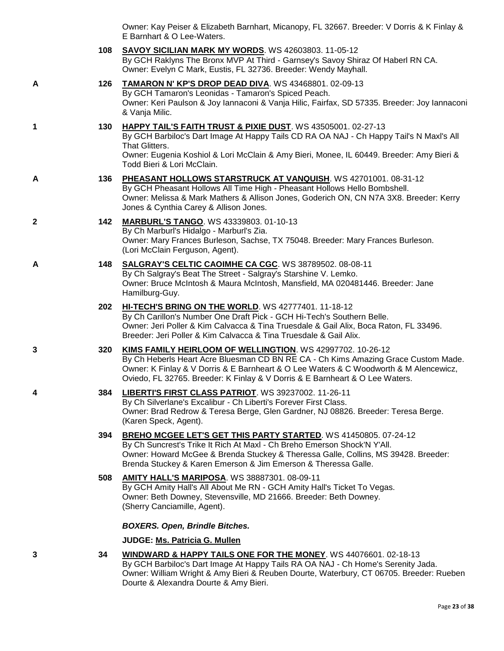| Owner: Kay Peiser & Elizabeth Barnhart, Micanopy, FL 32667. Breeder: V Dorris & K Finlay & |  |
|--------------------------------------------------------------------------------------------|--|
| E Barnhart & O Lee-Waters.                                                                 |  |

|   | 108 | <b>SAVOY SICILIAN MARK MY WORDS.</b> WS 42603803. 11-05-12<br>By GCH Raklyns The Bronx MVP At Third - Garnsey's Savoy Shiraz Of Haberl RN CA.<br>Owner: Evelyn C Mark, Eustis, FL 32736. Breeder: Wendy Mayhall.                                                                                                          |
|---|-----|---------------------------------------------------------------------------------------------------------------------------------------------------------------------------------------------------------------------------------------------------------------------------------------------------------------------------|
| A | 126 | TAMARON N' KP'S DROP DEAD DIVA. WS 43468801. 02-09-13<br>By GCH Tamaron's Leonidas - Tamaron's Spiced Peach.<br>Owner: Keri Paulson & Joy Iannaconi & Vanja Hilic, Fairfax, SD 57335. Breeder: Joy Iannaconi<br>& Vanja Milic.                                                                                            |
| 1 | 130 | HAPPY TAIL'S FAITH TRUST & PIXIE DUST. WS 43505001. 02-27-13<br>By GCH Barbiloc's Dart Image At Happy Tails CD RA OA NAJ - Ch Happy Tail's N Maxl's All<br>That Glitters.<br>Owner: Eugenia Koshiol & Lori McClain & Amy Bieri, Monee, IL 60449. Breeder: Amy Bieri &<br>Todd Bieri & Lori McClain.                       |
| А | 136 | PHEASANT HOLLOWS STARSTRUCK AT VANQUISH. WS 42701001. 08-31-12<br>By GCH Pheasant Hollows All Time High - Pheasant Hollows Hello Bombshell.<br>Owner: Melissa & Mark Mathers & Allison Jones, Goderich ON, CN N7A 3X8. Breeder: Kerry<br>Jones & Cynthia Carey & Allison Jones.                                           |
| 2 | 142 | <b>MARBURL'S TANGO. WS 43339803. 01-10-13</b><br>By Ch Marburl's Hidalgo - Marburl's Zia.<br>Owner: Mary Frances Burleson, Sachse, TX 75048. Breeder: Mary Frances Burleson.<br>(Lori McClain Ferguson, Agent).                                                                                                           |
| A | 148 | SALGRAY'S CELTIC CAOIMHE CA CGC. WS 38789502. 08-08-11<br>By Ch Salgray's Beat The Street - Salgray's Starshine V. Lemko.<br>Owner: Bruce McIntosh & Maura McIntosh, Mansfield, MA 020481446. Breeder: Jane<br>Hamilburg-Guy.                                                                                             |
|   | 202 | HI-TECH'S BRING ON THE WORLD. WS 42777401. 11-18-12<br>By Ch Carillon's Number One Draft Pick - GCH Hi-Tech's Southern Belle.<br>Owner: Jeri Poller & Kim Calvacca & Tina Truesdale & Gail Alix, Boca Raton, FL 33496.<br>Breeder: Jeri Poller & Kim Calvacca & Tina Truesdale & Gail Alix.                               |
| 3 | 320 | KIMS FAMILY HEIRLOOM OF WELLINGTION. WS 42997702. 10-26-12<br>By Ch Heberls Heart Acre Bluesman CD BN RE CA - Ch Kims Amazing Grace Custom Made.<br>Owner: K Finlay & V Dorris & E Barnheart & O Lee Waters & C Woodworth & M Alencewicz,<br>Oviedo, FL 32765. Breeder: K Finlay & V Dorris & E Barnheart & O Lee Waters. |
| 4 | 384 | LIBERTI'S FIRST CLASS PATRIOT. WS 39237002. 11-26-11<br>By Ch Silverlane's Excalibur - Ch Liberti's Forever First Class.<br>Owner: Brad Redrow & Teresa Berge, Glen Gardner, NJ 08826. Breeder: Teresa Berge.<br>(Karen Speck, Agent).                                                                                    |
|   | 394 | BREHO MCGEE LET'S GET THIS PARTY STARTED. WS 41450805. 07-24-12<br>By Ch Suncrest's Trike It Rich At Maxl - Ch Breho Emerson Shock'N Y'All.<br>Owner: Howard McGee & Brenda Stuckey & Theressa Galle, Collins, MS 39428. Breeder:<br>Brenda Stuckey & Karen Emerson & Jim Emerson & Theressa Galle.                       |
|   | 508 | AMITY HALL'S MARIPOSA. WS 38887301. 08-09-11<br>By GCH Amity Hall's All About Me RN - GCH Amity Hall's Ticket To Vegas.<br>Owner: Beth Downey, Stevensville, MD 21666. Breeder: Beth Downey.<br>(Sherry Canciamille, Agent).                                                                                              |
|   |     | <b>BOXERS. Open, Brindle Bitches.</b>                                                                                                                                                                                                                                                                                     |
|   |     | JUDGE: Ms. Patricia G. Mullen                                                                                                                                                                                                                                                                                             |
| 3 | 34  | WINDWARD & HAPPY TAILS ONE FOR THE MONEY. WS 44076601. 02-18-13<br>By GCH Barbiloc's Dart Image At Happy Tails RA OA NAJ - Ch Home's Serenity Jada.                                                                                                                                                                       |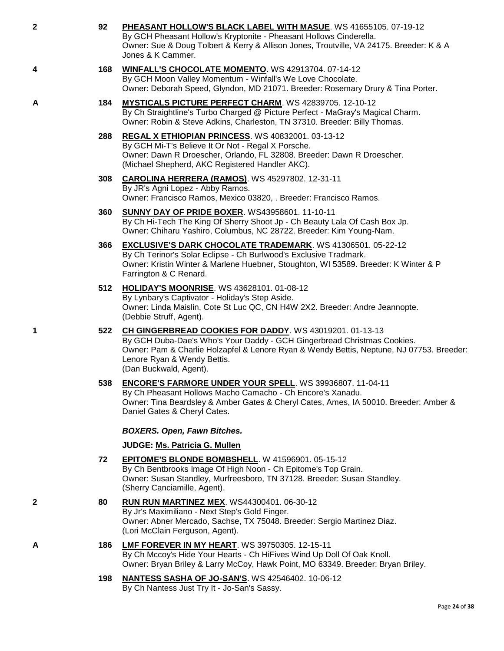| 2 | 92  | PHEASANT HOLLOW'S BLACK LABEL WITH MASUE. WS 41655105. 07-19-12<br>By GCH Pheasant Hollow's Kryptonite - Pheasant Hollows Cinderella.<br>Owner: Sue & Doug Tolbert & Kerry & Allison Jones, Troutville, VA 24175. Breeder: K & A<br>Jones & K Cammer.                                   |
|---|-----|-----------------------------------------------------------------------------------------------------------------------------------------------------------------------------------------------------------------------------------------------------------------------------------------|
| 4 | 168 | WINFALL'S CHOCOLATE MOMENTO. WS 42913704. 07-14-12<br>By GCH Moon Valley Momentum - Winfall's We Love Chocolate.<br>Owner: Deborah Speed, Glyndon, MD 21071. Breeder: Rosemary Drury & Tina Porter.                                                                                     |
| A | 184 | <b>MYSTICALS PICTURE PERFECT CHARM. WS 42839705. 12-10-12</b><br>By Ch Straightline's Turbo Charged @ Picture Perfect - MaGray's Magical Charm.<br>Owner: Robin & Steve Adkins, Charleston, TN 37310. Breeder: Billy Thomas.                                                            |
|   | 288 | REGAL X ETHIOPIAN PRINCESS. WS 40832001. 03-13-12<br>By GCH Mi-T's Believe It Or Not - Regal X Porsche.<br>Owner: Dawn R Droescher, Orlando, FL 32808. Breeder: Dawn R Droescher.<br>(Michael Shepherd, AKC Registered Handler AKC).                                                    |
|   | 308 | <b>CAROLINA HERRERA (RAMOS).</b> WS 45297802. 12-31-11<br>By JR's Agni Lopez - Abby Ramos.<br>Owner: Francisco Ramos, Mexico 03820, . Breeder: Francisco Ramos.                                                                                                                         |
|   | 360 | <b>SUNNY DAY OF PRIDE BOXER. WS43958601. 11-10-11</b><br>By Ch Hi-Tech The King Of Sherry Shoot Jp - Ch Beauty Lala Of Cash Box Jp.<br>Owner: Chiharu Yashiro, Columbus, NC 28722. Breeder: Kim Young-Nam.                                                                              |
|   | 366 | <b>EXCLUSIVE'S DARK CHOCOLATE TRADEMARK.</b> WS 41306501. 05-22-12<br>By Ch Terinor's Solar Eclipse - Ch Burlwood's Exclusive Tradmark.<br>Owner: Kristin Winter & Marlene Huebner, Stoughton, WI 53589. Breeder: K Winter & P<br>Farrington & C Renard.                                |
|   | 512 | <b>HOLIDAY'S MOONRISE.</b> WS 43628101. 01-08-12<br>By Lynbary's Captivator - Holiday's Step Aside.<br>Owner: Linda Maislin, Cote St Luc QC, CN H4W 2X2. Breeder: Andre Jeannopte.<br>(Debbie Struff, Agent).                                                                           |
| 1 | 522 | CH GINGERBREAD COOKIES FOR DADDY. WS 43019201. 01-13-13<br>By GCH Duba-Dae's Who's Your Daddy - GCH Gingerbread Christmas Cookies.<br>Owner: Pam & Charlie Holzapfel & Lenore Ryan & Wendy Bettis, Neptune, NJ 07753. Breeder:<br>Lenore Ryan & Wendy Bettis.<br>(Dan Buckwald, Agent). |
|   | 538 | ENCORE'S FARMORE UNDER YOUR SPELL. WS 39936807. 11-04-11<br>By Ch Pheasant Hollows Macho Camacho - Ch Encore's Xanadu.<br>Owner: Tina Beardsley & Amber Gates & Cheryl Cates, Ames, IA 50010. Breeder: Amber &<br>Daniel Gates & Cheryl Cates.                                          |
|   |     | <b>BOXERS. Open, Fawn Bitches.</b>                                                                                                                                                                                                                                                      |
|   |     | JUDGE: Ms. Patricia G. Mullen                                                                                                                                                                                                                                                           |
|   | 72  | <b>EPITOME'S BLONDE BOMBSHELL. W 41596901. 05-15-12</b><br>By Ch Bentbrooks Image Of High Noon - Ch Epitome's Top Grain.<br>Owner: Susan Standley, Murfreesboro, TN 37128. Breeder: Susan Standley.<br>(Sherry Canciamille, Agent).                                                     |
| 2 | 80  | <b>RUN RUN MARTINEZ MEX. WS44300401. 06-30-12</b><br>By Jr's Maximiliano - Next Step's Gold Finger.<br>Owner: Abner Mercado, Sachse, TX 75048. Breeder: Sergio Martinez Diaz.<br>(Lori McClain Ferguson, Agent).                                                                        |
| A | 186 | LMF FOREVER IN MY HEART. WS 39750305. 12-15-11<br>By Ch Mccoy's Hide Your Hearts - Ch HiFives Wind Up Doll Of Oak Knoll.<br>Owner: Bryan Briley & Larry McCoy, Hawk Point, MO 63349. Breeder: Bryan Briley.                                                                             |
|   | 100 | NANTESS SASHA OF IO SANIS WS 42546402 10.06.12                                                                                                                                                                                                                                          |

**198 [NANTESS SASHA OF JO-SAN'S](http://www.infodog.com/files/bdogrsl1.prg;makc=WS%2042546402;mdog=Nantess_Sasha_Of_Jo-San_s;wins=all)**. WS 42546402. 10-06-12 By Ch Nantess Just Try It - Jo-San's Sassy.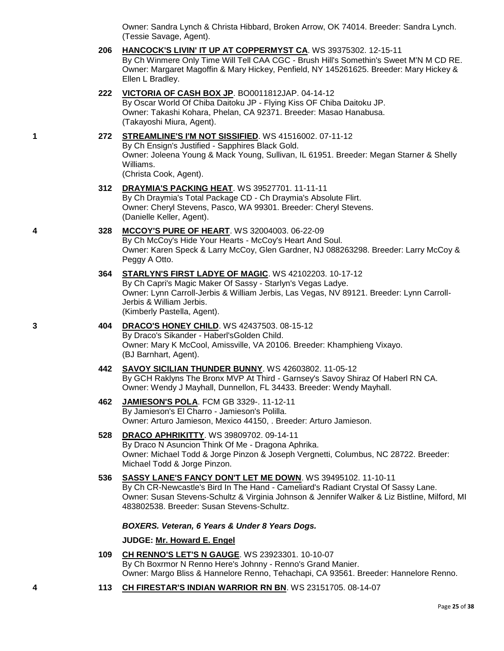Owner: Sandra Lynch & Christa Hibbard, Broken Arrow, OK 74014. Breeder: Sandra Lynch. (Tessie Savage, Agent).

- **206 [HANCOCK'S LIVIN' IT UP AT COPPERMYST CA](http://www.infodog.com/files/bdogrsl1.prg;makc=WS%2039375302;mdog=Hancock_s_Livin__It_Up_At_CopperMyst_CA;wins=all)**. WS 39375302. 12-15-11 By Ch Winmere Only Time Will Tell CAA CGC - Brush Hill's Somethin's Sweet M'N M CD RE. Owner: Margaret Magoffin & Mary Hickey, Penfield, NY 145261625. Breeder: Mary Hickey & Ellen L Bradley.
- **222 [VICTORIA OF CASH BOX JP](http://www.infodog.com/files/bdogrsl1.prg;makc=BO0011812JAP;mdog=Victoria_Of_Cash_Box_JP;wins=all)**. BO0011812JAP. 04-14-12 By Oscar World Of Chiba Daitoku JP - Flying Kiss OF Chiba Daitoku JP. Owner: Takashi Kohara, Phelan, CA 92371. Breeder: Masao Hanabusa. (Takayoshi Miura, Agent).

# **1 272 [STREAMLINE'S I'M NOT SISSIFIED](http://www.infodog.com/files/bdogrsl1.prg;makc=WS%2041516002;mdog=Streamline_s_I_m_Not_Sissified;wins=all)**. WS 41516002. 07-11-12 By Ch Ensign's Justified - Sapphires Black Gold. Owner: Joleena Young & Mack Young, Sullivan, IL 61951. Breeder: Megan Starner & Shelly Williams.

(Christa Cook, Agent).

- **312 [DRAYMIA'S PACKING HEAT](http://www.infodog.com/files/bdogrsl1.prg;makc=WS%2039527701;mdog=Draymia_s_Packing_Heat;wins=all)**. WS 39527701. 11-11-11 By Ch Draymia's Total Package CD - Ch Draymia's Absolute Flirt. Owner: Cheryl Stevens, Pasco, WA 99301. Breeder: Cheryl Stevens. (Danielle Keller, Agent).
- **4 328 [MCCOY'S PURE OF HEART](http://www.infodog.com/files/bdogrsl1.prg;makc=WS%2032004003;mdog=McCoy_s_Pure_Of_Heart;wins=all)**. WS 32004003. 06-22-09 By Ch McCoy's Hide Your Hearts - McCoy's Heart And Soul. Owner: Karen Speck & Larry McCoy, Glen Gardner, NJ 088263298. Breeder: Larry McCoy & Peggy A Otto.
	- **364 [STARLYN'S FIRST LADYE OF MAGIC](http://www.infodog.com/files/bdogrsl1.prg;makc=WS%2042102203;mdog=Starlyn_s_First_Ladye_Of_Magic;wins=all)**. WS 42102203. 10-17-12 By Ch Capri's Magic Maker Of Sassy - Starlyn's Vegas Ladye. Owner: Lynn Carroll-Jerbis & William Jerbis, Las Vegas, NV 89121. Breeder: Lynn Carroll-Jerbis & William Jerbis. (Kimberly Pastella, Agent).
- **3 404 [DRACO'S HONEY CHILD](http://www.infodog.com/files/bdogrsl1.prg;makc=WS%2042437503;mdog=Draco_s_Honey_Child;wins=all)**. WS 42437503. 08-15-12 By Draco's Sikander - Haberl'sGolden Child. Owner: Mary K McCool, Amissville, VA 20106. Breeder: Khamphieng Vixayo. (BJ Barnhart, Agent).
	- **442 [SAVOY SICILIAN THUNDER BUNNY](http://www.infodog.com/files/bdogrsl1.prg;makc=WS%2042603802;mdog=Savoy_Sicilian_Thunder_Bunny;wins=all)**. WS 42603802. 11-05-12 By GCH Raklyns The Bronx MVP At Third - Garnsey's Savoy Shiraz Of Haberl RN CA. Owner: Wendy J Mayhall, Dunnellon, FL 34433. Breeder: Wendy Mayhall.
	- **462 [JAMIESON'S POLA](http://www.infodog.com/files/bdogrsl1.prg;makc=FCM%20GB%203329-;mdog=Jamieson_s_Pola;wins=all)**. FCM GB 3329-. 11-12-11 By Jamieson's El Charro - Jamieson's Polilla. Owner: Arturo Jamieson, Mexico 44150, . Breeder: Arturo Jamieson.

### **528 [DRACO APHRIKITTY](http://www.infodog.com/files/bdogrsl1.prg;makc=WS%2039809702;mdog=Draco_Aphrikitty;wins=all)**. WS 39809702. 09-14-11 By Draco N Asuncion Think Of Me - Dragona Aphrika. Owner: Michael Todd & Jorge Pinzon & Joseph Vergnetti, Columbus, NC 28722. Breeder: Michael Todd & Jorge Pinzon.

**536 [SASSY LANE'S FANCY DON'T LET ME DOWN](http://www.infodog.com/files/bdogrsl1.prg;makc=WS%2039495102;mdog=Sassy_Lane_s_Fancy_Don_t_Let_Me_Down;wins=all)**. WS 39495102. 11-10-11 By Ch CR-Newcastle's Bird In The Hand - Cameliard's Radiant Crystal Of Sassy Lane. Owner: Susan Stevens-Schultz & Virginia Johnson & Jennifer Walker & Liz Bistline, Milford, MI 483802538. Breeder: Susan Stevens-Schultz.

#### *BOXERS. Veteran, 6 Years & Under 8 Years Dogs.*

#### **JUDGE: [Mr. Howard E. Engel](http://www.infodog.com/judges/44716/juddat.htm)**

- **109 [CH RENNO'S LET'S N GAUGE](http://www.infodog.com/files/bdogrsl1.prg;makc=WS%2023923301;mdog=Ch_Renno_s_Let_s_N_Gauge;wins=all)**. WS 23923301. 10-10-07 By Ch Boxrmor N Renno Here's Johnny - Renno's Grand Manier. Owner: Margo Bliss & Hannelore Renno, Tehachapi, CA 93561. Breeder: Hannelore Renno.
- **4 113 [CH FIRESTAR'S INDIAN WARRIOR RN BN](http://www.infodog.com/files/bdogrsl1.prg;makc=WS%2023151705;mdog=Ch_Firestar_s_Indian_Warrior_RN_BN;wins=all)**. WS 23151705. 08-14-07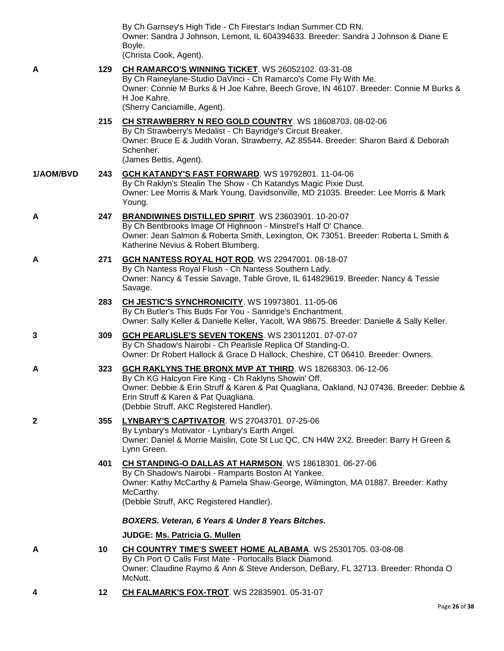|           |     | By Ch Garnsey's High Tide - Ch Firestar's Indian Summer CD RN.<br>Owner: Sandra J Johnson, Lemont, IL 604394633. Breeder: Sandra J Johnson & Diane E<br>Boyle.<br>(Christa Cook, Agent).                                                                                                           |
|-----------|-----|----------------------------------------------------------------------------------------------------------------------------------------------------------------------------------------------------------------------------------------------------------------------------------------------------|
| Α         | 129 | CH RAMARCO'S WINNING TICKET. WS 26052102. 03-31-08<br>By Ch Raineylane-Studio DaVinci - Ch Ramarco's Come Fly With Me.<br>Owner: Connie M Burks & H Joe Kahre, Beech Grove, IN 46107. Breeder: Connie M Burks &<br>H Joe Kahre.<br>(Sherry Canciamille, Agent).                                    |
|           | 215 | CH STRAWBERRY N REO GOLD COUNTRY. WS 18608703. 08-02-06<br>By Ch Strawberry's Medalist - Ch Bayridge's Circuit Breaker.<br>Owner: Bruce E & Judith Voran, Strawberry, AZ 85544. Breeder: Sharon Baird & Deborah<br>Schenher.<br>(James Bettis, Agent).                                             |
| 1/AOM/BVD | 243 | GCH KATANDY'S FAST FORWARD. WS 19792801. 11-04-06<br>By Ch Raklyn's Stealin The Show - Ch Katandys Magic Pixie Dust.<br>Owner: Lee Morris & Mark Young, Davidsonville, MD 21035. Breeder: Lee Morris & Mark<br>Young.                                                                              |
| Α         | 247 | BRANDIWINES DISTILLED SPIRIT. WS 23603901. 10-20-07<br>By Ch Bentbrooks Image Of Highnoon - Minstrel's Half O' Chance.<br>Owner: Jean Salmon & Roberta Smith, Lexington, OK 73051. Breeder: Roberta L Smith &<br>Katherine Nevius & Robert Blumberg.                                               |
| Α         | 271 | GCH NANTESS ROYAL HOT ROD. WS 22947001. 08-18-07<br>By Ch Nantess Royal Flush - Ch Nantess Southern Lady.<br>Owner: Nancy & Tessie Savage, Table Grove, IL 614829619. Breeder: Nancy & Tessie<br>Savage.                                                                                           |
|           | 283 | CH JESTIC'S SYNCHRONICITY. WS 19973801. 11-05-06<br>By Ch Butler's This Buds For You - Sanridge's Enchantment.<br>Owner: Sally Keller & Danielle Keller, Yacolt, WA 98675. Breeder: Danielle & Sally Keller.                                                                                       |
| 3         | 309 | <b>GCH PEARLISLE'S SEVEN TOKENS. WS 23011201. 07-07-07</b><br>By Ch Shadow's Nairobi - Ch Pearlisle Replica Of Standing-O.<br>Owner: Dr Robert Hallock & Grace D Hallock, Cheshire, CT 06410. Breeder: Owners.                                                                                     |
| Α         | 323 | GCH RAKLYNS THE BRONX MVP AT THIRD. WS 18268303. 06-12-06<br>By Ch KG Halcyon Fire King - Ch Raklyns Showin' Off.<br>Owner: Debbie & Erin Struff & Karen & Pat Quagliana, Oakland, NJ 07436. Breeder: Debbie &<br>Erin Struff & Karen & Pat Quagliana.<br>(Debbie Struff, AKC Registered Handler). |
| 2         | 355 | LYNBARY'S CAPTIVATOR. WS 27043701. 07-25-06<br>By Lynbary's Motivator - Lynbary's Earth Angel.<br>Owner: Daniel & Morrie Maislin, Cote St Luc QC, CN H4W 2X2. Breeder: Barry H Green &<br>Lynn Green.                                                                                              |
|           | 401 | CH STANDING-O DALLAS AT HARMSON. WS 18618301. 06-27-06<br>By Ch Shadow's Nairobi - Ramparts Boston At Yankee.<br>Owner: Kathy McCarthy & Pamela Shaw-George, Wilmington, MA 01887. Breeder: Kathy<br>McCarthy.<br>(Debbie Struff, AKC Registered Handler).                                         |
|           |     | <b>BOXERS. Veteran, 6 Years &amp; Under 8 Years Bitches.</b>                                                                                                                                                                                                                                       |
|           |     | JUDGE: Ms. Patricia G. Mullen                                                                                                                                                                                                                                                                      |
| Α         | 10  | <b>CH COUNTRY TIME'S SWEET HOME ALABAMA. WS 25301705. 03-08-08</b><br>By Ch Port O Calls First Mate - Portocalls Black Diamond.<br>Owner: Claudine Raymo & Ann & Steve Anderson, DeBary, FL 32713. Breeder: Rhonda O<br>McNutt.                                                                    |
| 4         | 12  | <b>CH FALMARK'S FOX-TROT. WS 22835901. 05-31-07</b>                                                                                                                                                                                                                                                |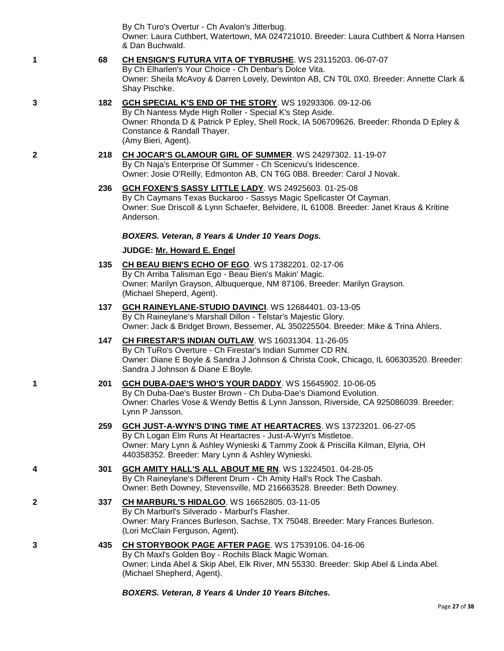By Ch Turo's Overtur - Ch Avalon's Jitterbug. Owner: Laura Cuthbert, Watertown, MA 024721010. Breeder: Laura Cuthbert & Norra Hansen & Dan Buchwald.

**1 68 [CH ENSIGN'S FUTURA VITA OF TYBRUSHE](http://www.infodog.com/files/bdogrsl1.prg;makc=WS%2023115203;mdog=Ch_Ensign_s_Futura_Vita_Of_Tybrushe;wins=all)**. WS 23115203. 06-07-07 By Ch Elharlen's Your Choice - Ch Denbar's Dolce Vita. Owner: Sheila McAvoy & Darren Lovely, Dewinton AB, CN T0L 0X0. Breeder: Annette Clark &

Shay Pischke.

- **3 182 [GCH SPECIAL K'S END OF THE STORY](http://www.infodog.com/files/bdogrsl1.prg;makc=WS%2019293306;mdog=GCH_Special_K_s_End_Of_The_Story;wins=all)**. WS 19293306. 09-12-06 By Ch Nantess Myde High Roller - Special K's Step Aside. Owner: Rhonda D & Patrick P Epley, Shell Rock, IA 506709626. Breeder: Rhonda D Epley & Constance & Randall Thayer. (Amy Bieri, Agent).
- **2 218 [CH JOCAR'S GLAMOUR GIRL OF SUMMER](http://www.infodog.com/files/bdogrsl1.prg;makc=WS%2024297302;mdog=Ch_Jocar_s_Glamour_Girl_Of_Summer;wins=all)**. WS 24297302. 11-19-07 By Ch Naja's Enterprise Of Summer - Ch Scenicvu's Iridescence. Owner: Josie O'Reilly, Edmonton AB, CN T6G 0B8. Breeder: Carol J Novak.
	- **236 [GCH FOXEN'S SASSY LITTLE LADY](http://www.infodog.com/files/bdogrsl1.prg;makc=WS%2024925603;mdog=GCH_Foxen_s_Sassy_Little_Lady;wins=all)**. WS 24925603. 01-25-08 By Ch Caymans Texas Buckaroo - Sassys Magic Spellcaster Of Cayman. Owner: Sue Driscoll & Lynn Schaefer, Belvidere, IL 61008. Breeder: Janet Kraus & Kritine Anderson.

*BOXERS. Veteran, 8 Years & Under 10 Years Dogs.*

# **JUDGE: [Mr. Howard E. Engel](http://www.infodog.com/judges/44716/juddat.htm)**

- **135 [CH BEAU BIEN'S ECHO OF EGO](http://www.infodog.com/files/bdogrsl1.prg;makc=WS%2017382201;mdog=Ch_Beau_Bien_s_Echo_Of_Ego;wins=all)**. WS 17382201. 02-17-06 By Ch Arriba Talisman Ego - Beau Bien's Makin' Magic. Owner: Marilyn Grayson, Albuquerque, NM 87106. Breeder: Marilyn Grayson. (Michael Sheperd, Agent).
- **137 [GCH RAINEYLANE-STUDIO DAVINCI](http://www.infodog.com/files/bdogrsl1.prg;makc=WS%2012684401;mdog=GCH_Raineylane-Studio_DaVinci;wins=all)**. WS 12684401. 03-13-05 By Ch Raineylane's Marshall Dillon - Telstar's Majestic Glory. Owner: Jack & Bridget Brown, Bessemer, AL 350225504. Breeder: Mike & Trina Ahlers.
- **147 [CH FIRESTAR'S INDIAN OUTLAW](http://www.infodog.com/files/bdogrsl1.prg;makc=WS%2016031304;mdog=Ch_Firestar_s_Indian_Outlaw;wins=all)**. WS 16031304. 11-26-05 By Ch TuRo's Overture - Ch Firestar's Indian Summer CD RN. Owner: Diane E Boyle & Sandra J Johnson & Christa Cook, Chicago, IL 606303520. Breeder: Sandra J Johnson & Diane E Boyle.
- **1 201 [GCH DUBA-DAE'S WHO'S YOUR DADDY](http://www.infodog.com/files/bdogrsl1.prg;makc=WS%2015645902;mdog=GCH_Duba-Dae_s_Who_s_Your_Daddy;wins=all)**. WS 15645902. 10-06-05 By Ch Duba-Dae's Buster Brown - Ch Duba-Dae's Diamond Evolution. Owner: Charles Vose & Wendy Bettis & Lynn Jansson, Riverside, CA 925086039. Breeder: Lynn P Jansson.
	- **259 [GCH JUST-A-WYN'S D'ING TIME AT HEARTACRES](http://www.infodog.com/files/bdogrsl1.prg;makc=WS%2013723201;mdog=GCH_Just-A-Wyn_s_D_ing_Time_At_Heartacres;wins=all)**. WS 13723201. 06-27-05 By Ch Logan Elm Runs At Heartacres - Just-A-Wyn's Mistletoe. Owner: Mary Lynn & Ashley Wynieski & Tammy Zook & Priscilla Kilman, Elyria, OH 440358352. Breeder: Mary Lynn & Ashley Wynieski.
- **4 301 [GCH AMITY HALL'S ALL ABOUT ME RN](http://www.infodog.com/files/bdogrsl1.prg;makc=WS%2013224501;mdog=GCH_Amity_Hall_s_All_About_Me_RN;wins=all)**. WS 13224501. 04-28-05 By Ch Raineylane's Different Drum - Ch Amity Hall's Rock The Casbah. Owner: Beth Downey, Stevensville, MD 216663528. Breeder: Beth Downey.
- **2 337 [CH MARBURL'S HIDALGO](http://www.infodog.com/files/bdogrsl1.prg;makc=WS%2016652805;mdog=Ch_Marburl_s_Hidalgo;wins=all)**. WS 16652805. 03-11-05 By Ch Marburl's Silverado - Marburl's Flasher. Owner: Mary Frances Burleson, Sachse, TX 75048. Breeder: Mary Frances Burleson. (Lori McClain Ferguson, Agent).
- **3 435 [CH STORYBOOK PAGE AFTER PAGE](http://www.infodog.com/files/bdogrsl1.prg;makc=WS%2017539106;mdog=Ch_Storybook_Page_After_Page;wins=all)**. WS 17539106. 04-16-06 By Ch Maxl's Golden Boy - Rochils Black Magic Woman. Owner: Linda Abel & Skip Abel, Elk River, MN 55330. Breeder: Skip Abel & Linda Abel. (Michael Shepherd, Agent).

*BOXERS. Veteran, 8 Years & Under 10 Years Bitches.*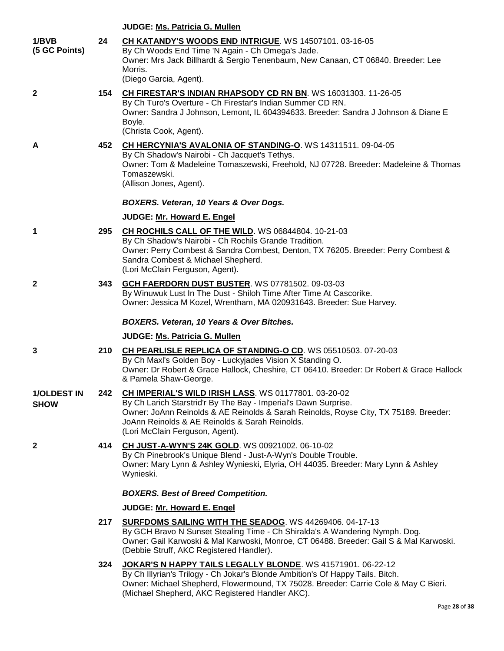|                                   |     | JUDGE: Ms. Patricia G. Mullen                                                                                                                                                                                                                                                                        |
|-----------------------------------|-----|------------------------------------------------------------------------------------------------------------------------------------------------------------------------------------------------------------------------------------------------------------------------------------------------------|
| 1/BVB<br>(5 GC Points)            | 24  | CH KATANDY'S WOODS END INTRIGUE. WS 14507101. 03-16-05<br>By Ch Woods End Time 'N Again - Ch Omega's Jade.<br>Owner: Mrs Jack Billhardt & Sergio Tenenbaum, New Canaan, CT 06840. Breeder: Lee<br>Morris.<br>(Diego Garcia, Agent).                                                                  |
| 2                                 | 154 | CH FIRESTAR'S INDIAN RHAPSODY CD RN BN. WS 16031303. 11-26-05<br>By Ch Turo's Overture - Ch Firestar's Indian Summer CD RN.<br>Owner: Sandra J Johnson, Lemont, IL 604394633. Breeder: Sandra J Johnson & Diane E<br>Boyle.<br>(Christa Cook, Agent).                                                |
| A                                 | 452 | CH HERCYNIA'S AVALONIA OF STANDING-O. WS 14311511. 09-04-05<br>By Ch Shadow's Nairobi - Ch Jacquet's Tethys.<br>Owner: Tom & Madeleine Tomaszewski, Freehold, NJ 07728. Breeder: Madeleine & Thomas<br>Tomaszewski.<br>(Allison Jones, Agent).                                                       |
|                                   |     | BOXERS. Veteran, 10 Years & Over Dogs.<br>JUDGE: Mr. Howard E. Engel                                                                                                                                                                                                                                 |
| 1                                 | 295 | CH ROCHILS CALL OF THE WILD. WS 06844804. 10-21-03<br>By Ch Shadow's Nairobi - Ch Rochils Grande Tradition.<br>Owner: Perry Combest & Sandra Combest, Denton, TX 76205. Breeder: Perry Combest &<br>Sandra Combest & Michael Shepherd.<br>(Lori McClain Ferguson, Agent).                            |
| 2                                 | 343 | GCH FAERDORN DUST BUSTER. WS 07781502. 09-03-03<br>By Winuwuk Lust In The Dust - Shiloh Time After Time At Cascorike.<br>Owner: Jessica M Kozel, Wrentham, MA 020931643. Breeder: Sue Harvey.                                                                                                        |
|                                   |     | BOXERS. Veteran, 10 Years & Over Bitches.                                                                                                                                                                                                                                                            |
|                                   |     | JUDGE: Ms. Patricia G. Mullen                                                                                                                                                                                                                                                                        |
| 3                                 | 210 | CH PEARLISLE REPLICA OF STANDING-O CD. WS 05510503. 07-20-03<br>By Ch Maxl's Golden Boy - Luckyjades Vision X Standing O.<br>Owner: Dr Robert & Grace Hallock, Cheshire, CT 06410. Breeder: Dr Robert & Grace Hallock<br>& Pamela Shaw-George.                                                       |
| <b>1/OLDEST IN</b><br><b>SHOW</b> | 242 | CH IMPERIAL'S WILD IRISH LASS. WS 01177801. 03-20-02<br>By Ch Larich Starstrid'r By The Bay - Imperial's Dawn Surprise.<br>Owner: JoAnn Reinolds & AE Reinolds & Sarah Reinolds, Royse City, TX 75189. Breeder:<br>JoAnn Reinolds & AE Reinolds & Sarah Reinolds.<br>(Lori McClain Ferguson, Agent). |
| 2                                 | 414 | <b>CH JUST-A-WYN'S 24K GOLD. WS 00921002. 06-10-02</b><br>By Ch Pinebrook's Unique Blend - Just-A-Wyn's Double Trouble.<br>Owner: Mary Lynn & Ashley Wynieski, Elyria, OH 44035. Breeder: Mary Lynn & Ashley<br>Wynieski.                                                                            |
|                                   |     | <b>BOXERS. Best of Breed Competition.</b>                                                                                                                                                                                                                                                            |
|                                   |     | JUDGE: Mr. Howard E. Engel                                                                                                                                                                                                                                                                           |
|                                   | 217 | SURFDOMS SAILING WITH THE SEADOG. WS 44269406. 04-17-13<br>By GCH Bravo N Sunset Stealing Time - Ch Shiralda's A Wandering Nymph. Dog.<br>Owner: Gail Karwoski & Mal Karwoski, Monroe, CT 06488. Breeder: Gail S & Mal Karwoski.<br>(Debbie Struff, AKC Registered Handler).                         |
|                                   | 324 | JOKAR'S N HAPPY TAILS LEGALLY BLONDE. WS 41571901. 06-22-12<br>By Ch Illyrian's Trilogy - Ch Jokar's Blonde Ambition's Of Happy Tails. Bitch.<br>Owner: Michael Shepherd, Flowermound, TX 75028. Breeder: Carrie Cole & May C Bieri.<br>(Michael Shepherd, AKC Registered Handler AKC).              |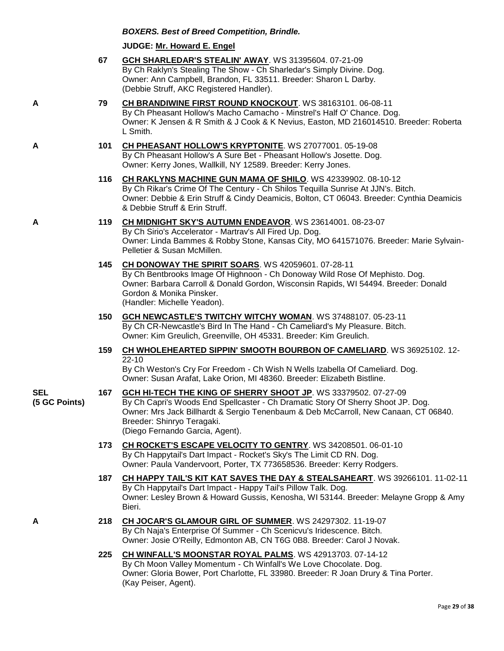#### *BOXERS. Best of Breed Competition, Brindle.*

#### **JUDGE: [Mr. Howard E. Engel](http://www.infodog.com/judges/44716/juddat.htm)**

- **67 [GCH SHARLEDAR'S STEALIN' AWAY](http://www.infodog.com/files/bdogrsl1.prg;makc=WS%2031395604;mdog=GCH_Sharledar_s_Stealin__Away;wins=all)**. WS 31395604. 07-21-09 By Ch Raklyn's Stealing The Show - Ch Sharledar's Simply Divine. Dog. Owner: Ann Campbell, Brandon, FL 33511. Breeder: Sharon L Darby. (Debbie Struff, AKC Registered Handler).
- **A 79 [CH BRANDIWINE FIRST ROUND KNOCKOUT](http://www.infodog.com/files/bdogrsl1.prg;makc=WS%2038163101;mdog=Ch_Brandiwine_First_Round_Knockout;wins=all)**. WS 38163101. 06-08-11 By Ch Pheasant Hollow's Macho Camacho - Minstrel's Half O' Chance. Dog. Owner: K Jensen & R Smith & J Cook & K Nevius, Easton, MD 216014510. Breeder: Roberta L Smith.

#### **A 101 [CH PHEASANT HOLLOW'S KRYPTONITE](http://www.infodog.com/files/bdogrsl1.prg;makc=WS%2027077001;mdog=Ch_Pheasant_Hollow_s_Kryptonite;wins=all)**. WS 27077001. 05-19-08 By Ch Pheasant Hollow's A Sure Bet - Pheasant Hollow's Josette. Dog. Owner: Kerry Jones, Wallkill, NY 12589. Breeder: Kerry Jones.

**116 [CH RAKLYNS MACHINE GUN MAMA OF SHILO](http://www.infodog.com/files/bdogrsl1.prg;makc=WS%2042339902;mdog=Ch_Raklyns_Machine_Gun_Mama_Of_Shilo;wins=all)**. WS 42339902. 08-10-12 By Ch Rikar's Crime Of The Century - Ch Shilos Tequilla Sunrise At JJN's. Bitch. Owner: Debbie & Erin Struff & Cindy Deamicis, Bolton, CT 06043. Breeder: Cynthia Deamicis & Debbie Struff & Erin Struff.

#### **A 119 [CH MIDNIGHT SKY'S AUTUMN ENDEAVOR](http://www.infodog.com/files/bdogrsl1.prg;makc=WS%2023614001;mdog=Ch_Midnight_Sky_s_Autumn_Endeavor;wins=all)**. WS 23614001. 08-23-07 By Ch Sirio's Accelerator - Martrav's All Fired Up. Dog. Owner: Linda Bammes & Robby Stone, Kansas City, MO 641571076. Breeder: Marie Sylvain-Pelletier & Susan McMillen.

- **145 [CH DONOWAY THE SPIRIT SOARS](http://www.infodog.com/files/bdogrsl1.prg;makc=WS%2042059601;mdog=Ch_Donoway_The_Spirit_Soars;wins=all)**. WS 42059601. 07-28-11 By Ch Bentbrooks Image Of Highnoon - Ch Donoway Wild Rose Of Mephisto. Dog. Owner: Barbara Carroll & Donald Gordon, Wisconsin Rapids, WI 54494. Breeder: Donald Gordon & Monika Pinsker. (Handler: Michelle Yeadon).
- **150 [GCH NEWCASTLE'S TWITCHY WITCHY WOMAN](http://www.infodog.com/files/bdogrsl1.prg;makc=WS%2037488107;mdog=GCH_Newcastle_s_Twitchy_Witchy_Woman;wins=all)**. WS 37488107. 05-23-11 By Ch CR-Newcastle's Bird In The Hand - Ch Cameliard's My Pleasure. Bitch. Owner: Kim Greulich, Greenville, OH 45331. Breeder: Kim Greulich.
- **159 [CH WHOLEHEARTED SIPPIN' SMOOTH BOURBON OF CAMELIARD](http://www.infodog.com/files/bdogrsl1.prg;makc=WS%2036925102;mdog=Ch_Wholehearted_Sippin__Smooth_Bourbon_Of_Cameliard;wins=all)**. WS 36925102. 12- 22-10

By Ch Weston's Cry For Freedom - Ch Wish N Wells Izabella Of Cameliard. Dog. Owner: Susan Arafat, Lake Orion, MI 48360. Breeder: Elizabeth Bistline.

- **SEL (5 GC Points) 167 [GCH HI-TECH THE KING OF SHERRY SHOOT JP](http://www.infodog.com/files/bdogrsl1.prg;makc=WS%2033379502;mdog=GCH_Hi-Tech_The_King_Of_Sherry_Shoot_JP;wins=all)**. WS 33379502. 07-27-09 By Ch Capri's Woods End Spellcaster - Ch Dramatic Story Of Sherry Shoot JP. Dog. Owner: Mrs Jack Billhardt & Sergio Tenenbaum & Deb McCarroll, New Canaan, CT 06840. Breeder: Shinryo Teragaki. (Diego Fernando Garcia, Agent).
	- **173 [CH ROCKET'S ESCAPE VELOCITY TO GENTRY](http://www.infodog.com/files/bdogrsl1.prg;makc=WS%2034208501;mdog=Ch_Rocket_s_Escape_Velocity_To_Gentry;wins=all)**. WS 34208501. 06-01-10 By Ch Happytail's Dart Impact - Rocket's Sky's The Limit CD RN. Dog. Owner: Paula Vandervoort, Porter, TX 773658536. Breeder: Kerry Rodgers.
	- **187 [CH HAPPY TAIL'S KIT KAT SAVES THE DAY & STEALSAHEART](http://www.infodog.com/files/bdogrsl1.prg;makc=WS%2039266101;mdog=Ch_Happy_Tail_s_Kit_Kat_Saves_The_Day_&_Stealsaheart;wins=all)**. WS 39266101. 11-02-11 By Ch Happytail's Dart Impact - Happy Tail's Pillow Talk. Dog. Owner: Lesley Brown & Howard Gussis, Kenosha, WI 53144. Breeder: Melayne Gropp & Amy Bieri.
- **A 218 [CH JOCAR'S GLAMOUR GIRL OF SUMMER](http://www.infodog.com/files/bdogrsl1.prg;makc=WS%2024297302;mdog=Ch_Jocar_s_Glamour_Girl_Of_Summer;wins=all)**. WS 24297302. 11-19-07 By Ch Naja's Enterprise Of Summer - Ch Scenicvu's Iridescence. Bitch. Owner: Josie O'Reilly, Edmonton AB, CN T6G 0B8. Breeder: Carol J Novak.
	- **225 [CH WINFALL'S MOONSTAR ROYAL PALMS](http://www.infodog.com/files/bdogrsl1.prg;makc=WS%2042913703;mdog=Ch_Winfall_s_Moonstar_Royal_Palms;wins=all)**. WS 42913703. 07-14-12 By Ch Moon Valley Momentum - Ch Winfall's We Love Chocolate. Dog. Owner: Gloria Bower, Port Charlotte, FL 33980. Breeder: R Joan Drury & Tina Porter. (Kay Peiser, Agent).

Page **29** of **38**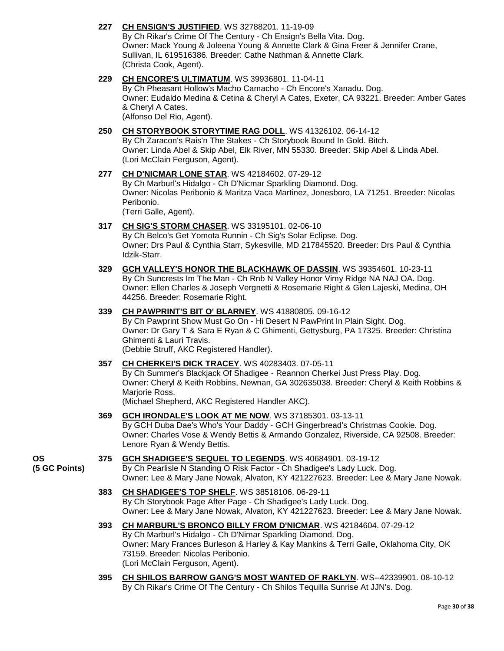# **227 [CH ENSIGN'S JUSTIFIED](http://www.infodog.com/files/bdogrsl1.prg;makc=WS%2032788201;mdog=Ch_Ensign_s_Justified;wins=all)**. WS 32788201. 11-19-09

By Ch Rikar's Crime Of The Century - Ch Ensign's Bella Vita. Dog. Owner: Mack Young & Joleena Young & Annette Clark & Gina Freer & Jennifer Crane, Sullivan, IL 619516386. Breeder: Cathe Nathman & Annette Clark. (Christa Cook, Agent).

# **229 [CH ENCORE'S ULTIMATUM](http://www.infodog.com/files/bdogrsl1.prg;makc=WS%2039936801;mdog=Ch_Encore_s_Ultimatum;wins=all)**. WS 39936801. 11-04-11

By Ch Pheasant Hollow's Macho Camacho - Ch Encore's Xanadu. Dog. Owner: Eudaldo Medina & Cetina & Cheryl A Cates, Exeter, CA 93221. Breeder: Amber Gates & Cheryl A Cates. (Alfonso Del Rio, Agent).

#### **250 [CH STORYBOOK STORYTIME RAG DOLL](http://www.infodog.com/files/bdogrsl1.prg;makc=WS%2041326102;mdog=Ch_Storybook_Storytime_Rag_Doll;wins=all)**. WS 41326102. 06-14-12 By Ch Zaracon's Rais'n The Stakes - Ch Storybook Bound In Gold. Bitch. Owner: Linda Abel & Skip Abel, Elk River, MN 55330. Breeder: Skip Abel & Linda Abel. (Lori McClain Ferguson, Agent).

#### **277 [CH D'NICMAR LONE STAR](http://www.infodog.com/files/bdogrsl1.prg;makc=WS%2042184602;mdog=Ch_D_Nicmar_Lone_Star;wins=all)**. WS 42184602. 07-29-12 By Ch Marburl's Hidalgo - Ch D'Nicmar Sparkling Diamond. Dog. Owner: Nicolas Peribonio & Maritza Vaca Martinez, Jonesboro, LA 71251. Breeder: Nicolas Peribonio. (Terri Galle, Agent).

# **317 [CH SIG'S STORM CHASER](http://www.infodog.com/files/bdogrsl1.prg;makc=WS%2033195101;mdog=Ch_Sig_s_Storm_Chaser;wins=all)**. WS 33195101. 02-06-10

By Ch Belco's Get Yomota Runnin - Ch Sig's Solar Eclipse. Dog. Owner: Drs Paul & Cynthia Starr, Sykesville, MD 217845520. Breeder: Drs Paul & Cynthia Idzik-Starr.

**329 [GCH VALLEY'S HONOR THE BLACKHAWK OF DASSIN](http://www.infodog.com/files/bdogrsl1.prg;makc=WS%2039354601;mdog=GCH_Valley_s_Honor_The_Blackhawk_Of_Dassin;wins=all)**. WS 39354601. 10-23-11 By Ch Suncrests Im The Man - Ch Rnb N Valley Honor Vimy Ridge NA NAJ OA. Dog. Owner: Ellen Charles & Joseph Vergnetti & Rosemarie Right & Glen Lajeski, Medina, OH 44256. Breeder: Rosemarie Right.

# **339 [CH PAWPRINT'S BIT O' BLARNEY](http://www.infodog.com/files/bdogrsl1.prg;makc=WS%2041880805;mdog=Ch_Pawprint_s_Bit_O__Blarney;wins=all)**. WS 41880805. 09-16-12

By Ch Pawprint Show Must Go On - Hi Desert N PawPrint In Plain Sight. Dog. Owner: Dr Gary T & Sara E Ryan & C Ghimenti, Gettysburg, PA 17325. Breeder: Christina Ghimenti & Lauri Travis. (Debbie Struff, AKC Registered Handler).

# **357 [CH CHERKEI'S DICK TRACEY](http://www.infodog.com/files/bdogrsl1.prg;makc=WS%2040283403;mdog=Ch_Cherkei_s_Dick_Tracey;wins=all)**. WS 40283403. 07-05-11

By Ch Summer's Blackjack Of Shadigee - Reannon Cherkei Just Press Play. Dog. Owner: Cheryl & Keith Robbins, Newnan, GA 302635038. Breeder: Cheryl & Keith Robbins & Mariorie Ross.

(Michael Shepherd, AKC Registered Handler AKC).

**369 [GCH IRONDALE'S LOOK AT ME NOW](http://www.infodog.com/files/bdogrsl1.prg;makc=WS%2037185301;mdog=GCH_Irondale_s_Look_At_Me_Now;wins=all)**. WS 37185301. 03-13-11 By GCH Duba Dae's Who's Your Daddy - GCH Gingerbread's Christmas Cookie. Dog. Owner: Charles Vose & Wendy Bettis & Armando Gonzalez, Riverside, CA 92508. Breeder: Lenore Ryan & Wendy Bettis.

#### **OS (5 GC Points) 375 [GCH SHADIGEE'S SEQUEL TO LEGENDS](http://www.infodog.com/files/bdogrsl1.prg;makc=WS%2040684901;mdog=GCH_Shadigee_s_Sequel_To_Legends;wins=all)**. WS 40684901. 03-19-12

By Ch Pearlisle N Standing O Risk Factor - Ch Shadigee's Lady Luck. Dog. Owner: Lee & Mary Jane Nowak, Alvaton, KY 421227623. Breeder: Lee & Mary Jane Nowak.

**383 [CH SHADIGEE'S TOP SHELF](http://www.infodog.com/files/bdogrsl1.prg;makc=WS%2038518106;mdog=Ch_Shadigee_s_Top_Shelf;wins=all)**. WS 38518106. 06-29-11 By Ch Storybook Page After Page - Ch Shadigee's Lady Luck. Dog. Owner: Lee & Mary Jane Nowak, Alvaton, KY 421227623. Breeder: Lee & Mary Jane Nowak.

#### **393 [CH MARBURL'S BRONCO BILLY FROM D'NICMAR](http://www.infodog.com/files/bdogrsl1.prg;makc=WS%2042184604;mdog=Ch_Marburl_s_Bronco_Billy_From_D_Nicmar;wins=all)**. WS 42184604. 07-29-12 By Ch Marburl's Hidalgo - Ch D'Nimar Sparkling Diamond. Dog. Owner: Mary Frances Burleson & Harley & Kay Mankins & Terri Galle, Oklahoma City, OK 73159. Breeder: Nicolas Peribonio. (Lori McClain Ferguson, Agent).

**395 [CH SHILOS BARROW GANG'S MOST WANTED OF RAKLYN](http://www.infodog.com/files/bdogrsl1.prg;makc=WS--42339901;mdog=Ch_Shilos_Barrow_Gang_s_Most_Wanted_Of_Raklyn;wins=all)**. WS--42339901. 08-10-12 By Ch Rikar's Crime Of The Century - Ch Shilos Tequilla Sunrise At JJN's. Dog.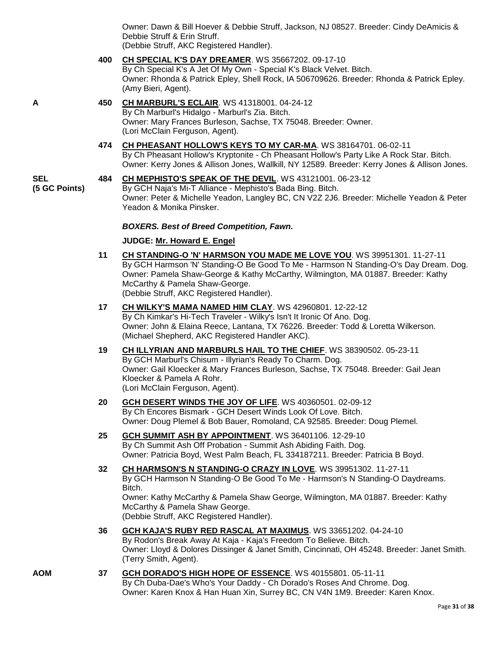Owner: Dawn & Bill Hoever & Debbie Struff, Jackson, NJ 08527. Breeder: Cindy DeAmicis & Debbie Struff & Erin Struff. (Debbie Struff, AKC Registered Handler).

**400 [CH SPECIAL K'S DAY DREAMER](http://www.infodog.com/files/bdogrsl1.prg;makc=WS%2035667202;mdog=Ch_Special_K_s_Day_Dreamer;wins=all)**. WS 35667202. 09-17-10 By Ch Special K's A Jet Of My Own - Special K's Black Velvet. Bitch. Owner: Rhonda & Patrick Epley, Shell Rock, IA 506709626. Breeder: Rhonda & Patrick Epley. (Amy Bieri, Agent).

- **A 450 [CH MARBURL'S ECLAIR](http://www.infodog.com/files/bdogrsl1.prg;makc=WS%2041318001;mdog=Ch_Marburl_s_Eclair;wins=all)**. WS 41318001. 04-24-12 By Ch Marburl's Hidalgo - Marburl's Zia. Bitch. Owner: Mary Frances Burleson, Sachse, TX 75048. Breeder: Owner. (Lori McClain Ferguson, Agent).
	- **474 [CH PHEASANT HOLLOW'S KEYS TO MY CAR-MA](http://www.infodog.com/files/bdogrsl1.prg;makc=WS%2038164701;mdog=Ch_Pheasant_Hollow_s_Keys_To_My_Car-Ma;wins=all)**. WS 38164701. 06-02-11 By Ch Pheasant Hollow's Kryptonite - Ch Pheasant Hollow's Party Like A Rock Star. Bitch. Owner: Kerry Jones & Allison Jones, Wallkill, NY 12589. Breeder: Kerry Jones & Allison Jones.
- **SEL (5 GC Points) 484 [CH MEPHISTO'S SPEAK OF THE DEVIL](http://www.infodog.com/files/bdogrsl1.prg;makc=WS%2043121001;mdog=Ch_Mephisto_s_Speak_Of_The_Devil;wins=all)**. WS 43121001. 06-23-12 By GCH Naja's Mi-T Alliance - Mephisto's Bada Bing. Bitch. Owner: Peter & Michelle Yeadon, Langley BC, CN V2Z 2J6. Breeder: Michelle Yeadon & Peter Yeadon & Monika Pinsker.

### *BOXERS. Best of Breed Competition, Fawn.*

### **JUDGE: [Mr. Howard E. Engel](http://www.infodog.com/judges/44716/juddat.htm)**

- **11 [CH STANDING-O 'N' HARMSON YOU MADE ME LOVE YOU](http://www.infodog.com/files/bdogrsl1.prg;makc=WS%2039951301;mdog=Ch_Standing-O__N__Harmson_You_Made_Me_Love_You;wins=all)**. WS 39951301. 11-27-11 By GCH Harmson 'N' Standing-O Be Good To Me - Harmson N Standing-O's Day Dream. Dog. Owner: Pamela Shaw-George & Kathy McCarthy, Wilmington, MA 01887. Breeder: Kathy McCarthy & Pamela Shaw-George. (Debbie Struff, AKC Registered Handler).
- **17 [CH WILKY'S MAMA NAMED HIM CLAY](http://www.infodog.com/files/bdogrsl1.prg;makc=WS%2042960801;mdog=Ch_Wilky_s_Mama_Named_Him_Clay;wins=all)**. WS 42960801. 12-22-12 By Ch Kimkar's Hi-Tech Traveler - Wilky's Isn't It Ironic Of Ano. Dog. Owner: John & Elaina Reece, Lantana, TX 76226. Breeder: Todd & Loretta Wilkerson. (Michael Shepherd, AKC Registered Handler AKC).
- **19 [CH ILLYRIAN AND MARBURLS HAIL TO THE CHIEF](http://www.infodog.com/files/bdogrsl1.prg;makc=WS%2038390502;mdog=Ch_Illyrian_And_Marburls_Hail_To_The_Chief;wins=all)**. WS 38390502. 05-23-11 By GCH Marburl's Chisum - Illyrian's Ready To Charm. Dog. Owner: Gail Kloecker & Mary Frances Burleson, Sachse, TX 75048. Breeder: Gail Jean Kloecker & Pamela A Rohr. (Lori McClain Ferguson, Agent).
- **20 [GCH DESERT WINDS THE JOY OF LIFE](http://www.infodog.com/files/bdogrsl1.prg;makc=WS%2040360501;mdog=GCH_Desert_Winds_The_Joy_Of_Life;wins=all)**. WS 40360501. 02-09-12 By Ch Encores Bismark - GCH Desert Winds Look Of Love. Bitch. Owner: Doug Plemel & Bob Bauer, Romoland, CA 92585. Breeder: Doug Plemel.
- **25 [GCH SUMMIT ASH BY APPOINTMENT](http://www.infodog.com/files/bdogrsl1.prg;makc=WS%2036401106;mdog=GCH_Summit_Ash_By_Appointment;wins=all)**. WS 36401106. 12-29-10 By Ch Summit Ash Off Probation - Summit Ash Abiding Faith. Dog. Owner: Patricia Boyd, West Palm Beach, FL 334187211. Breeder: Patricia B Boyd.
- **32 [CH HARMSON'S N STANDING-O CRAZY IN LOVE](http://www.infodog.com/files/bdogrsl1.prg;makc=WS%2039951302;mdog=Ch_Harmson_s_N_Standing-O_Crazy_In_Love;wins=all)**. WS 39951302. 11-27-11 By GCH Harmson N Standing-O Be Good To Me - Harmson's N Standing-O Daydreams. Bitch. Owner: Kathy McCarthy & Pamela Shaw George, Wilmington, MA 01887. Breeder: Kathy McCarthy & Pamela Shaw George. (Debbie Struff, AKC Registered Handler).
- **36 [GCH KAJA'S RUBY RED RASCAL AT MAXIMUS](http://www.infodog.com/files/bdogrsl1.prg;makc=WS%2033651202;mdog=GCH_Kaja_s_Ruby_Red_Rascal_At_Maximus;wins=all)**. WS 33651202. 04-24-10 By Rodon's Break Away At Kaja - Kaja's Freedom To Believe. Bitch. Owner: Lloyd & Dolores Dissinger & Janet Smith, Cincinnati, OH 45248. Breeder: Janet Smith. (Terry Smith, Agent).
- **AOM 37 [GCH DORADO'S HIGH HOPE OF ESSENCE](http://www.infodog.com/files/bdogrsl1.prg;makc=WS%2040155801;mdog=GCH_Dorado_s_High_Hope_Of_Essence;wins=all)**. WS 40155801. 05-11-11 By Ch Duba-Dae's Who's Your Daddy - Ch Dorado's Roses And Chrome. Dog. Owner: Karen Knox & Han Huan Xin, Surrey BC, CN V4N 1M9. Breeder: Karen Knox.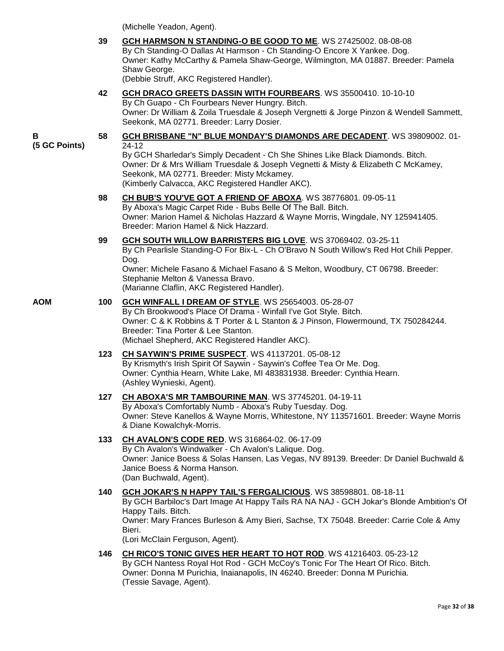(Michelle Yeadon, Agent).

|                    | 39  | GCH HARMSON N STANDING-O BE GOOD TO ME. WS 27425002. 08-08-08<br>By Ch Standing-O Dallas At Harmson - Ch Standing-O Encore X Yankee. Dog.<br>Owner: Kathy McCarthy & Pamela Shaw-George, Wilmington, MA 01887. Breeder: Pamela<br>Shaw George.<br>(Debbie Struff, AKC Registered Handler).                                                                           |
|--------------------|-----|----------------------------------------------------------------------------------------------------------------------------------------------------------------------------------------------------------------------------------------------------------------------------------------------------------------------------------------------------------------------|
|                    | 42  | GCH DRACO GREETS DASSIN WITH FOURBEARS. WS 35500410. 10-10-10<br>By Ch Guapo - Ch Fourbears Never Hungry. Bitch.<br>Owner: Dr William & Zoila Truesdale & Joseph Vergnetti & Jorge Pinzon & Wendell Sammett,<br>Seekonk, MA 02771. Breeder: Larry Dosier.                                                                                                            |
| В<br>(5 GC Points) | 58  | <b>GCH BRISBANE "N" BLUE MONDAY'S DIAMONDS ARE DECADENT. WS 39809002. 01-</b><br>$24 - 12$<br>By GCH Sharledar's Simply Decadent - Ch She Shines Like Black Diamonds. Bitch.<br>Owner: Dr & Mrs William Truesdale & Joseph Vegnetti & Misty & Elizabeth C McKamey,<br>Seekonk, MA 02771. Breeder: Misty Mckamey.<br>(Kimberly Calvacca, AKC Registered Handler AKC). |
|                    | 98  | CH BUB'S YOU'VE GOT A FRIEND OF ABOXA. WS 38776801. 09-05-11<br>By Aboxa's Magic Carpet Ride - Bubs Belle Of The Ball. Bitch.<br>Owner: Marion Hamel & Nicholas Hazzard & Wayne Morris, Wingdale, NY 125941405.<br>Breeder: Marion Hamel & Nick Hazzard.                                                                                                             |
|                    | 99  | GCH SOUTH WILLOW BARRISTERS BIG LOVE. WS 37069402. 03-25-11<br>By Ch Pearlisle Standing-O For Bix-L - Ch O'Bravo N South Willow's Red Hot Chili Pepper.<br>Dog.<br>Owner: Michele Fasano & Michael Fasano & S Melton, Woodbury, CT 06798. Breeder:<br>Stephanie Melton & Vanessa Bravo.<br>(Marianne Claflin, AKC Registered Handler).                               |
| AOM                | 100 | <b>GCH WINFALL I DREAM OF STYLE. WS 25654003. 05-28-07</b><br>By Ch Brookwood's Place Of Drama - Winfall I've Got Style. Bitch.<br>Owner: C & K Robbins & T Porter & L Stanton & J Pinson, Flowermound, TX 750284244.<br>Breeder: Tina Porter & Lee Stanton.<br>(Michael Shepherd, AKC Registered Handler AKC).                                                      |
|                    | 123 | CH SAYWIN'S PRIME SUSPECT. WS 41137201. 05-08-12<br>By Krismyth's Irish Spirit Of Saywin - Saywin's Coffee Tea Or Me. Dog.<br>Owner: Cynthia Hearn, White Lake, MI 483831938. Breeder: Cynthia Hearn.<br>(Ashley Wynieski, Agent).                                                                                                                                   |
|                    | 127 | CH ABOXA'S MR TAMBOURINE MAN. WS 37745201. 04-19-11<br>By Aboxa's Comfortably Numb - Aboxa's Ruby Tuesday. Dog.<br>Owner: Steve Kanellos & Wayne Morris, Whitestone, NY 113571601. Breeder: Wayne Morris<br>& Diane Kowalchyk-Morris.                                                                                                                                |
|                    | 133 | CH AVALON'S CODE RED. WS 316864-02. 06-17-09<br>By Ch Avalon's Windwalker - Ch Avalon's Lalique. Dog.<br>Owner: Janice Boess & Solas Hansen, Las Vegas, NV 89139. Breeder: Dr Daniel Buchwald &<br>Janice Boess & Norma Hanson.<br>(Dan Buchwald, Agent).                                                                                                            |
|                    | 140 | GCH JOKAR'S N HAPPY TAIL'S FERGALICIOUS. WS 38598801. 08-18-11<br>By GCH Barbiloc's Dart Image At Happy Tails RA NA NAJ - GCH Jokar's Blonde Ambition's Of<br>Happy Tails. Bitch.<br>Owner: Mary Frances Burleson & Amy Bieri, Sachse, TX 75048. Breeder: Carrie Cole & Amy<br>Bieri.<br>(Lori McClain Ferguson, Agent).                                             |
|                    | 146 | CH RICO'S TONIC GIVES HER HEART TO HOT ROD. WS 41216403. 05-23-12<br>By GCH Nantess Royal Hot Rod - GCH McCoy's Tonic For The Heart Of Rico. Bitch.<br>Owner: Donna M Purichia, Inaianapolis, IN 46240. Breeder: Donna M Purichia.                                                                                                                                   |

(Tessie Savage, Agent).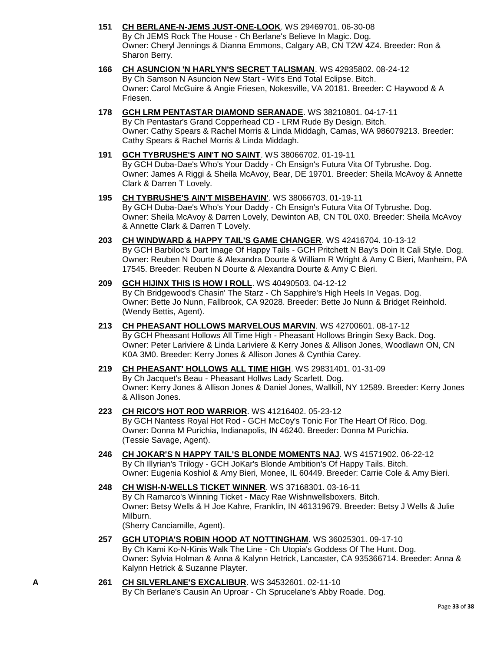- **151 [CH BERLANE-N-JEMS JUST-ONE-LOOK](http://www.infodog.com/files/bdogrsl1.prg;makc=WS%2029469701;mdog=Ch_Berlane-N-JEMS_Just-One-Look;wins=all)**. WS 29469701. 06-30-08 By Ch JEMS Rock The House - Ch Berlane's Believe In Magic. Dog. Owner: Cheryl Jennings & Dianna Emmons, Calgary AB, CN T2W 4Z4. Breeder: Ron & Sharon Berry.
- **166 [CH ASUNCION 'N HARLYN'S SECRET TALISMAN](http://www.infodog.com/files/bdogrsl1.prg;makc=WS%2042935802;mdog=Ch_Asuncion__N_Harlyn_s_Secret_Talisman;wins=all)**. WS 42935802. 08-24-12 By Ch Samson N Asuncion New Start - Wit's End Total Eclipse. Bitch. Owner: Carol McGuire & Angie Friesen, Nokesville, VA 20181. Breeder: C Haywood & A Friesen.
- **178 [GCH LRM PENTASTAR DIAMOND SERANADE](http://www.infodog.com/files/bdogrsl1.prg;makc=WS%2038210801;mdog=GCH_LRM_Pentastar_Diamond_Seranade;wins=all)**. WS 38210801. 04-17-11 By Ch Pentastar's Grand Copperhead CD - LRM Rude By Design. Bitch. Owner: Cathy Spears & Rachel Morris & Linda Middagh, Camas, WA 986079213. Breeder: Cathy Spears & Rachel Morris & Linda Middagh.
- **191 [GCH TYBRUSHE'S AIN'T NO SAINT](http://www.infodog.com/files/bdogrsl1.prg;makc=WS%2038066702;mdog=GCH_Tybrushe_s_Ain_t_No_Saint;wins=all)**. WS 38066702. 01-19-11 By GCH Duba-Dae's Who's Your Daddy - Ch Ensign's Futura Vita Of Tybrushe. Dog. Owner: James A Riggi & Sheila McAvoy, Bear, DE 19701. Breeder: Sheila McAvoy & Annette Clark & Darren T Lovely.
- **195 [CH TYBRUSHE'S AIN'T MISBEHAVIN'](http://www.infodog.com/files/bdogrsl1.prg;makc=WS%2038066703;mdog=Ch_Tybrushe_s_Ain_t_Misbehavin_;wins=all)**. WS 38066703. 01-19-11 By GCH Duba-Dae's Who's Your Daddy - Ch Ensign's Futura Vita Of Tybrushe. Dog. Owner: Sheila McAvoy & Darren Lovely, Dewinton AB, CN T0L 0X0. Breeder: Sheila McAvoy & Annette Clark & Darren T Lovely.
- **203 [CH WINDWARD & HAPPY TAIL'S GAME CHANGER](http://www.infodog.com/files/bdogrsl1.prg;makc=WS%2042416704;mdog=Ch_Windward_&_Happy_Tail_s_Game_Changer;wins=all)**. WS 42416704. 10-13-12 By GCH Barbiloc's Dart Image Of Happy Tails - GCH Pritchett N Bay's Doin It Cali Style. Dog. Owner: Reuben N Dourte & Alexandra Dourte & William R Wright & Amy C Bieri, Manheim, PA 17545. Breeder: Reuben N Dourte & Alexandra Dourte & Amy C Bieri.
- **209 [GCH HIJINX THIS IS HOW I ROLL](http://www.infodog.com/files/bdogrsl1.prg;makc=WS%2040490503;mdog=GCH_HiJinx_This_Is_How_I_Roll;wins=all)**. WS 40490503. 04-12-12 By Ch Bridgewood's Chasin' The Starz - Ch Sapphire's High Heels In Vegas. Dog. Owner: Bette Jo Nunn, Fallbrook, CA 92028. Breeder: Bette Jo Nunn & Bridget Reinhold. (Wendy Bettis, Agent).
- **213 [CH PHEASANT HOLLOWS MARVELOUS MARVIN](http://www.infodog.com/files/bdogrsl1.prg;makc=WS%2042700601;mdog=Ch_Pheasant_Hollows_Marvelous_Marvin;wins=all)**. WS 42700601. 08-17-12 By GCH Pheasant Hollows All Time High - Pheasant Hollows Bringin Sexy Back. Dog. Owner: Peter Lariviere & Linda Lariviere & Kerry Jones & Allison Jones, Woodlawn ON, CN K0A 3M0. Breeder: Kerry Jones & Allison Jones & Cynthia Carey.
- **219 [CH PHEASANT' HOLLOWS ALL TIME HIGH](http://www.infodog.com/files/bdogrsl1.prg;makc=WS%2029831401;mdog=Ch_Pheasant__Hollows_All_Time_High;wins=all)**. WS 29831401. 01-31-09 By Ch Jacquet's Beau - Pheasant Hollws Lady Scarlett. Dog. Owner: Kerry Jones & Allison Jones & Daniel Jones, Wallkill, NY 12589. Breeder: Kerry Jones & Allison Jones.
- **223 [CH RICO'S HOT ROD WARRIOR](http://www.infodog.com/files/bdogrsl1.prg;makc=WS%2041216402;mdog=Ch_Rico_s_Hot_Rod_Warrior;wins=all)**. WS 41216402. 05-23-12 By GCH Nantess Royal Hot Rod - GCH McCoy's Tonic For The Heart Of Rico. Dog. Owner: Donna M Purichia, Indianapolis, IN 46240. Breeder: Donna M Purichia. (Tessie Savage, Agent).
- **246 [CH JOKAR'S N HAPPY TAIL'S BLONDE MOMENTS NAJ](http://www.infodog.com/files/bdogrsl1.prg;makc=WS%2041571902;mdog=Ch_JoKar_s_N_Happy_Tail_s_Blonde_Moments_NAJ;wins=all)**. WS 41571902. 06-22-12 By Ch Illyrian's Trilogy - GCH JoKar's Blonde Ambition's Of Happy Tails. Bitch. Owner: Eugenia Koshiol & Amy Bieri, Monee, IL 60449. Breeder: Carrie Cole & Amy Bieri.
- **248 [CH WISH-N-WELLS TICKET WINNER](http://www.infodog.com/files/bdogrsl1.prg;makc=WS%2037168301;mdog=Ch_Wish-N-Wells_Ticket_Winner;wins=all)**. WS 37168301. 03-16-11 By Ch Ramarco's Winning Ticket - Macy Rae Wishnwellsboxers. Bitch. Owner: Betsy Wells & H Joe Kahre, Franklin, IN 461319679. Breeder: Betsy J Wells & Julie Milburn. (Sherry Canciamille, Agent).
- **257 [GCH UTOPIA'S ROBIN HOOD AT NOTTINGHAM](http://www.infodog.com/files/bdogrsl1.prg;makc=WS%2036025301;mdog=GCH_Utopia_s_Robin_Hood_At_Nottingham;wins=all)**. WS 36025301. 09-17-10 By Ch Kami Ko-N-Kinis Walk The Line - Ch Utopia's Goddess Of The Hunt. Dog. Owner: Sylvia Holman & Anna & Kalynn Hetrick, Lancaster, CA 935366714. Breeder: Anna & Kalynn Hetrick & Suzanne Playter.
- **A 261 [CH SILVERLANE'S EXCALIBUR](http://www.infodog.com/files/bdogrsl1.prg;makc=WS%2034532601;mdog=Ch_Silverlane_s_Excalibur;wins=all)**. WS 34532601. 02-11-10 By Ch Berlane's Causin An Uproar - Ch Sprucelane's Abby Roade. Dog.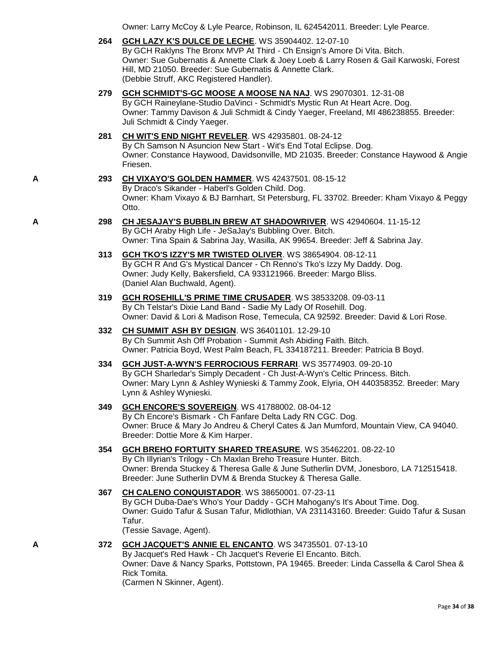Owner: Larry McCoy & Lyle Pearce, Robinson, IL 624542011. Breeder: Lyle Pearce.

**264 [GCH LAZY K'S DULCE DE LECHE](http://www.infodog.com/files/bdogrsl1.prg;makc=WS%2035904402;mdog=GCH_Lazy_K_s_Dulce_De_Leche;wins=all)**. WS 35904402. 12-07-10

By GCH Raklyns The Bronx MVP At Third - Ch Ensign's Amore Di Vita. Bitch. Owner: Sue Gubernatis & Annette Clark & Joey Loeb & Larry Rosen & Gail Karwoski, Forest Hill, MD 21050. Breeder: Sue Gubernatis & Annette Clark. (Debbie Struff, AKC Registered Handler).

- **279 [GCH SCHMIDT'S-GC MOOSE A MOOSE NA NAJ](http://www.infodog.com/files/bdogrsl1.prg;makc=WS%2029070301;mdog=GCH_Schmidt_s-GC_Moose_A_Moose_NA_NAJ;wins=all)**. WS 29070301. 12-31-08 By GCH Raineylane-Studio DaVinci - Schmidt's Mystic Run At Heart Acre. Dog. Owner: Tammy Davison & Juli Schmidt & Cindy Yaeger, Freeland, MI 486238855. Breeder: Juli Schmidt & Cindy Yaeger.
- **281 [CH WIT'S END NIGHT REVELER](http://www.infodog.com/files/bdogrsl1.prg;makc=WS%2042935801;mdog=Ch_Wit_s_End_Night_Reveler;wins=all)**. WS 42935801. 08-24-12 By Ch Samson N Asuncion New Start - Wit's End Total Eclipse. Dog. Owner: Constance Haywood, Davidsonville, MD 21035. Breeder: Constance Haywood & Angie Friesen.
- **A 293 [CH VIXAYO'S GOLDEN HAMMER](http://www.infodog.com/files/bdogrsl1.prg;makc=WS%2042437501;mdog=Ch_Vixayo_s_Golden_Hammer;wins=all)**. WS 42437501. 08-15-12 By Draco's Sikander - Haberl's Golden Child. Dog. Owner: Kham Vixayo & BJ Barnhart, St Petersburg, FL 33702. Breeder: Kham Vixayo & Peggy Otto.
- **A 298 [CH JESAJAY'S BUBBLIN BREW AT SHADOWRIVER](http://www.infodog.com/files/bdogrsl1.prg;makc=WS%2042940604;mdog=Ch_JeSaJay_s_Bubblin_Brew_At_ShadowRiver;wins=all)**. WS 42940604. 11-15-12 By GCH Araby High Life - JeSaJay's Bubbling Over. Bitch. Owner: Tina Spain & Sabrina Jay, Wasilla, AK 99654. Breeder: Jeff & Sabrina Jay.
	- **313 [GCH TKO'S IZZY'S MR TWISTED OLIVER](http://www.infodog.com/files/bdogrsl1.prg;makc=WS%2038654904;mdog=GCH_TKO_s_Izzy_s_Mr_Twisted_Oliver;wins=all)**. WS 38654904. 08-12-11 By GCH R And G's Mystical Dancer - Ch Renno's Tko's Izzy My Daddy. Dog. Owner: Judy Kelly, Bakersfield, CA 933121966. Breeder: Margo Bliss. (Daniel Alan Buchwald, Agent).
	- **319 [GCH ROSEHILL'S PRIME TIME CRUSADER](http://www.infodog.com/files/bdogrsl1.prg;makc=WS%2038533208;mdog=GCH_Rosehill_s_Prime_Time_Crusader;wins=all)**. WS 38533208. 09-03-11 By Ch Telstar's Dixie Land Band - Sadie My Lady Of Rosehill. Dog. Owner: David & Lori & Madison Rose, Temecula, CA 92592. Breeder: David & Lori Rose.
	- **332 [CH SUMMIT ASH BY DESIGN](http://www.infodog.com/files/bdogrsl1.prg;makc=WS%2036401101;mdog=Ch_Summit_Ash_By_Design;wins=all)**. WS 36401101. 12-29-10 By Ch Summit Ash Off Probation - Summit Ash Abiding Faith. Bitch. Owner: Patricia Boyd, West Palm Beach, FL 334187211. Breeder: Patricia B Boyd.
	- **334 [GCH JUST-A-WYN'S FERROCIOUS FERRARI](http://www.infodog.com/files/bdogrsl1.prg;makc=WS%2035774903;mdog=GCH_Just-A-Wyn_s_Ferrocious_Ferrari;wins=all)**. WS 35774903. 09-20-10 By GCH Sharledar's Simply Decadent - Ch Just-A-Wyn's Celtic Princess. Bitch. Owner: Mary Lynn & Ashley Wynieski & Tammy Zook, Elyria, OH 440358352. Breeder: Mary Lynn & Ashley Wynieski.
	- **349 [GCH ENCORE'S SOVEREIGN](http://www.infodog.com/files/bdogrsl1.prg;makc=WS%2041788002;mdog=GCH_Encore_s_Sovereign;wins=all)**. WS 41788002. 08-04-12 By Ch Encore's Bismark - Ch Fanfare Delta Lady RN CGC. Dog. Owner: Bruce & Mary Jo Andreu & Cheryl Cates & Jan Mumford, Mountain View, CA 94040. Breeder: Dottie More & Kim Harper.
	- **354 [GCH BREHO FORTUITY SHARED TREASURE](http://www.infodog.com/files/bdogrsl1.prg;makc=WS%2035462201;mdog=GCH_Breho_Fortuity_Shared_Treasure;wins=all)**. WS 35462201. 08-22-10 By Ch Illyrian's Trilogy - Ch Maxlan Breho Treasure Hunter. Bitch. Owner: Brenda Stuckey & Theresa Galle & June Sutherlin DVM, Jonesboro, LA 712515418. Breeder: June Sutherlin DVM & Brenda Stuckey & Theresa Galle.
	- **367 [CH CALENO CONQUISTADOR](http://www.infodog.com/files/bdogrsl1.prg;makc=WS%2038650001;mdog=Ch_Caleno_Conquistador;wins=all)**. WS 38650001. 07-23-11 By GCH Duba-Dae's Who's Your Daddy - GCH Mahogany's It's About Time. Dog. Owner: Guido Tafur & Susan Tafur, Midlothian, VA 231143160. Breeder: Guido Tafur & Susan Tafur.

(Tessie Savage, Agent).

#### **A 372 [GCH JACQUET'S ANNIE EL ENCANTO](http://www.infodog.com/files/bdogrsl1.prg;makc=WS%2034735501;mdog=GCH_Jacquet_s_Annie_El_Encanto;wins=all)**. WS 34735501. 07-13-10 By Jacquet's Red Hawk - Ch Jacquet's Reverie El Encanto. Bitch.

Owner: Dave & Nancy Sparks, Pottstown, PA 19465. Breeder: Linda Cassella & Carol Shea & Rick Tomita.

(Carmen N Skinner, Agent).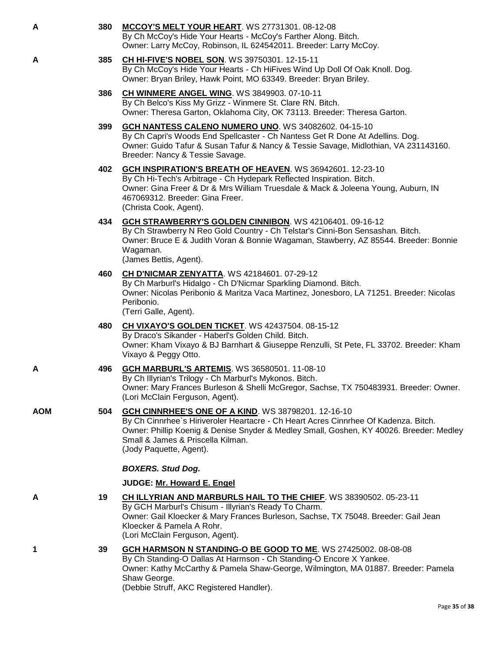| А   | 380 | <b>MCCOY'S MELT YOUR HEART.</b> WS 27731301. 08-12-08<br>By Ch McCoy's Hide Your Hearts - McCoy's Farther Along. Bitch.<br>Owner: Larry McCoy, Robinson, IL 624542011. Breeder: Larry McCoy.                                                                                                          |
|-----|-----|-------------------------------------------------------------------------------------------------------------------------------------------------------------------------------------------------------------------------------------------------------------------------------------------------------|
| А   | 385 | CH HI-FIVE'S NOBEL SON. WS 39750301. 12-15-11<br>By Ch McCoy's Hide Your Hearts - Ch HiFives Wind Up Doll Of Oak Knoll. Dog.<br>Owner: Bryan Briley, Hawk Point, MO 63349. Breeder: Bryan Briley.                                                                                                     |
|     | 386 | <b>CH WINMERE ANGEL WING. WS 3849903. 07-10-11</b><br>By Ch Belco's Kiss My Grizz - Winmere St. Clare RN. Bitch.<br>Owner: Theresa Garton, Oklahoma City, OK 73113. Breeder: Theresa Garton.                                                                                                          |
|     | 399 | GCH NANTESS CALENO NUMERO UNO. WS 34082602. 04-15-10<br>By Ch Capri's Woods End Spellcaster - Ch Nantess Get R Done At Adellins. Dog.<br>Owner: Guido Tafur & Susan Tafur & Nancy & Tessie Savage, Midlothian, VA 231143160.<br>Breeder: Nancy & Tessie Savage.                                       |
|     | 402 | <b>GCH INSPIRATION'S BREATH OF HEAVEN. WS 36942601. 12-23-10</b><br>By Ch Hi-Tech's Arbitrage - Ch Hydepark Reflected Inspiration. Bitch.<br>Owner: Gina Freer & Dr & Mrs William Truesdale & Mack & Joleena Young, Auburn, IN<br>467069312. Breeder: Gina Freer.<br>(Christa Cook, Agent).           |
|     | 434 | GCH STRAWBERRY'S GOLDEN CINNIBON. WS 42106401. 09-16-12<br>By Ch Strawberry N Reo Gold Country - Ch Telstar's Cinni-Bon Sensashan. Bitch.<br>Owner: Bruce E & Judith Voran & Bonnie Wagaman, Stawberry, AZ 85544. Breeder: Bonnie<br>Wagaman.<br>(James Bettis, Agent).                               |
|     | 460 | <b>CH D'NICMAR ZENYATTA. WS 42184601. 07-29-12</b><br>By Ch Marburl's Hidalgo - Ch D'Nicmar Sparkling Diamond. Bitch.<br>Owner: Nicolas Peribonio & Maritza Vaca Martinez, Jonesboro, LA 71251. Breeder: Nicolas<br>Peribonio.<br>(Terri Galle, Agent).                                               |
|     | 480 | CH VIXAYO'S GOLDEN TICKET. WS 42437504. 08-15-12<br>By Draco's Sikander - Haberl's Golden Child. Bitch.<br>Owner: Kham Vixayo & BJ Barnhart & Giuseppe Renzulli, St Pete, FL 33702. Breeder: Kham<br>Vixayo & Peggy Otto.                                                                             |
| А   | 496 | <b>GCH MARBURL'S ARTEMIS. WS 36580501. 11-08-10</b><br>By Ch Illyrian's Trilogy - Ch Marburl's Mykonos. Bitch.<br>Owner: Mary Frances Burleson & Shelli McGregor, Sachse, TX 750483931. Breeder: Owner.<br>(Lori McClain Ferguson, Agent).                                                            |
| AOM | 504 | GCH CINNRHEE'S ONE OF A KIND. WS 38798201. 12-16-10<br>By Ch Cinnrhee's Hiriveroler Heartacre - Ch Heart Acres Cinnrhee Of Kadenza. Bitch.<br>Owner: Phillip Koenig & Denise Snyder & Medley Small, Goshen, KY 40026. Breeder: Medley<br>Small & James & Priscella Kilman.<br>(Jody Paquette, Agent). |
|     |     | <b>BOXERS. Stud Dog.</b>                                                                                                                                                                                                                                                                              |
|     |     | JUDGE: Mr. Howard E. Engel                                                                                                                                                                                                                                                                            |
| Α   | 19  | <b>CH ILLYRIAN AND MARBURLS HAIL TO THE CHIEF. WS 38390502. 05-23-11</b><br>By GCH Marburl's Chisum - Illyrian's Ready To Charm.<br>Owner: Gail Kloecker & Mary Frances Burleson, Sachse, TX 75048. Breeder: Gail Jean<br>Kloecker & Pamela A Rohr.<br>(Lori McClain Ferguson, Agent).                |
| 1   | 39  | GCH HARMSON N STANDING-O BE GOOD TO ME. WS 27425002. 08-08-08<br>By Ch Standing-O Dallas At Harmson - Ch Standing-O Encore X Yankee.<br>Owner: Kathy McCarthy & Pamela Shaw-George, Wilmington, MA 01887. Breeder: Pamela<br>Shaw George.                                                             |

(Debbie Struff, AKC Registered Handler).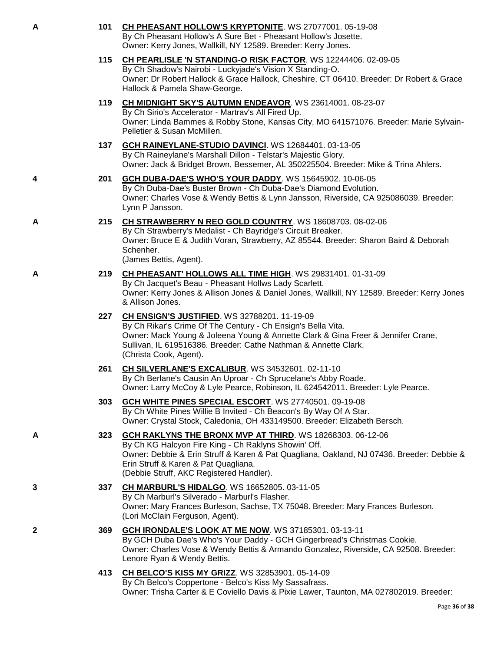| A | 101 | CH PHEASANT HOLLOW'S KRYPTONITE. WS 27077001. 05-19-08<br>By Ch Pheasant Hollow's A Sure Bet - Pheasant Hollow's Josette.<br>Owner: Kerry Jones, Wallkill, NY 12589. Breeder: Kerry Jones.                                                                                                           |
|---|-----|------------------------------------------------------------------------------------------------------------------------------------------------------------------------------------------------------------------------------------------------------------------------------------------------------|
|   | 115 | CH PEARLISLE 'N STANDING-O RISK FACTOR. WS 12244406. 02-09-05<br>By Ch Shadow's Nairobi - Luckyjade's Vision X Standing-O.<br>Owner: Dr Robert Hallock & Grace Hallock, Cheshire, CT 06410. Breeder: Dr Robert & Grace<br>Hallock & Pamela Shaw-George.                                              |
|   | 119 | CH MIDNIGHT SKY'S AUTUMN ENDEAVOR. WS 23614001. 08-23-07<br>By Ch Sirio's Accelerator - Martrav's All Fired Up.<br>Owner: Linda Bammes & Robby Stone, Kansas City, MO 641571076. Breeder: Marie Sylvain-<br>Pelletier & Susan McMillen.                                                              |
|   | 137 | GCH RAINEYLANE-STUDIO DAVINCI. WS 12684401. 03-13-05<br>By Ch Raineylane's Marshall Dillon - Telstar's Majestic Glory.<br>Owner: Jack & Bridget Brown, Bessemer, AL 350225504. Breeder: Mike & Trina Ahlers.                                                                                         |
| 4 | 201 | GCH DUBA-DAE'S WHO'S YOUR DADDY. WS 15645902. 10-06-05<br>By Ch Duba-Dae's Buster Brown - Ch Duba-Dae's Diamond Evolution.<br>Owner: Charles Vose & Wendy Bettis & Lynn Jansson, Riverside, CA 925086039. Breeder:<br>Lynn P Jansson.                                                                |
| А | 215 | CH STRAWBERRY N REO GOLD COUNTRY. WS 18608703. 08-02-06<br>By Ch Strawberry's Medalist - Ch Bayridge's Circuit Breaker.<br>Owner: Bruce E & Judith Voran, Strawberry, AZ 85544. Breeder: Sharon Baird & Deborah<br>Schenher.<br>(James Bettis, Agent).                                               |
| A | 219 | CH PHEASANT' HOLLOWS ALL TIME HIGH. WS 29831401. 01-31-09<br>By Ch Jacquet's Beau - Pheasant Hollws Lady Scarlett.<br>Owner: Kerry Jones & Allison Jones & Daniel Jones, Wallkill, NY 12589. Breeder: Kerry Jones<br>& Allison Jones.                                                                |
|   | 227 | <b>CH ENSIGN'S JUSTIFIED.</b> WS 32788201. 11-19-09<br>By Ch Rikar's Crime Of The Century - Ch Ensign's Bella Vita.<br>Owner: Mack Young & Joleena Young & Annette Clark & Gina Freer & Jennifer Crane,<br>Sullivan, IL 619516386. Breeder: Cathe Nathman & Annette Clark.<br>(Christa Cook, Agent). |
|   | 261 | CH SILVERLANE'S EXCALIBUR. WS 34532601. 02-11-10<br>By Ch Berlane's Causin An Uproar - Ch Sprucelane's Abby Roade.<br>Owner: Larry McCoy & Lyle Pearce, Robinson, IL 624542011. Breeder: Lyle Pearce.                                                                                                |
|   | 303 | GCH WHITE PINES SPECIAL ESCORT. WS 27740501. 09-19-08<br>By Ch White Pines Willie B Invited - Ch Beacon's By Way Of A Star.<br>Owner: Crystal Stock, Caledonia, OH 433149500. Breeder: Elizabeth Bersch.                                                                                             |
| А | 323 | GCH RAKLYNS THE BRONX MVP AT THIRD. WS 18268303. 06-12-06<br>By Ch KG Halcyon Fire King - Ch Raklyns Showin' Off.<br>Owner: Debbie & Erin Struff & Karen & Pat Quagliana, Oakland, NJ 07436. Breeder: Debbie &<br>Erin Struff & Karen & Pat Quagliana.<br>(Debbie Struff, AKC Registered Handler).   |
| 3 | 337 | CH MARBURL'S HIDALGO. WS 16652805. 03-11-05<br>By Ch Marburl's Silverado - Marburl's Flasher.<br>Owner: Mary Frances Burleson, Sachse, TX 75048. Breeder: Mary Frances Burleson.<br>(Lori McClain Ferguson, Agent).                                                                                  |
| 2 | 369 | GCH IRONDALE'S LOOK AT ME NOW. WS 37185301. 03-13-11<br>By GCH Duba Dae's Who's Your Daddy - GCH Gingerbread's Christmas Cookie.<br>Owner: Charles Vose & Wendy Bettis & Armando Gonzalez, Riverside, CA 92508. Breeder:<br>Lenore Ryan & Wendy Bettis.                                              |
|   | 413 | <b>CH BELCO'S KISS MY GRIZZ. WS 32853901. 05-14-09</b><br>By Ch Belco's Coppertone - Belco's Kiss My Sassafrass.<br>Owner: Trisha Carter & E Coviello Davis & Pixie Lawer, Taunton, MA 027802019. Breeder:                                                                                           |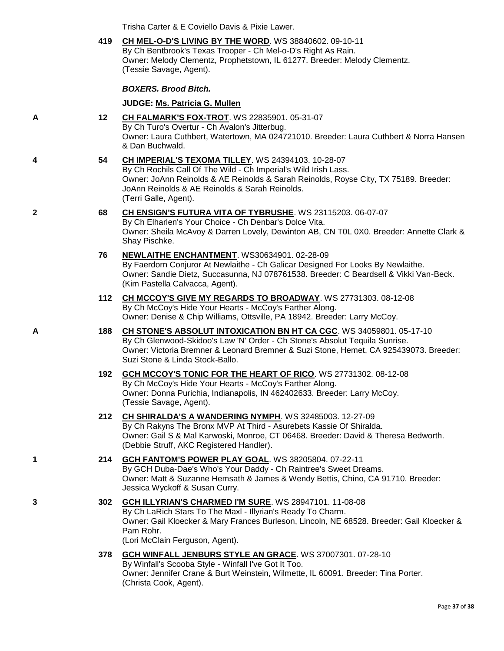Trisha Carter & E Coviello Davis & Pixie Lawer.

|   | 419 | CH MEL-O-D'S LIVING BY THE WORD. WS 38840602. 09-10-11<br>By Ch Bentbrook's Texas Trooper - Ch Mel-o-D's Right As Rain.<br>Owner: Melody Clementz, Prophetstown, IL 61277. Breeder: Melody Clementz.<br>(Tessie Savage, Agent).                                                          |
|---|-----|------------------------------------------------------------------------------------------------------------------------------------------------------------------------------------------------------------------------------------------------------------------------------------------|
|   |     | <b>BOXERS. Brood Bitch.</b>                                                                                                                                                                                                                                                              |
|   |     | JUDGE: Ms. Patricia G. Mullen                                                                                                                                                                                                                                                            |
| Α | 12  | CH FALMARK'S FOX-TROT. WS 22835901. 05-31-07<br>By Ch Turo's Overtur - Ch Avalon's Jitterbug.<br>Owner: Laura Cuthbert, Watertown, MA 024721010. Breeder: Laura Cuthbert & Norra Hansen<br>& Dan Buchwald.                                                                               |
| 4 | 54  | CH IMPERIAL'S TEXOMA TILLEY. WS 24394103. 10-28-07<br>By Ch Rochils Call Of The Wild - Ch Imperial's Wild Irish Lass.<br>Owner: JoAnn Reinolds & AE Reinolds & Sarah Reinolds, Royse City, TX 75189. Breeder:<br>JoAnn Reinolds & AE Reinolds & Sarah Reinolds.<br>(Terri Galle, Agent). |
| 2 | 68  | CH ENSIGN'S FUTURA VITA OF TYBRUSHE. WS 23115203. 06-07-07<br>By Ch Elharlen's Your Choice - Ch Denbar's Dolce Vita.<br>Owner: Sheila McAvoy & Darren Lovely, Dewinton AB, CN TOL 0X0. Breeder: Annette Clark &<br>Shay Pischke.                                                         |
|   | 76  | NEWLAITHE ENCHANTMENT. WS30634901. 02-28-09<br>By Faerdorn Conjuror At Newlaithe - Ch Galicar Designed For Looks By Newlaithe.<br>Owner: Sandie Dietz, Succasunna, NJ 078761538. Breeder: C Beardsell & Vikki Van-Beck.<br>(Kim Pastella Calvacca, Agent).                               |
|   | 112 | CH MCCOY'S GIVE MY REGARDS TO BROADWAY. WS 27731303. 08-12-08<br>By Ch McCoy's Hide Your Hearts - McCoy's Farther Along.<br>Owner: Denise & Chip Williams, Ottsville, PA 18942. Breeder: Larry McCoy.                                                                                    |
| A | 188 | CH STONE'S ABSOLUT INTOXICATION BN HT CA CGC. WS 34059801. 05-17-10<br>By Ch Glenwood-Skidoo's Law 'N' Order - Ch Stone's Absolut Tequila Sunrise.<br>Owner: Victoria Bremner & Leonard Bremner & Suzi Stone, Hemet, CA 925439073. Breeder:<br>Suzi Stone & Linda Stock-Ballo.           |
|   | 192 | GCH MCCOY'S TONIC FOR THE HEART OF RICO. WS 27731302. 08-12-08<br>By Ch McCoy's Hide Your Hearts - McCoy's Farther Along.<br>Owner: Donna Purichia, Indianapolis, IN 462402633. Breeder: Larry McCoy.<br>(Tessie Savage, Agent).                                                         |
|   | 212 | <b>CH SHIRALDA'S A WANDERING NYMPH.</b> WS 32485003. 12-27-09<br>By Ch Rakyns The Bronx MVP At Third - Asurebets Kassie Of Shiralda.<br>Owner: Gail S & Mal Karwoski, Monroe, CT 06468. Breeder: David & Theresa Bedworth.<br>(Debbie Struff, AKC Registered Handler).                   |
| 1 | 214 | GCH FANTOM'S POWER PLAY GOAL. WS 38205804. 07-22-11<br>By GCH Duba-Dae's Who's Your Daddy - Ch Raintree's Sweet Dreams.<br>Owner: Matt & Suzanne Hemsath & James & Wendy Bettis, Chino, CA 91710. Breeder:<br>Jessica Wyckoff & Susan Curry.                                             |
| 3 | 302 | GCH ILLYRIAN'S CHARMED I'M SURE. WS 28947101. 11-08-08<br>By Ch LaRich Stars To The Maxl - Illyrian's Ready To Charm.<br>Owner: Gail Kloecker & Mary Frances Burleson, Lincoln, NE 68528. Breeder: Gail Kloecker &<br>Pam Rohr.<br>(Lori McClain Ferguson, Agent).                       |
|   | 378 | GCH WINFALL JENBURS STYLE AN GRACE. WS 37007301. 07-28-10<br>By Winfall's Scooba Style - Winfall I've Got It Too.<br>Owner: Jennifer Crane & Burt Weinstein, Wilmette, IL 60091. Breeder: Tina Porter.<br>(Christa Cook, Agent).                                                         |